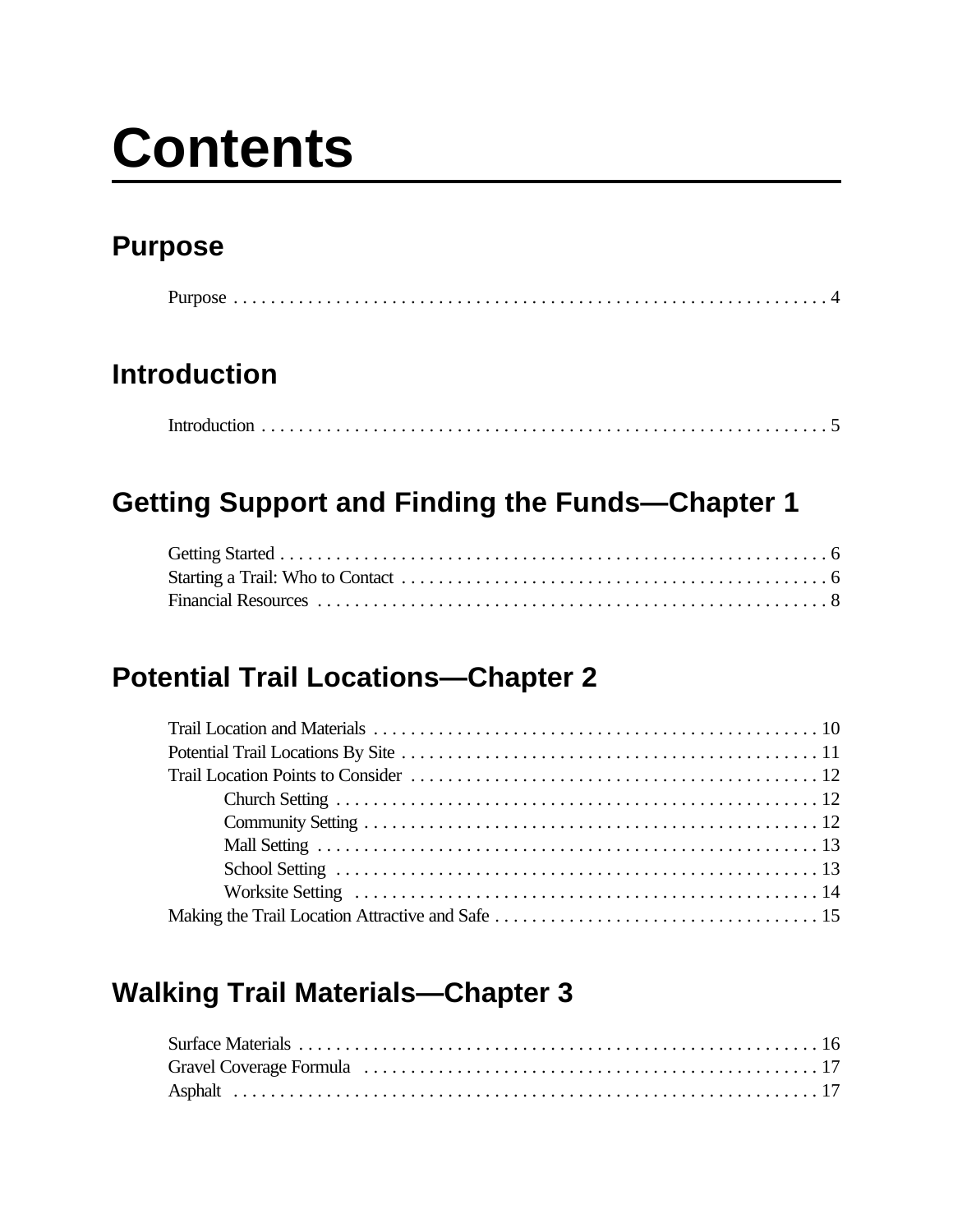# **Contents**

# **Purpose**

|--|

# **Introduction**

# **Getting Support and Finding the Funds—Chapter 1**

# **Potential Trail Locations—Chapter 2**

# **Walking Trail Materials—Chapter 3**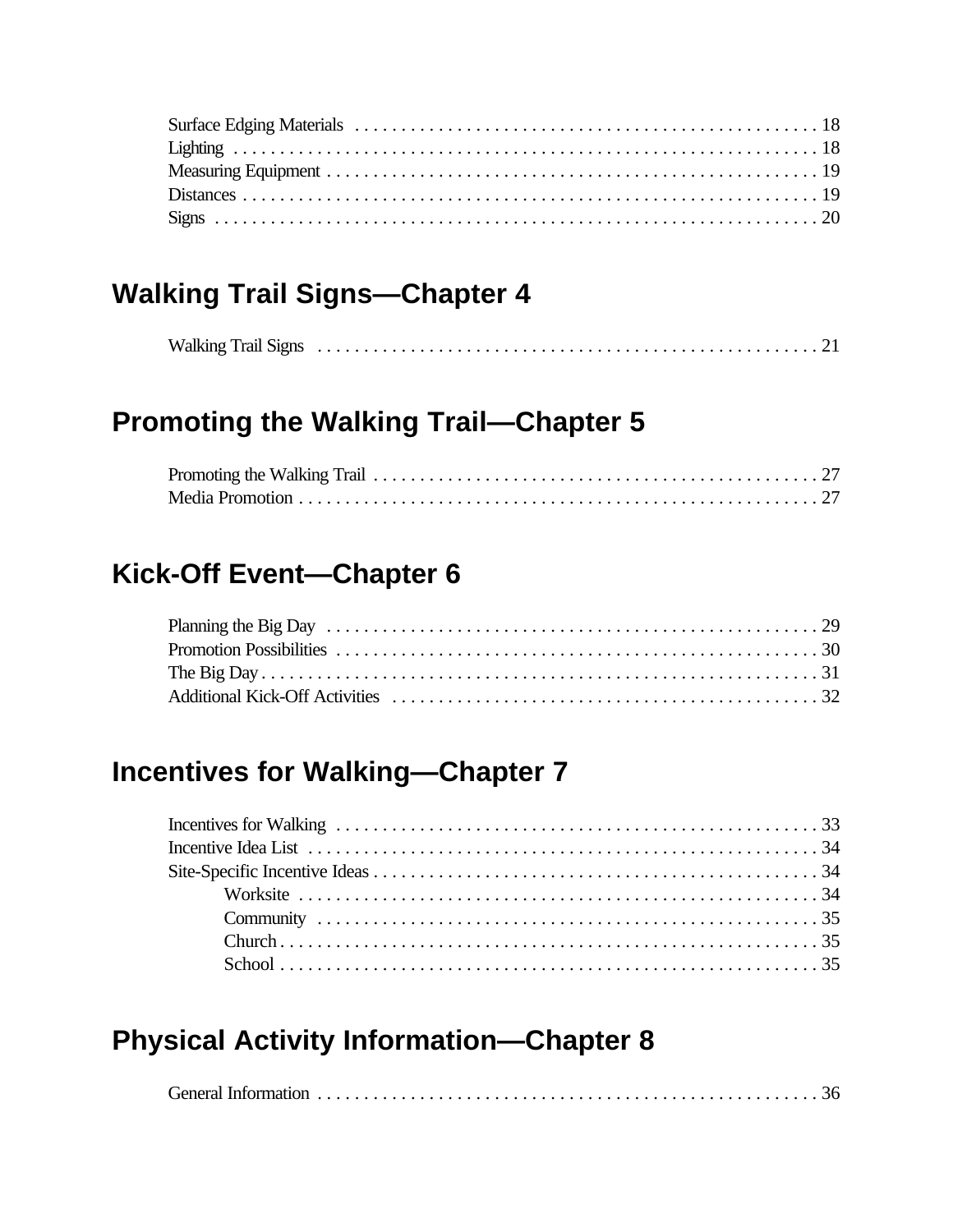## **Walking Trail Signs—Chapter 4**

### **Promoting the Walking Trail—Chapter 5**

# **Kick-Off Event—Chapter 6**

### **Incentives for Walking—Chapter 7**

### **Physical Activity Information—Chapter 8**

|--|--|--|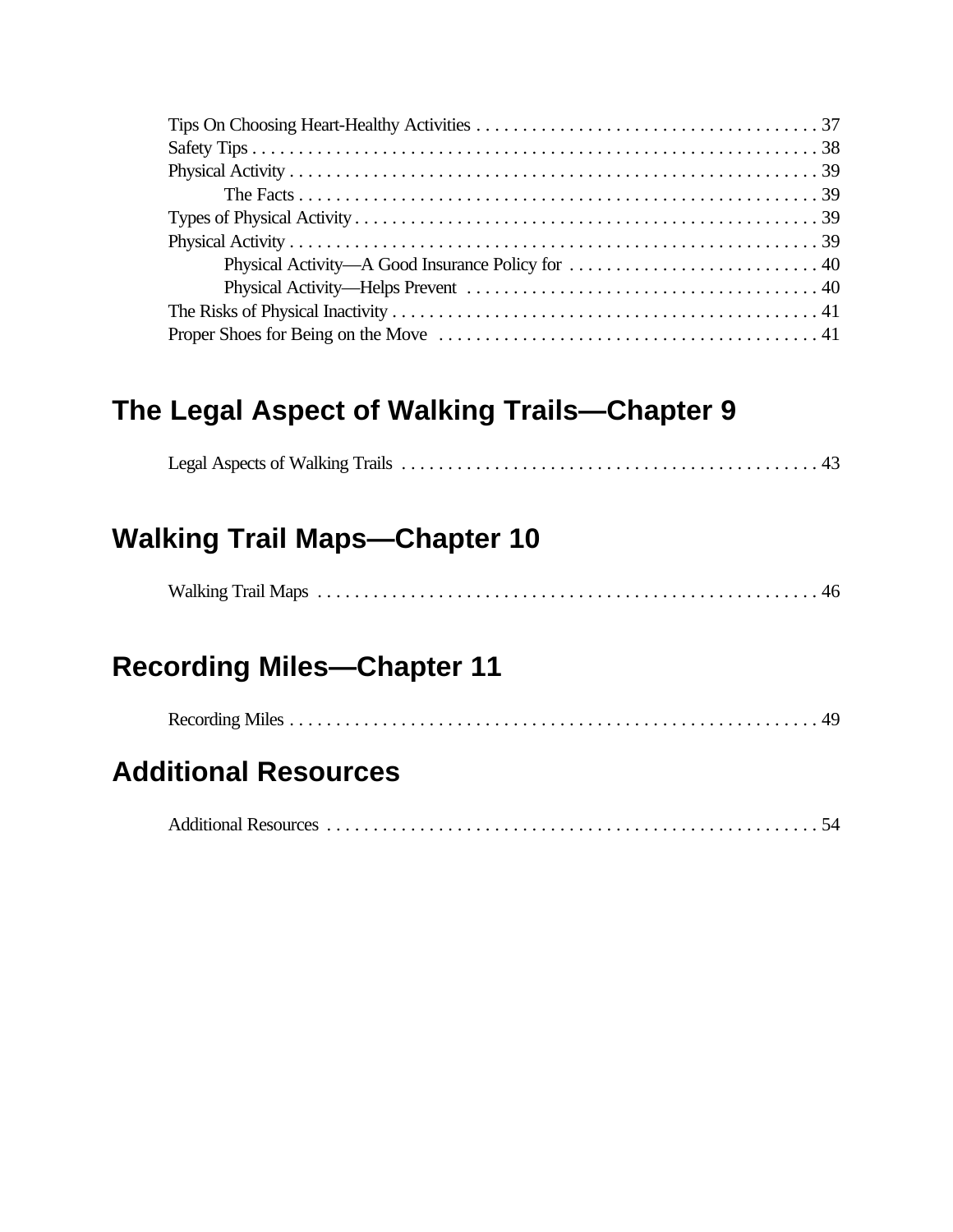## **The Legal Aspect of Walking Trails—Chapter 9**

Legal Aspects of Walking Trails ............................................. 43

# **Walking Trail Maps—Chapter 10**

|--|--|--|

### **Recording Miles—Chapter 11**

|--|--|

### **Additional Resources**

|--|--|--|--|--|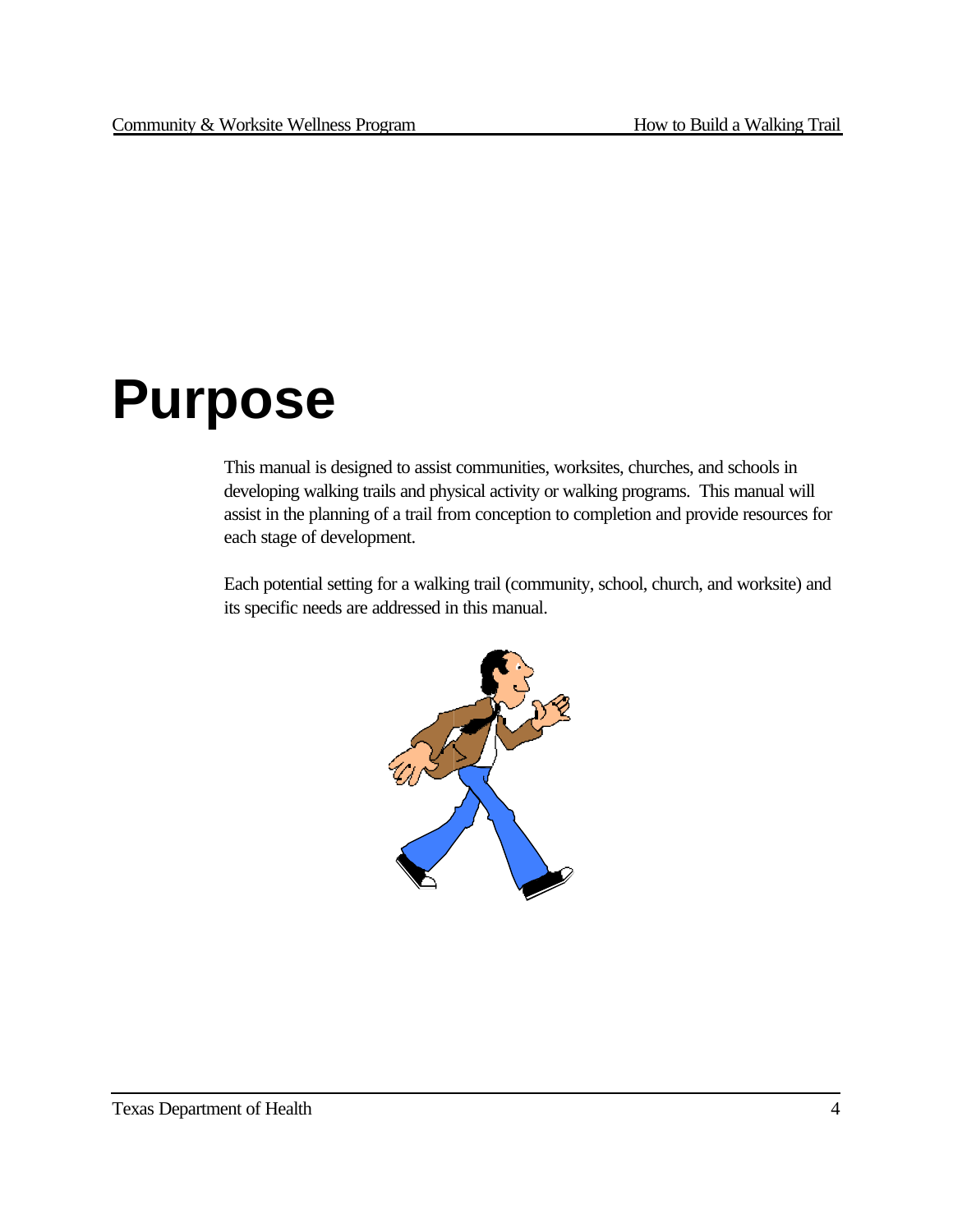# **Purpose**

This manual is designed to assist communities, worksites, churches, and schools in developing walking trails and physical activity or walking programs. This manual will assist in the planning of a trail from conception to completion and provide resources for each stage of development.

Each potential setting for a walking trail (community, school, church, and worksite) and its specific needs are addressed in this manual.

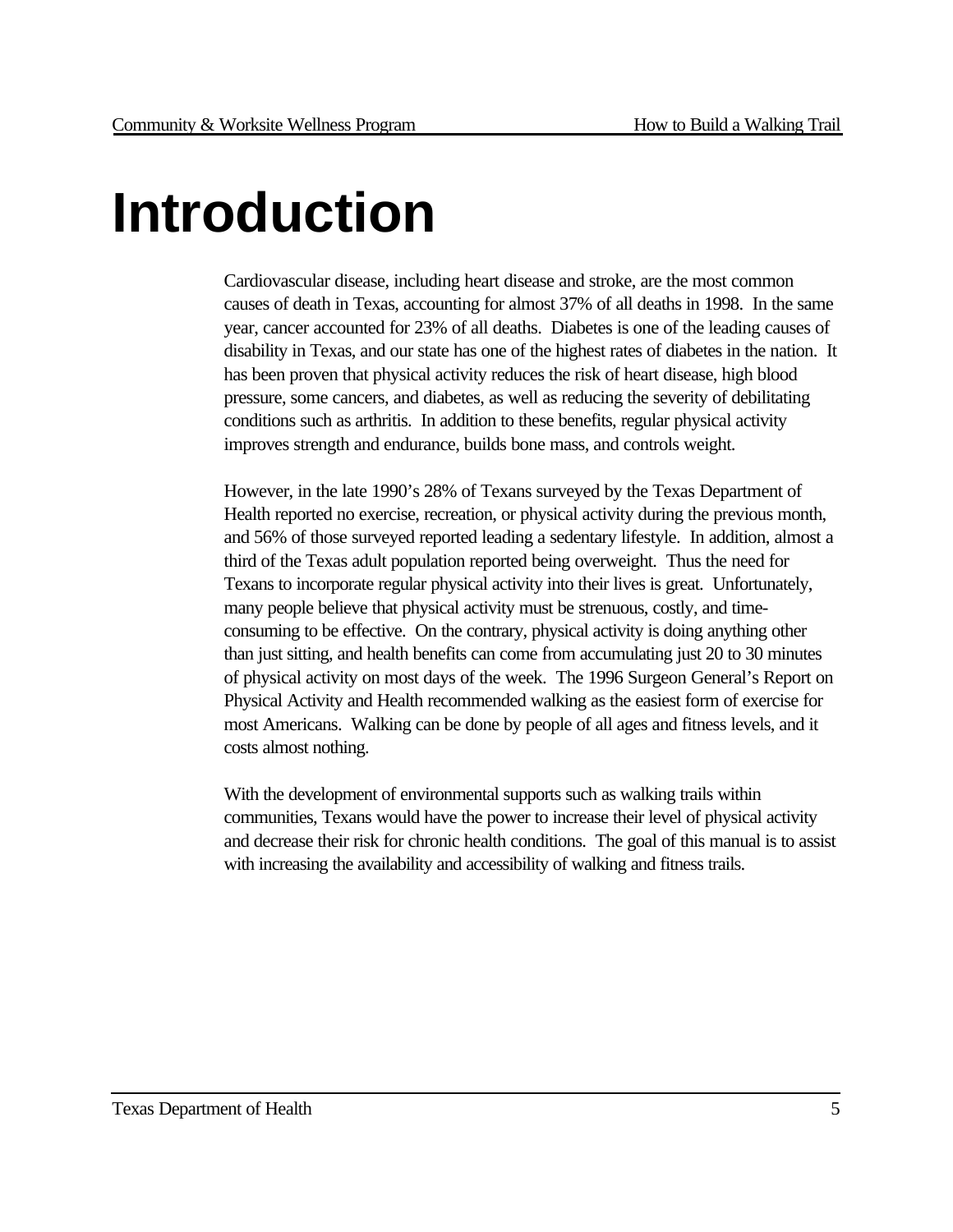# **Introduction**

Cardiovascular disease, including heart disease and stroke, are the most common causes of death in Texas, accounting for almost 37% of all deaths in 1998. In the same year, cancer accounted for 23% of all deaths. Diabetes is one of the leading causes of disability in Texas, and our state has one of the highest rates of diabetes in the nation. It has been proven that physical activity reduces the risk of heart disease, high blood pressure, some cancers, and diabetes, as well as reducing the severity of debilitating conditions such as arthritis. In addition to these benefits, regular physical activity improves strength and endurance, builds bone mass, and controls weight.

However, in the late 1990's 28% of Texans surveyed by the Texas Department of Health reported no exercise, recreation, or physical activity during the previous month, and 56% of those surveyed reported leading a sedentary lifestyle. In addition, almost a third of the Texas adult population reported being overweight. Thus the need for Texans to incorporate regular physical activity into their lives is great. Unfortunately, many people believe that physical activity must be strenuous, costly, and timeconsuming to be effective. On the contrary, physical activity is doing anything other than just sitting, and health benefits can come from accumulating just 20 to 30 minutes of physical activity on most days of the week. The 1996 Surgeon General's Report on Physical Activity and Health recommended walking as the easiest form of exercise for most Americans. Walking can be done by people of all ages and fitness levels, and it costs almost nothing.

With the development of environmental supports such as walking trails within communities, Texans would have the power to increase their level of physical activity and decrease their risk for chronic health conditions. The goal of this manual is to assist with increasing the availability and accessibility of walking and fitness trails.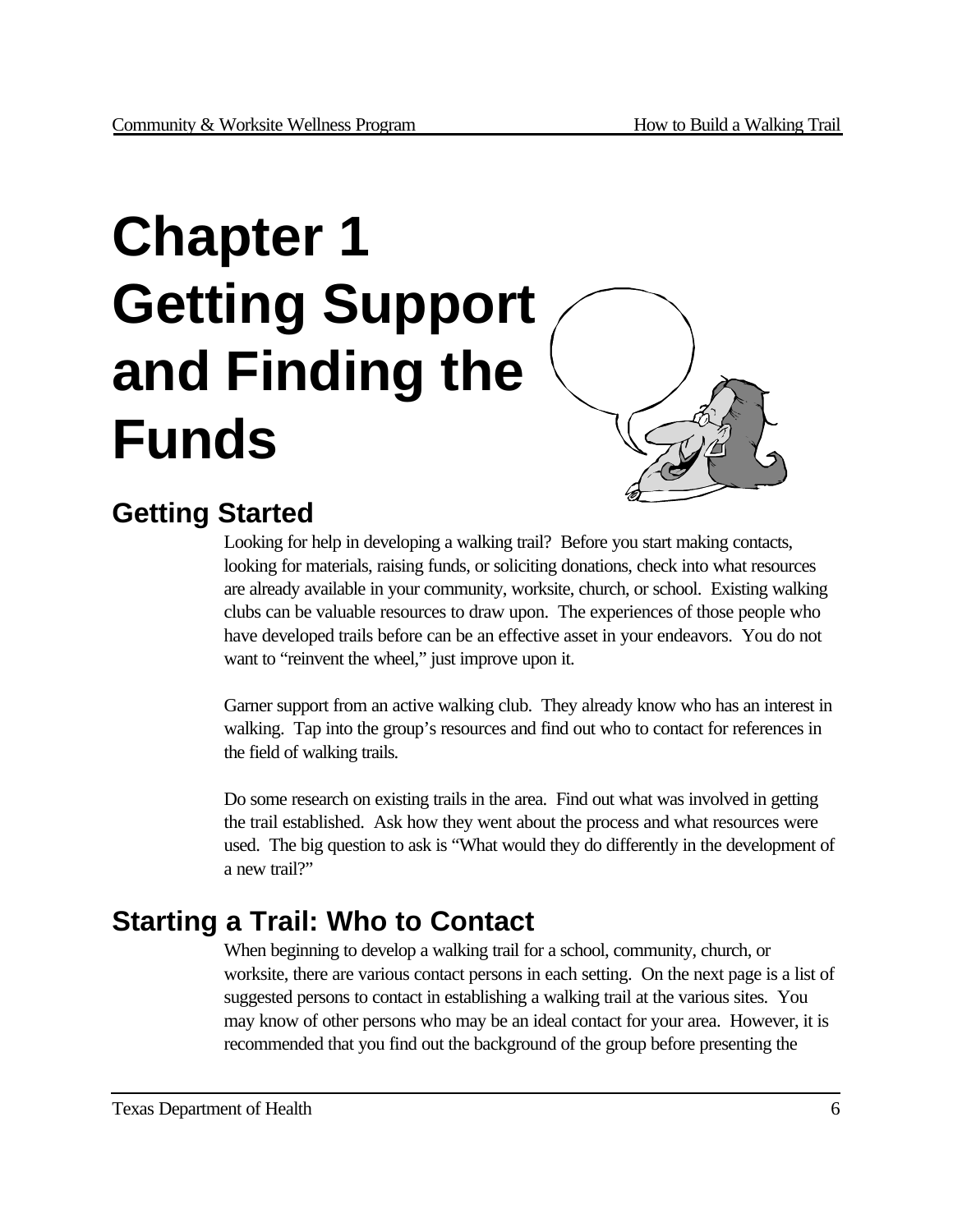# **Chapter 1 Getting Support and Finding the Funds**



# **Getting Started**

Looking for help in developing a walking trail? Before you start making contacts, looking for materials, raising funds, or soliciting donations, check into what resources are already available in your community, worksite, church, or school. Existing walking clubs can be valuable resources to draw upon. The experiences of those people who have developed trails before can be an effective asset in your endeavors. You do not want to "reinvent the wheel," just improve upon it.

Garner support from an active walking club. They already know who has an interest in walking. Tap into the group's resources and find out who to contact for references in the field of walking trails.

Do some research on existing trails in the area. Find out what was involved in getting the trail established. Ask how they went about the process and what resources were used. The big question to ask is "What would they do differently in the development of a new trail?"

# **Starting a Trail: Who to Contact**

When beginning to develop a walking trail for a school, community, church, or worksite, there are various contact persons in each setting. On the next page is a list of suggested persons to contact in establishing a walking trail at the various sites. You may know of other persons who may be an ideal contact for your area. However, it is recommended that you find out the background of the group before presenting the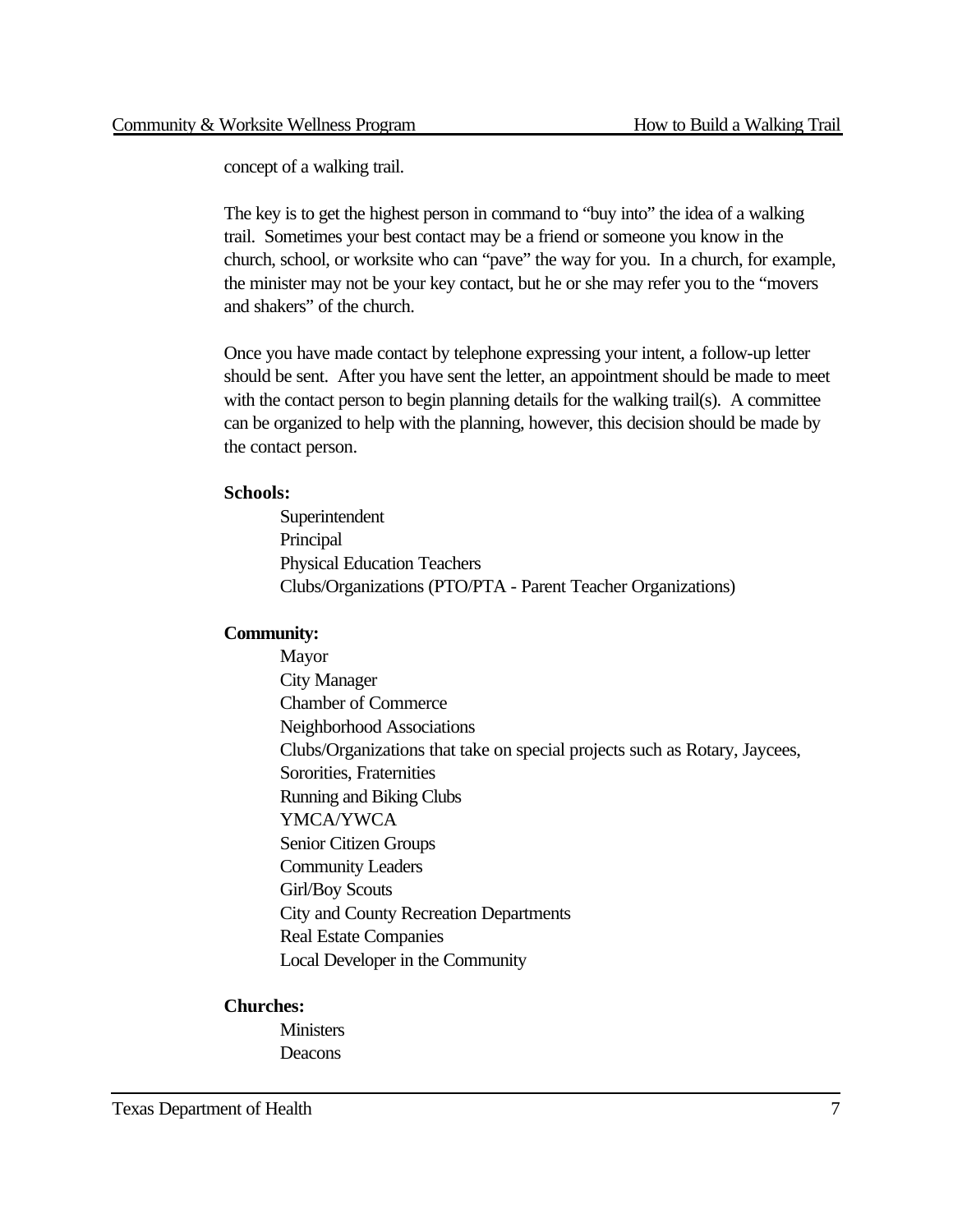concept of a walking trail.

The key is to get the highest person in command to "buy into" the idea of a walking trail. Sometimes your best contact may be a friend or someone you know in the church, school, or worksite who can "pave" the way for you. In a church, for example, the minister may not be your key contact, but he or she may refer you to the "movers and shakers" of the church.

Once you have made contact by telephone expressing your intent, a follow-up letter should be sent. After you have sent the letter, an appointment should be made to meet with the contact person to begin planning details for the walking trail(s). A committee can be organized to help with the planning, however, this decision should be made by the contact person.

#### **Schools:**

Superintendent Principal Physical Education Teachers Clubs/Organizations (PTO/PTA - Parent Teacher Organizations)

#### **Community:**

Mayor City Manager Chamber of Commerce Neighborhood Associations Clubs/Organizations that take on special projects such as Rotary, Jaycees, Sororities, Fraternities Running and Biking Clubs YMCA/YWCA Senior Citizen Groups Community Leaders Girl/Boy Scouts City and County Recreation Departments Real Estate Companies Local Developer in the Community

#### **Churches:**

**Ministers** Deacons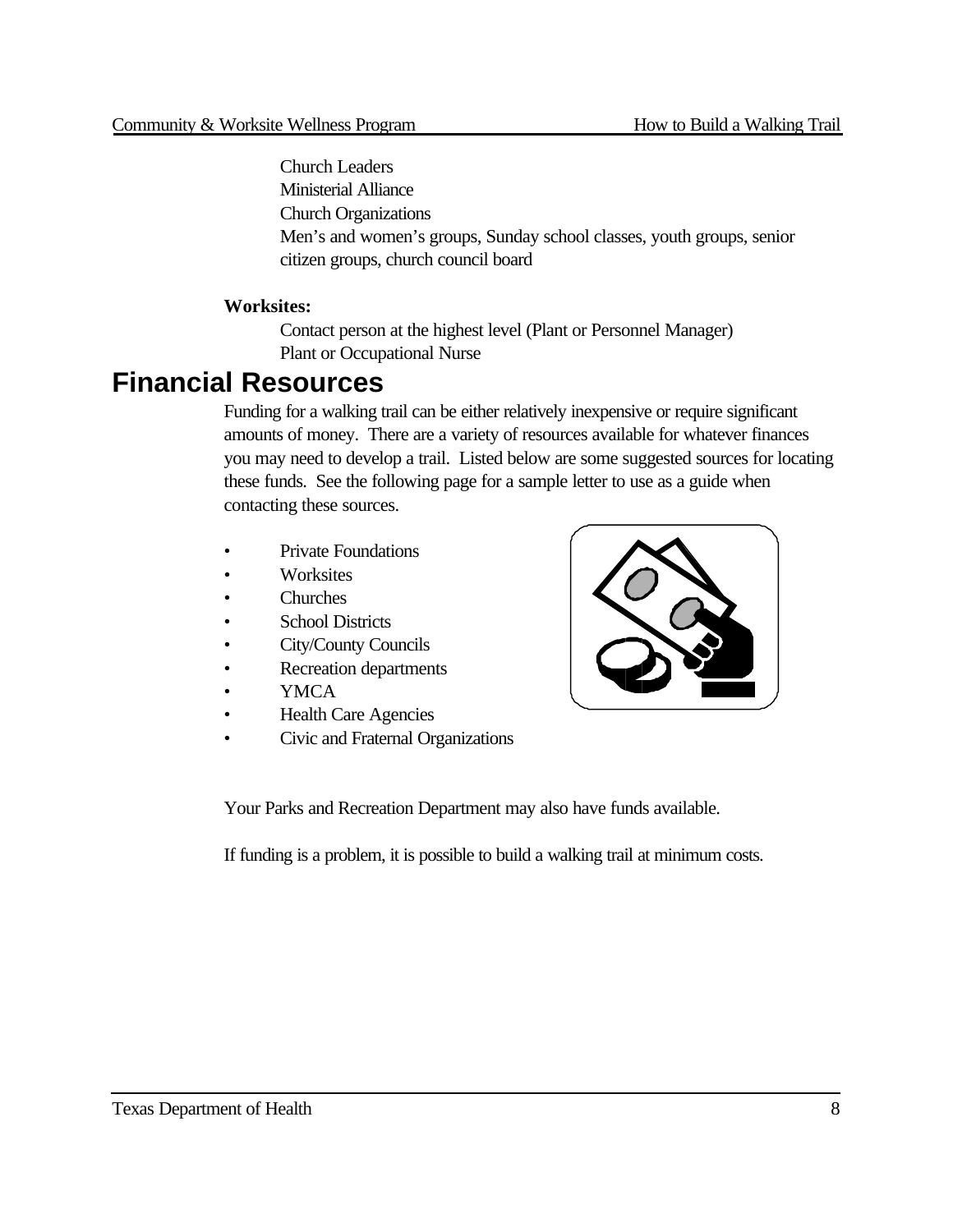Church Leaders Ministerial Alliance Church Organizations Men's and women's groups, Sunday school classes, youth groups, senior citizen groups, church council board

### **Worksites:**

Contact person at the highest level (Plant or Personnel Manager) Plant or Occupational Nurse

# **Financial Resources**

Funding for a walking trail can be either relatively inexpensive or require significant amounts of money. There are a variety of resources available for whatever finances you may need to develop a trail. Listed below are some suggested sources for locating these funds. See the following page for a sample letter to use as a guide when contacting these sources.

- Private Foundations
- **Worksites**
- Churches
- **School Districts**
- City/County Councils
- Recreation departments
- YMCA
- Health Care Agencies
- Civic and Fraternal Organizations



Your Parks and Recreation Department may also have funds available.

If funding is a problem, it is possible to build a walking trail at minimum costs.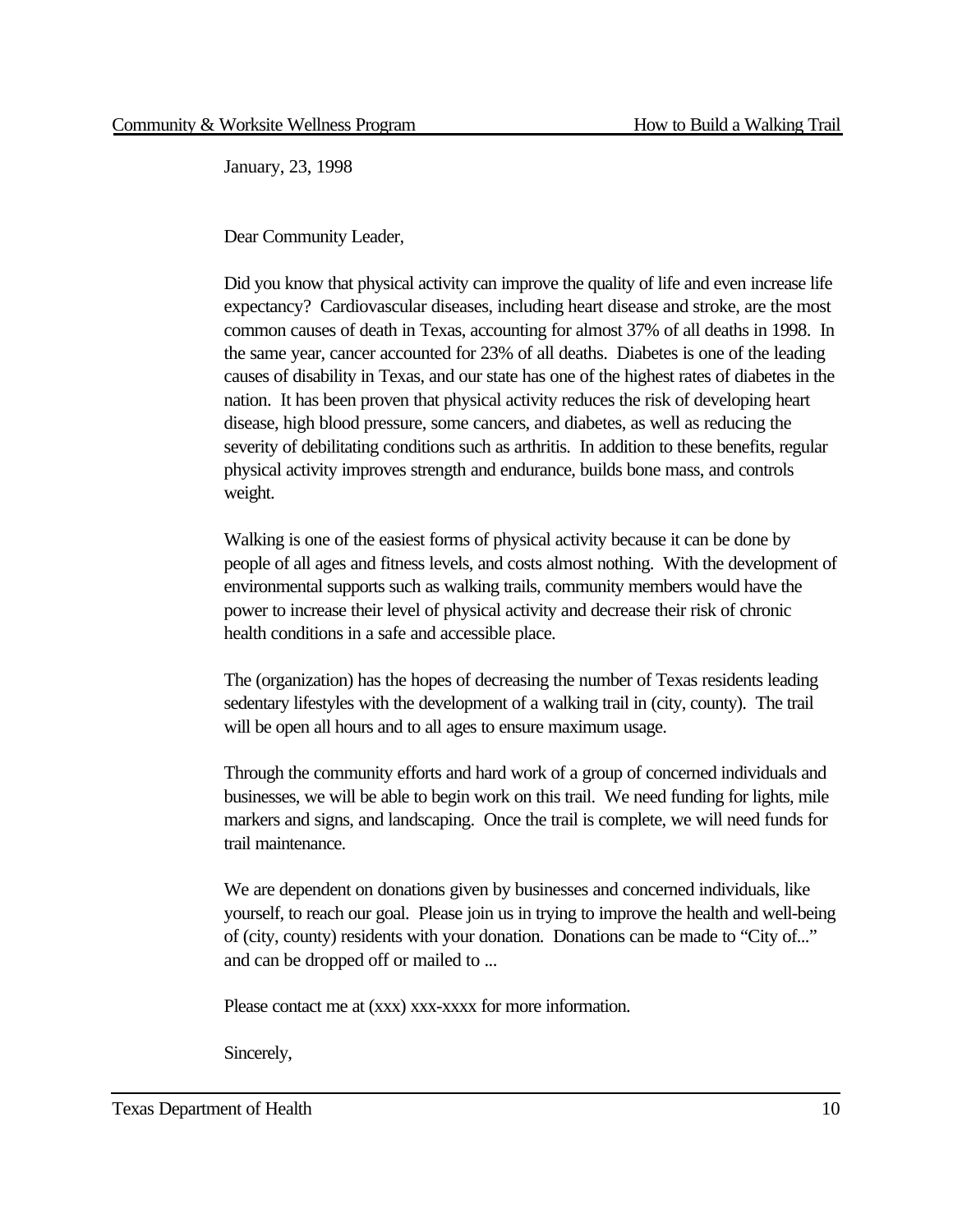January, 23, 1998

Dear Community Leader,

Did you know that physical activity can improve the quality of life and even increase life expectancy? Cardiovascular diseases, including heart disease and stroke, are the most common causes of death in Texas, accounting for almost 37% of all deaths in 1998. In the same year, cancer accounted for 23% of all deaths. Diabetes is one of the leading causes of disability in Texas, and our state has one of the highest rates of diabetes in the nation. It has been proven that physical activity reduces the risk of developing heart disease, high blood pressure, some cancers, and diabetes, as well as reducing the severity of debilitating conditions such as arthritis. In addition to these benefits, regular physical activity improves strength and endurance, builds bone mass, and controls weight.

Walking is one of the easiest forms of physical activity because it can be done by people of all ages and fitness levels, and costs almost nothing. With the development of environmental supports such as walking trails, community members would have the power to increase their level of physical activity and decrease their risk of chronic health conditions in a safe and accessible place.

The (organization) has the hopes of decreasing the number of Texas residents leading sedentary lifestyles with the development of a walking trail in (city, county). The trail will be open all hours and to all ages to ensure maximum usage.

Through the community efforts and hard work of a group of concerned individuals and businesses, we will be able to begin work on this trail. We need funding for lights, mile markers and signs, and landscaping. Once the trail is complete, we will need funds for trail maintenance.

We are dependent on donations given by businesses and concerned individuals, like yourself, to reach our goal. Please join us in trying to improve the health and well-being of (city, county) residents with your donation. Donations can be made to "City of..." and can be dropped off or mailed to ...

Please contact me at  $(xxx)$  xxx-xxxx for more information.

Sincerely,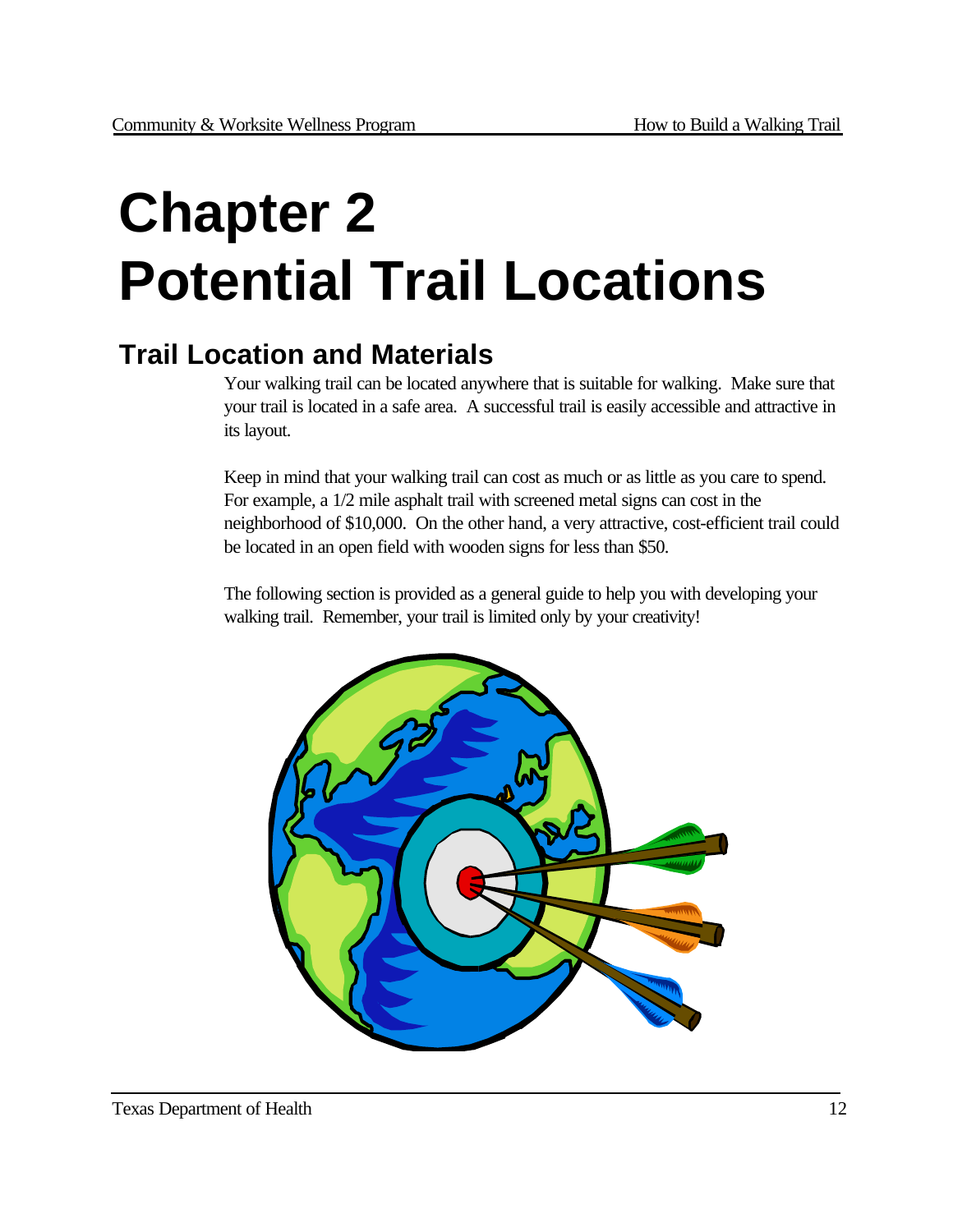# **Chapter 2 Potential Trail Locations**

# **Trail Location and Materials**

Your walking trail can be located anywhere that is suitable for walking. Make sure that your trail is located in a safe area. A successful trail is easily accessible and attractive in its layout.

Keep in mind that your walking trail can cost as much or as little as you care to spend. For example, a 1/2 mile asphalt trail with screened metal signs can cost in the neighborhood of \$10,000. On the other hand, a very attractive, cost-efficient trail could be located in an open field with wooden signs for less than \$50.

The following section is provided as a general guide to help you with developing your walking trail. Remember, your trail is limited only by your creativity!

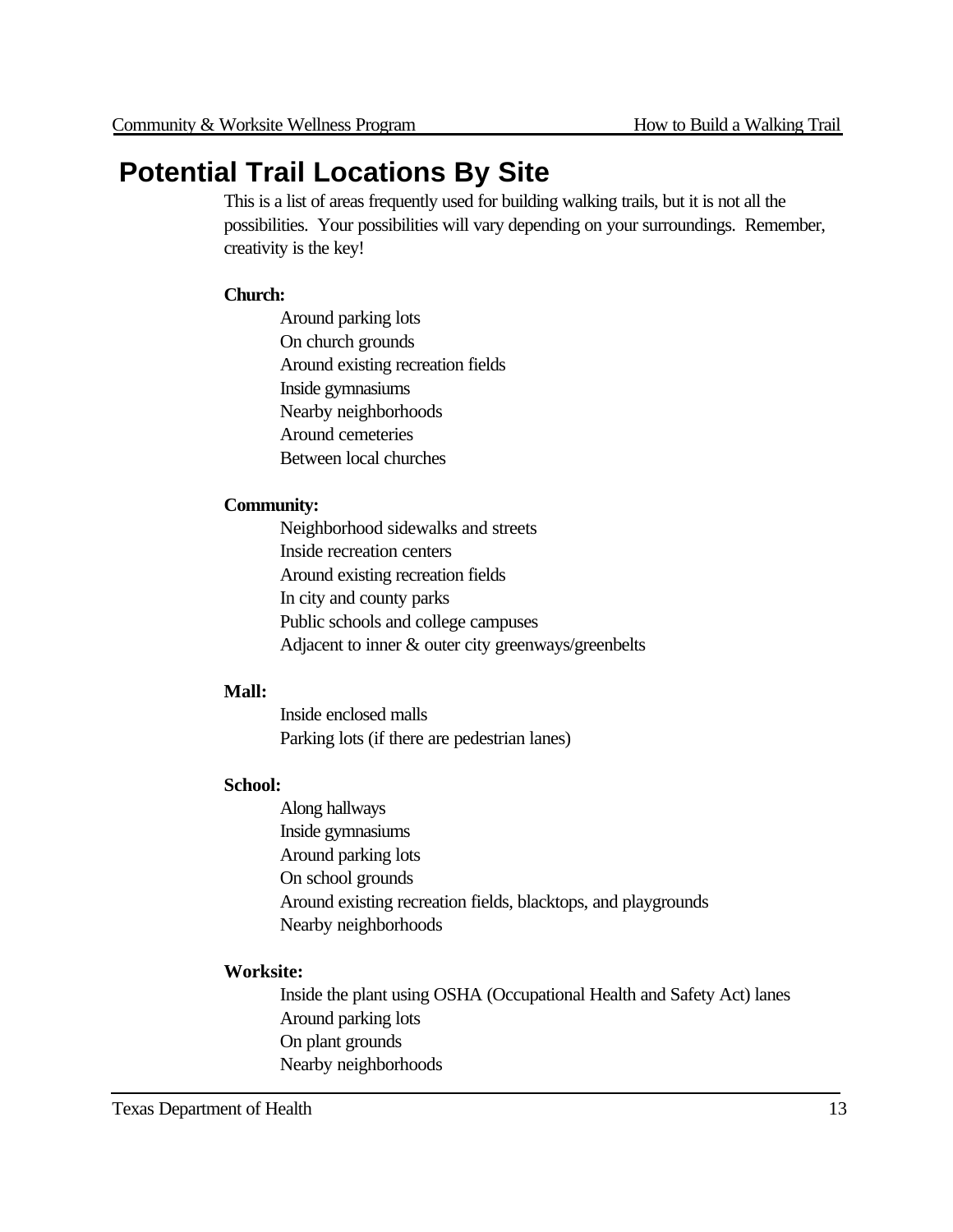# **Potential Trail Locations By Site**

This is a list of areas frequently used for building walking trails, but it is not all the possibilities. Your possibilities will vary depending on your surroundings. Remember, creativity is the key!

#### **Church:**

Around parking lots On church grounds Around existing recreation fields Inside gymnasiums Nearby neighborhoods Around cemeteries Between local churches

#### **Community:**

Neighborhood sidewalks and streets Inside recreation centers Around existing recreation fields In city and county parks Public schools and college campuses Adjacent to inner & outer city greenways/greenbelts

### **Mall:**

Inside enclosed malls Parking lots (if there are pedestrian lanes)

### **School:**

Along hallways Inside gymnasiums Around parking lots On school grounds Around existing recreation fields, blacktops, and playgrounds Nearby neighborhoods

### **Worksite:**

Inside the plant using OSHA (Occupational Health and Safety Act) lanes Around parking lots On plant grounds Nearby neighborhoods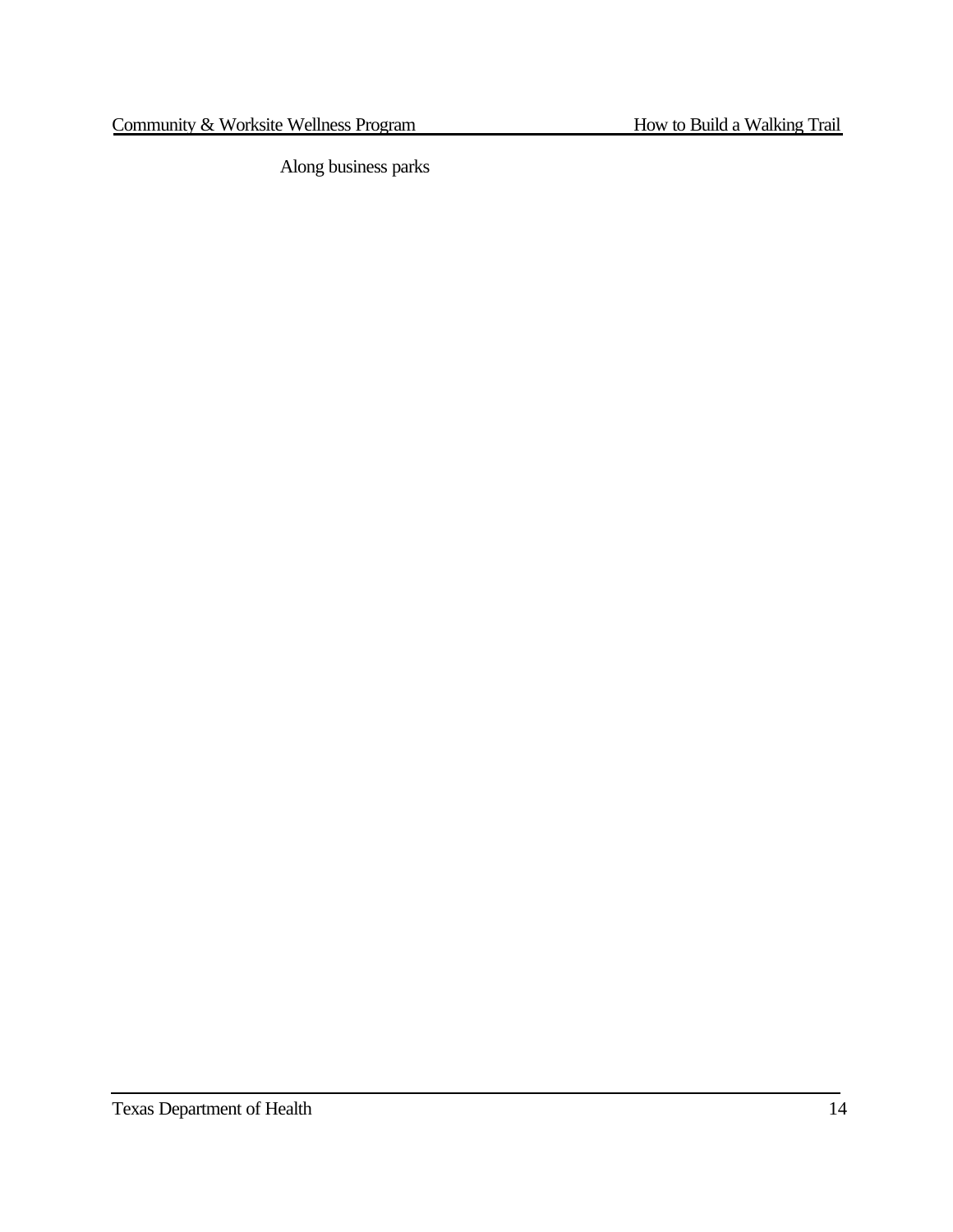Along business parks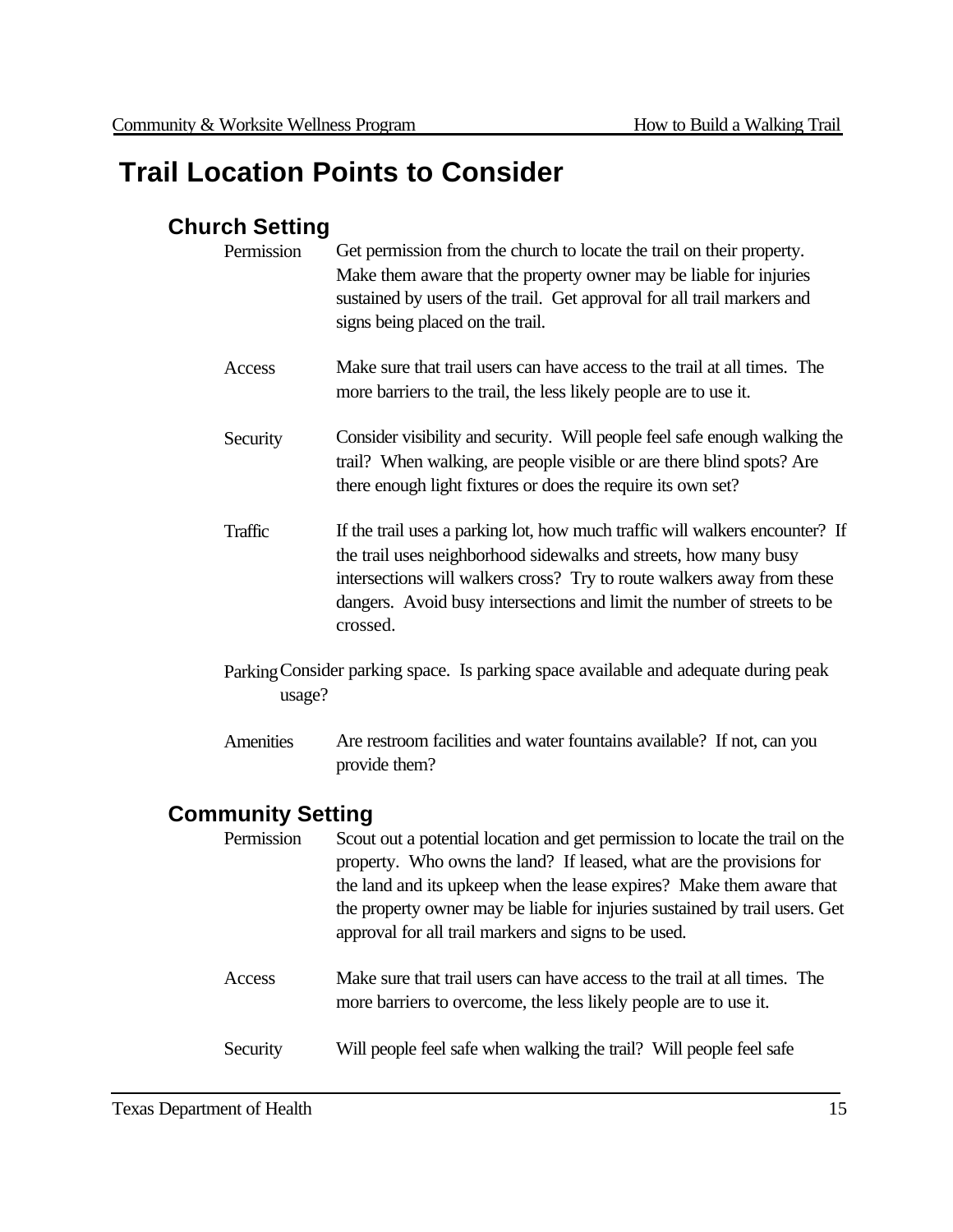# **Trail Location Points to Consider**

### **Church Setting**

| Permission               | Get permission from the church to locate the trail on their property.<br>Make them aware that the property owner may be liable for injuries<br>sustained by users of the trail. Get approval for all trail markers and<br>signs being placed on the trail.                                                                                                         |
|--------------------------|--------------------------------------------------------------------------------------------------------------------------------------------------------------------------------------------------------------------------------------------------------------------------------------------------------------------------------------------------------------------|
| Access                   | Make sure that trail users can have access to the trail at all times. The<br>more barriers to the trail, the less likely people are to use it.                                                                                                                                                                                                                     |
| Security                 | Consider visibility and security. Will people feel safe enough walking the<br>trail? When walking, are people visible or are there blind spots? Are<br>there enough light fixtures or does the require its own set?                                                                                                                                                |
| Traffic                  | If the trail uses a parking lot, how much traffic will walkers encounter? If<br>the trail uses neighborhood sidewalks and streets, how many busy<br>intersections will walkers cross? Try to route walkers away from these<br>dangers. Avoid busy intersections and limit the number of streets to be<br>crossed.                                                  |
| usage?                   | Parking Consider parking space. Is parking space available and adequate during peak                                                                                                                                                                                                                                                                                |
| <b>Amenities</b>         | Are restroom facilities and water fountains available? If not, can you<br>provide them?                                                                                                                                                                                                                                                                            |
| <b>Community Setting</b> |                                                                                                                                                                                                                                                                                                                                                                    |
| Permission               | Scout out a potential location and get permission to locate the trail on the<br>property. Who owns the land? If leased, what are the provisions for<br>the land and its upkeep when the lease expires? Make them aware that<br>the property owner may be liable for injuries sustained by trail users. Get<br>approval for all trail markers and signs to be used. |
| Access                   | Make sure that trail users can have access to the trail at all times. The<br>more barriers to overcome, the less likely people are to use it.                                                                                                                                                                                                                      |
| Security                 | Will people feel safe when walking the trail? Will people feel safe                                                                                                                                                                                                                                                                                                |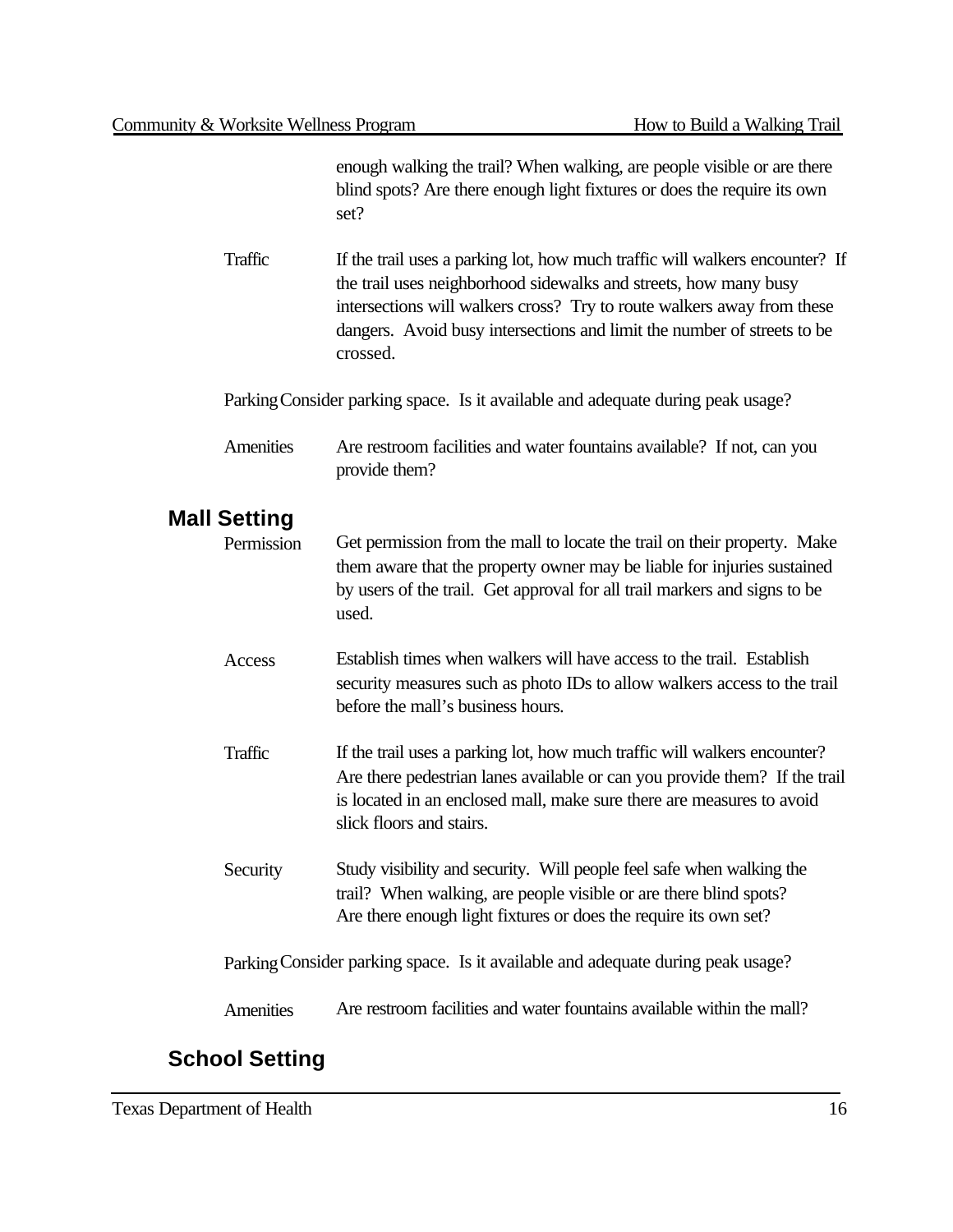enough walking the trail? When walking, are people visible or are there blind spots? Are there enough light fixtures or does the require its own set?

Traffic If the trail uses a parking lot, how much traffic will walkers encounter? If the trail uses neighborhood sidewalks and streets, how many busy intersections will walkers cross? Try to route walkers away from these dangers. Avoid busy intersections and limit the number of streets to be crossed.

Parking Consider parking space. Is it available and adequate during peak usage?

Amenities Are restroom facilities and water fountains available? If not, can you provide them?

### **Mall Setting**

| Permission                                                                      | Get permission from the mall to locate the trail on their property. Make<br>them aware that the property owner may be liable for injuries sustained<br>by users of the trail. Get approval for all trail markers and signs to be<br>used.                    |  |
|---------------------------------------------------------------------------------|--------------------------------------------------------------------------------------------------------------------------------------------------------------------------------------------------------------------------------------------------------------|--|
| Access                                                                          | Establish times when walkers will have access to the trail. Establish<br>security measures such as photo IDs to allow walkers access to the trail<br>before the mall's business hours.                                                                       |  |
| Traffic                                                                         | If the trail uses a parking lot, how much traffic will walkers encounter?<br>Are there pedestrian lanes available or can you provide them? If the trail<br>is located in an enclosed mall, make sure there are measures to avoid<br>slick floors and stairs. |  |
| Security                                                                        | Study visibility and security. Will people feel safe when walking the<br>trail? When walking, are people visible or are there blind spots?<br>Are there enough light fixtures or does the require its own set?                                               |  |
| Parking Consider parking space. Is it available and adequate during peak usage? |                                                                                                                                                                                                                                                              |  |
| <b>Amenities</b>                                                                | Are restroom facilities and water fountains available within the mall?                                                                                                                                                                                       |  |
|                                                                                 |                                                                                                                                                                                                                                                              |  |

### **School Setting**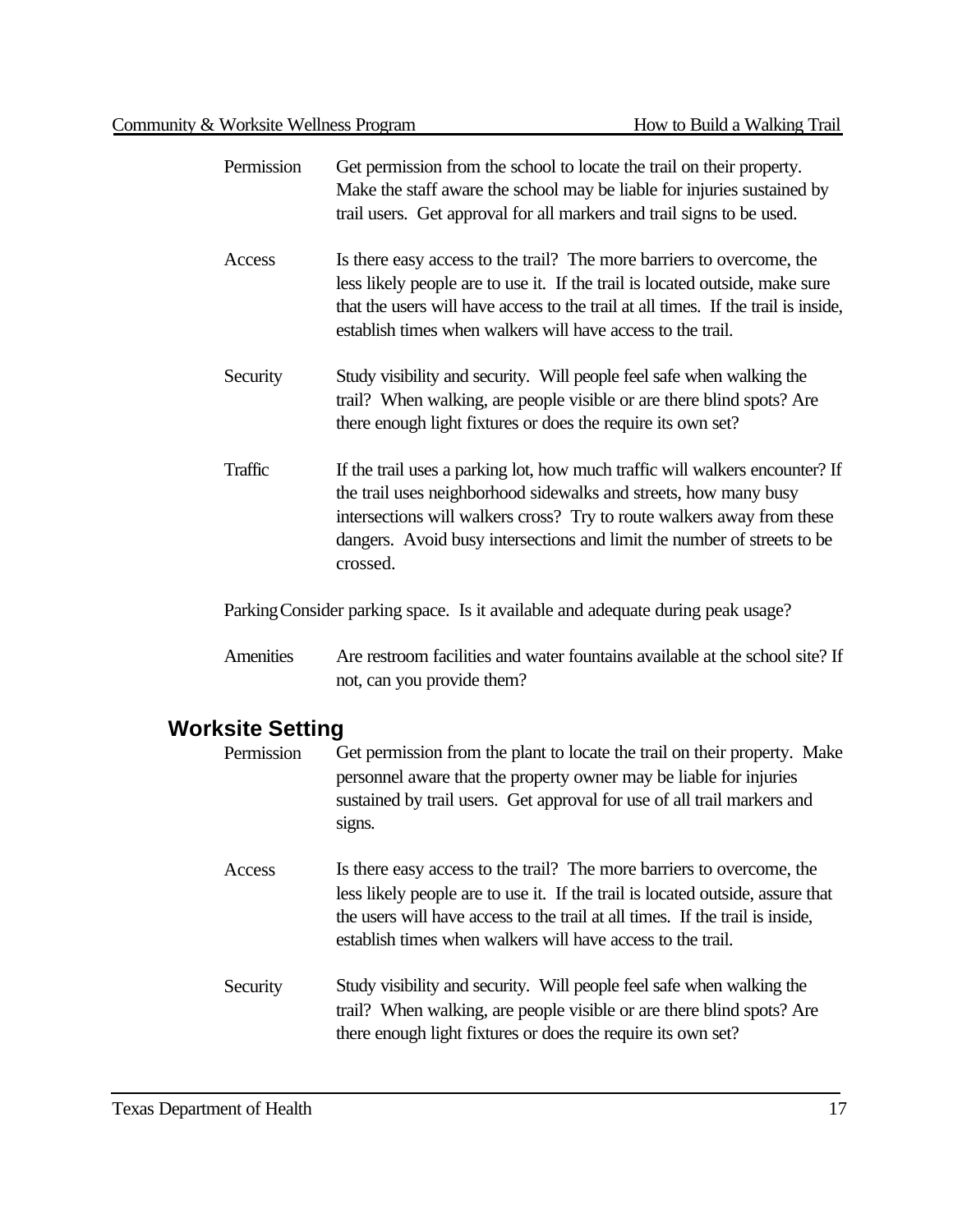| Permission                            | Get permission from the school to locate the trail on their property.<br>Make the staff aware the school may be liable for injuries sustained by<br>trail users. Get approval for all markers and trail signs to be used.                                                                                         |  |
|---------------------------------------|-------------------------------------------------------------------------------------------------------------------------------------------------------------------------------------------------------------------------------------------------------------------------------------------------------------------|--|
| Access                                | Is there easy access to the trail? The more barriers to overcome, the<br>less likely people are to use it. If the trail is located outside, make sure<br>that the users will have access to the trail at all times. If the trail is inside,<br>establish times when walkers will have access to the trail.        |  |
| Security                              | Study visibility and security. Will people feel safe when walking the<br>trail? When walking, are people visible or are there blind spots? Are<br>there enough light fixtures or does the require its own set?                                                                                                    |  |
| Traffic                               | If the trail uses a parking lot, how much traffic will walkers encounter? If<br>the trail uses neighborhood sidewalks and streets, how many busy<br>intersections will walkers cross? Try to route walkers away from these<br>dangers. Avoid busy intersections and limit the number of streets to be<br>crossed. |  |
|                                       | Parking Consider parking space. Is it available and adequate during peak usage?                                                                                                                                                                                                                                   |  |
| Amenities                             | Are restroom facilities and water fountains available at the school site? If<br>not, can you provide them?                                                                                                                                                                                                        |  |
| <b>Worksite Setting</b><br>Permission | Get permission from the plant to locate the trail on their property. Make<br>personnel aware that the property owner may be liable for injuries<br>sustained by trail users. Get approval for use of all trail markers and<br>signs.                                                                              |  |
| Access                                | Is there easy access to the trail? The more barriers to overcome, the<br>less likely people are to use it. If the trail is located outside, assure that<br>the users will have access to the trail at all times. If the trail is inside,<br>establish times when walkers will have access to the trail.           |  |
| Security                              | Study visibility and security. Will people feel safe when walking the<br>trail? When walking, are people visible or are there blind spots? Are<br>there enough light fixtures or does the require its own set?                                                                                                    |  |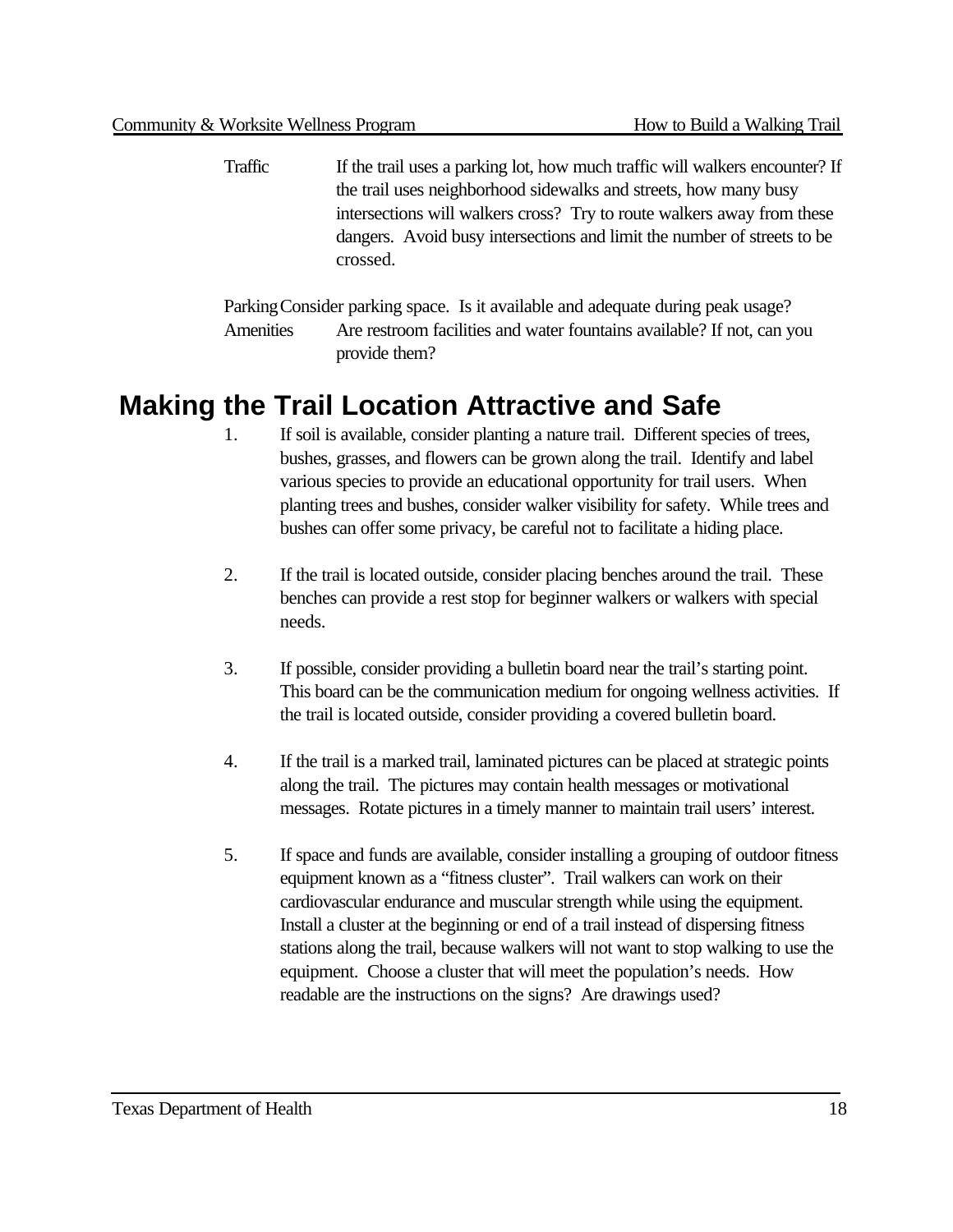Traffic If the trail uses a parking lot, how much traffic will walkers encounter? If the trail uses neighborhood sidewalks and streets, how many busy intersections will walkers cross? Try to route walkers away from these dangers. Avoid busy intersections and limit the number of streets to be crossed.

Parking Consider parking space. Is it available and adequate during peak usage? Amenities Are restroom facilities and water fountains available? If not, can you provide them?

# **Making the Trail Location Attractive and Safe**

- 1. If soil is available, consider planting a nature trail. Different species of trees, bushes, grasses, and flowers can be grown along the trail. Identify and label various species to provide an educational opportunity for trail users. When planting trees and bushes, consider walker visibility for safety. While trees and bushes can offer some privacy, be careful not to facilitate a hiding place.
- 2. If the trail is located outside, consider placing benches around the trail. These benches can provide a rest stop for beginner walkers or walkers with special needs.
- 3. If possible, consider providing a bulletin board near the trail's starting point. This board can be the communication medium for ongoing wellness activities. If the trail is located outside, consider providing a covered bulletin board.
- 4. If the trail is a marked trail, laminated pictures can be placed at strategic points along the trail. The pictures may contain health messages or motivational messages. Rotate pictures in a timely manner to maintain trail users' interest.
- 5. If space and funds are available, consider installing a grouping of outdoor fitness equipment known as a "fitness cluster". Trail walkers can work on their cardiovascular endurance and muscular strength while using the equipment. Install a cluster at the beginning or end of a trail instead of dispersing fitness stations along the trail, because walkers will not want to stop walking to use the equipment. Choose a cluster that will meet the population's needs. How readable are the instructions on the signs? Are drawings used?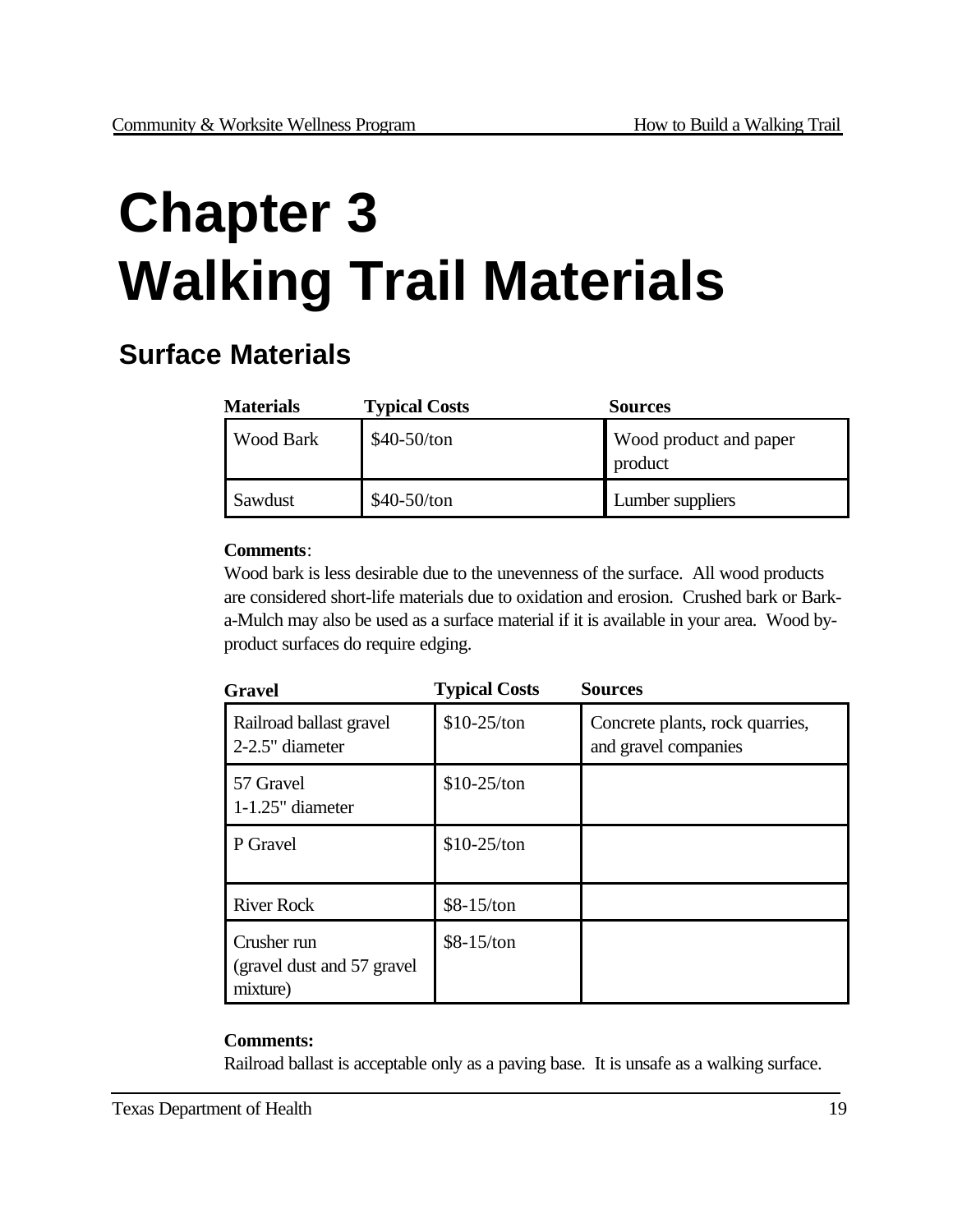# **Chapter 3 Walking Trail Materials**

# **Surface Materials**

| <b>Materials</b> | <b>Typical Costs</b> | <b>Sources</b>                    |
|------------------|----------------------|-----------------------------------|
| <b>Wood Bark</b> | $$40-50/ton$         | Wood product and paper<br>product |
| Sawdust          | $$40-50/ton$         | Lumber suppliers                  |

### **Comments**:

Wood bark is less desirable due to the unevenness of the surface. All wood products are considered short-life materials due to oxidation and erosion. Crushed bark or Barka-Mulch may also be used as a surface material if it is available in your area. Wood byproduct surfaces do require edging.

| <b>Gravel</b>                                          | <b>Typical Costs</b> | <b>Sources</b>                                          |
|--------------------------------------------------------|----------------------|---------------------------------------------------------|
| Railroad ballast gravel<br>2-2.5" diameter             | $$10-25/ton$         | Concrete plants, rock quarries,<br>and gravel companies |
| 57 Gravel<br>$1-1.25$ " diameter                       | $$10-25/ton$         |                                                         |
| P Gravel                                               | $$10-25/ton$         |                                                         |
| <b>River Rock</b>                                      | $$8-15/ton$          |                                                         |
| Crusher run<br>(gravel dust and 57 gravel)<br>mixture) | $$8-15/ton$          |                                                         |

### **Comments:**

Railroad ballast is acceptable only as a paving base. It is unsafe as a walking surface.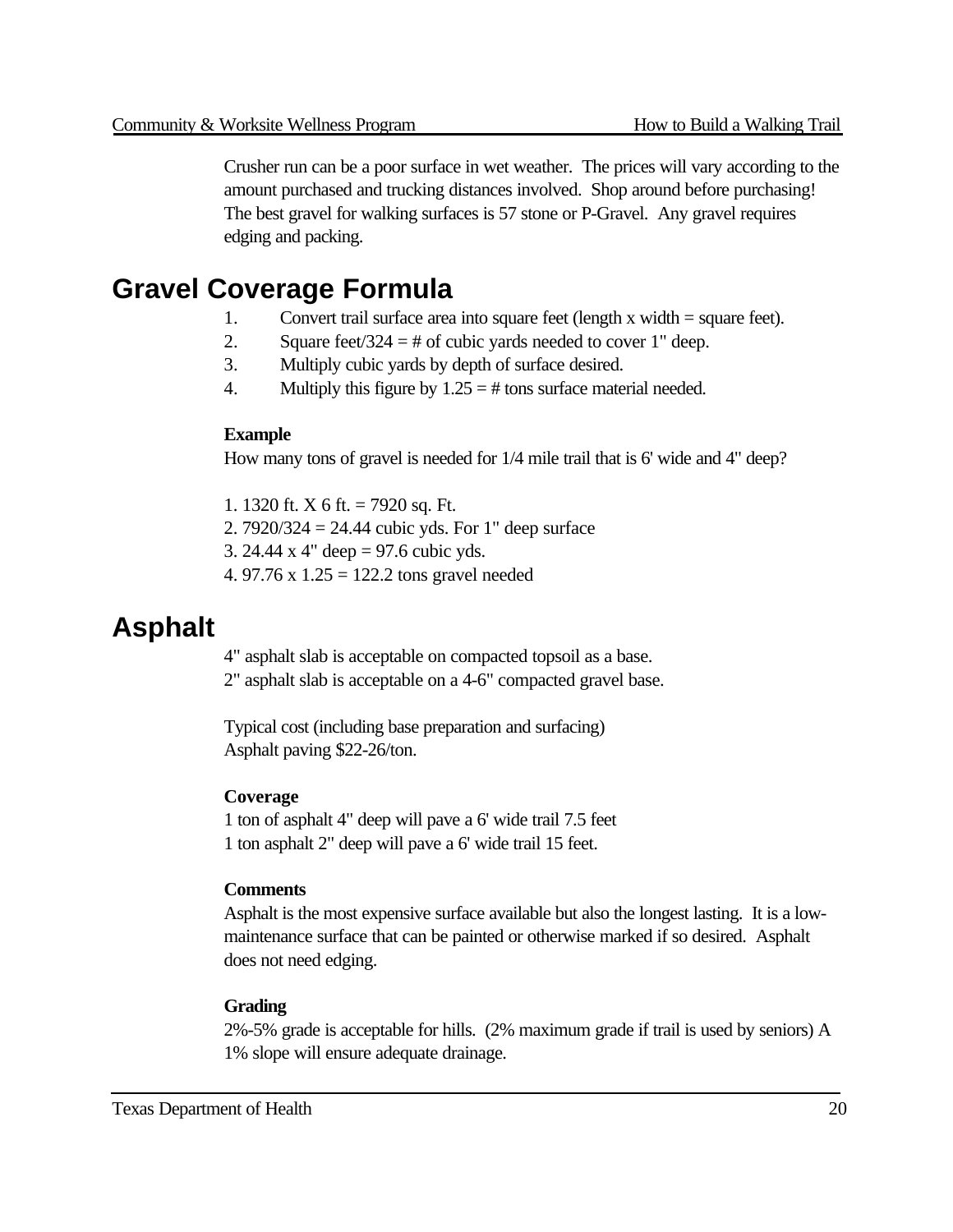Crusher run can be a poor surface in wet weather. The prices will vary according to the amount purchased and trucking distances involved. Shop around before purchasing! The best gravel for walking surfaces is 57 stone or P-Gravel. Any gravel requires edging and packing.

### **Gravel Coverage Formula**

- 1. Convert trail surface area into square feet (length x width = square feet).
- 2. Square feet/324  $=$  # of cubic yards needed to cover 1" deep.
- 3. Multiply cubic yards by depth of surface desired.
- 4. Multiply this figure by  $1.25 = #$  tons surface material needed.

#### **Example**

How many tons of gravel is needed for 1/4 mile trail that is 6' wide and 4" deep?

1. 1320 ft. X 6 ft. = 7920 sq. Ft.

- 2. 7920/324 = 24.44 cubic yds. For 1" deep surface
- 3. 24.44 x 4" deep = 97.6 cubic yds.
- 4. 97.76 x 1.25 = 122.2 tons gravel needed

### **Asphalt**

4" asphalt slab is acceptable on compacted topsoil as a base.

2" asphalt slab is acceptable on a 4-6" compacted gravel base.

Typical cost (including base preparation and surfacing) Asphalt paving \$22-26/ton.

### **Coverage**

1 ton of asphalt 4" deep will pave a 6' wide trail 7.5 feet 1 ton asphalt 2" deep will pave a 6' wide trail 15 feet.

### **Comments**

Asphalt is the most expensive surface available but also the longest lasting. It is a lowmaintenance surface that can be painted or otherwise marked if so desired. Asphalt does not need edging.

### **Grading**

2%-5% grade is acceptable for hills. (2% maximum grade if trail is used by seniors) A 1% slope will ensure adequate drainage.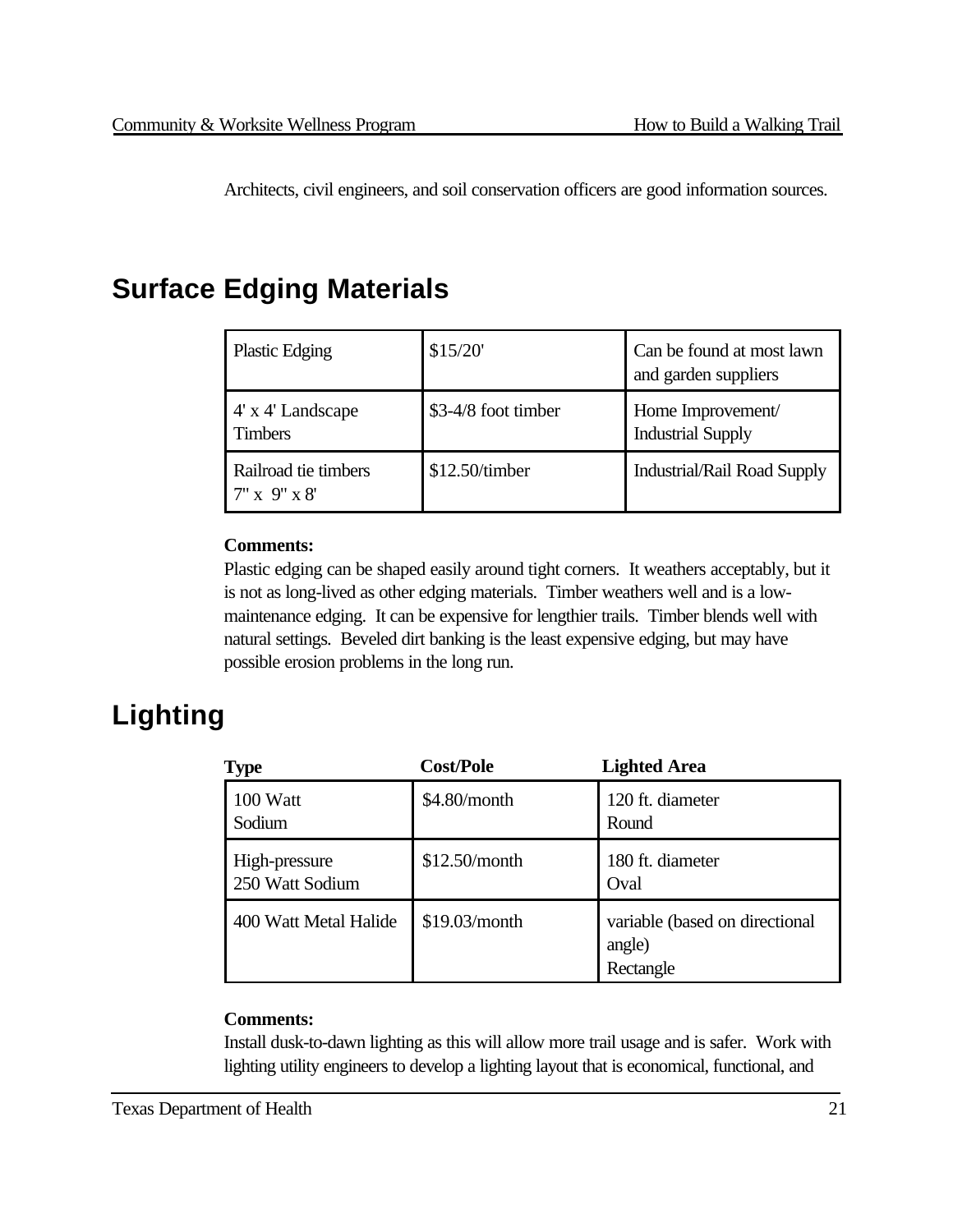Architects, civil engineers, and soil conservation officers are good information sources.

# **Surface Edging Materials**

| <b>Plastic Edging</b>                              | \$15/20'            | Can be found at most lawn<br>and garden suppliers |
|----------------------------------------------------|---------------------|---------------------------------------------------|
| 4' x 4' Landscape<br><b>Timbers</b>                | \$3-4/8 foot timber | Home Improvement/<br><b>Industrial Supply</b>     |
| Railroad tie timbers<br>$7'' \times 9'' \times 8'$ | \$12.50/timber      | <b>Industrial/Rail Road Supply</b>                |

### **Comments:**

Plastic edging can be shaped easily around tight corners. It weathers acceptably, but it is not as long-lived as other edging materials. Timber weathers well and is a lowmaintenance edging. It can be expensive for lengthier trails. Timber blends well with natural settings. Beveled dirt banking is the least expensive edging, but may have possible erosion problems in the long run.

# **Lighting**

| <b>Type</b>                      | <b>Cost/Pole</b> | <b>Lighted Area</b>                                   |
|----------------------------------|------------------|-------------------------------------------------------|
| 100 Watt<br>Sodium               | \$4.80/month     | 120 ft. diameter<br>Round                             |
| High-pressure<br>250 Watt Sodium | \$12.50/month    | 180 ft. diameter<br>Oval                              |
| 400 Watt Metal Halide            | \$19.03/month    | variable (based on directional<br>angle)<br>Rectangle |

### **Comments:**

Install dusk-to-dawn lighting as this will allow more trail usage and is safer. Work with lighting utility engineers to develop a lighting layout that is economical, functional, and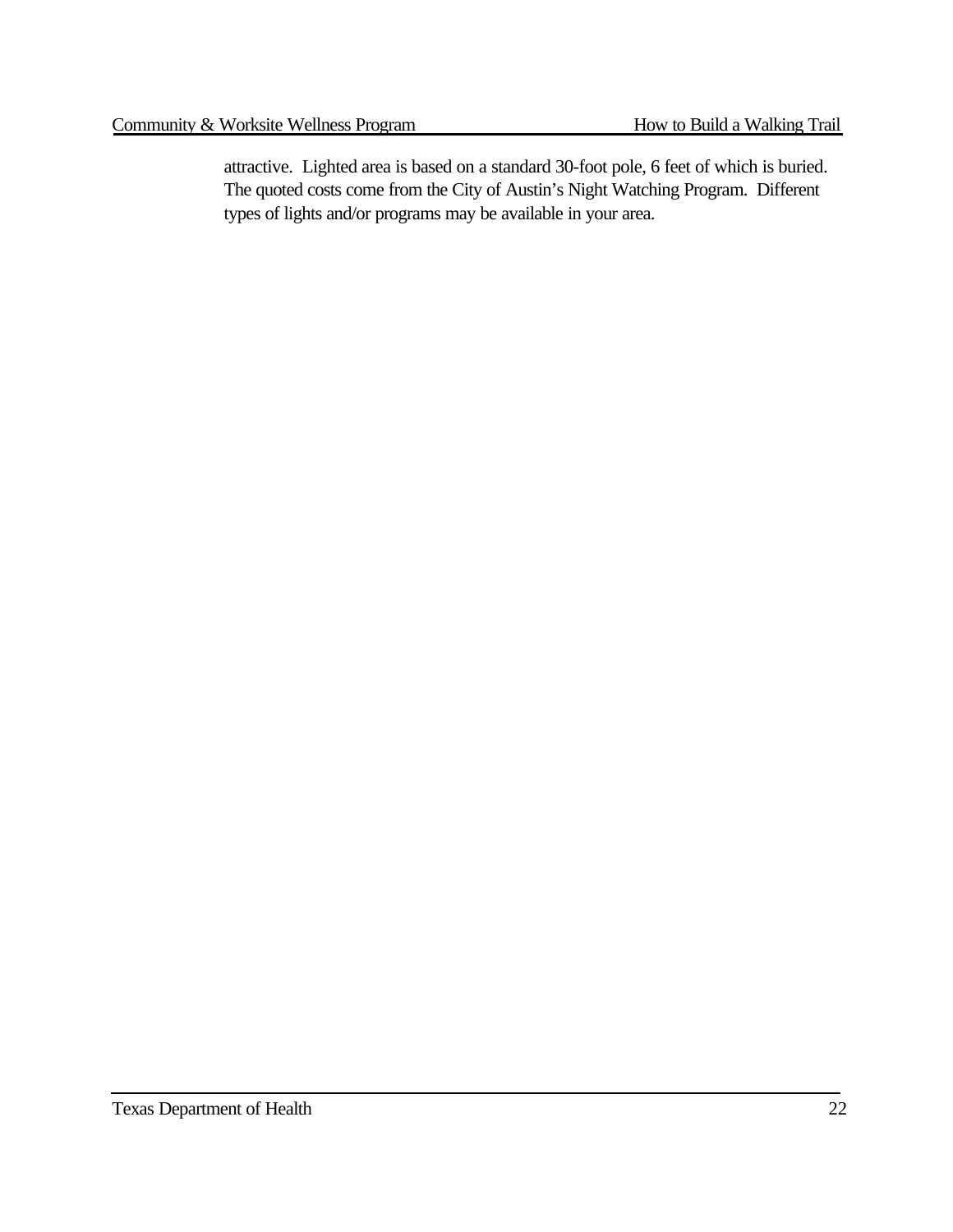attractive. Lighted area is based on a standard 30-foot pole, 6 feet of which is buried. The quoted costs come from the City of Austin's Night Watching Program. Different types of lights and/or programs may be available in your area.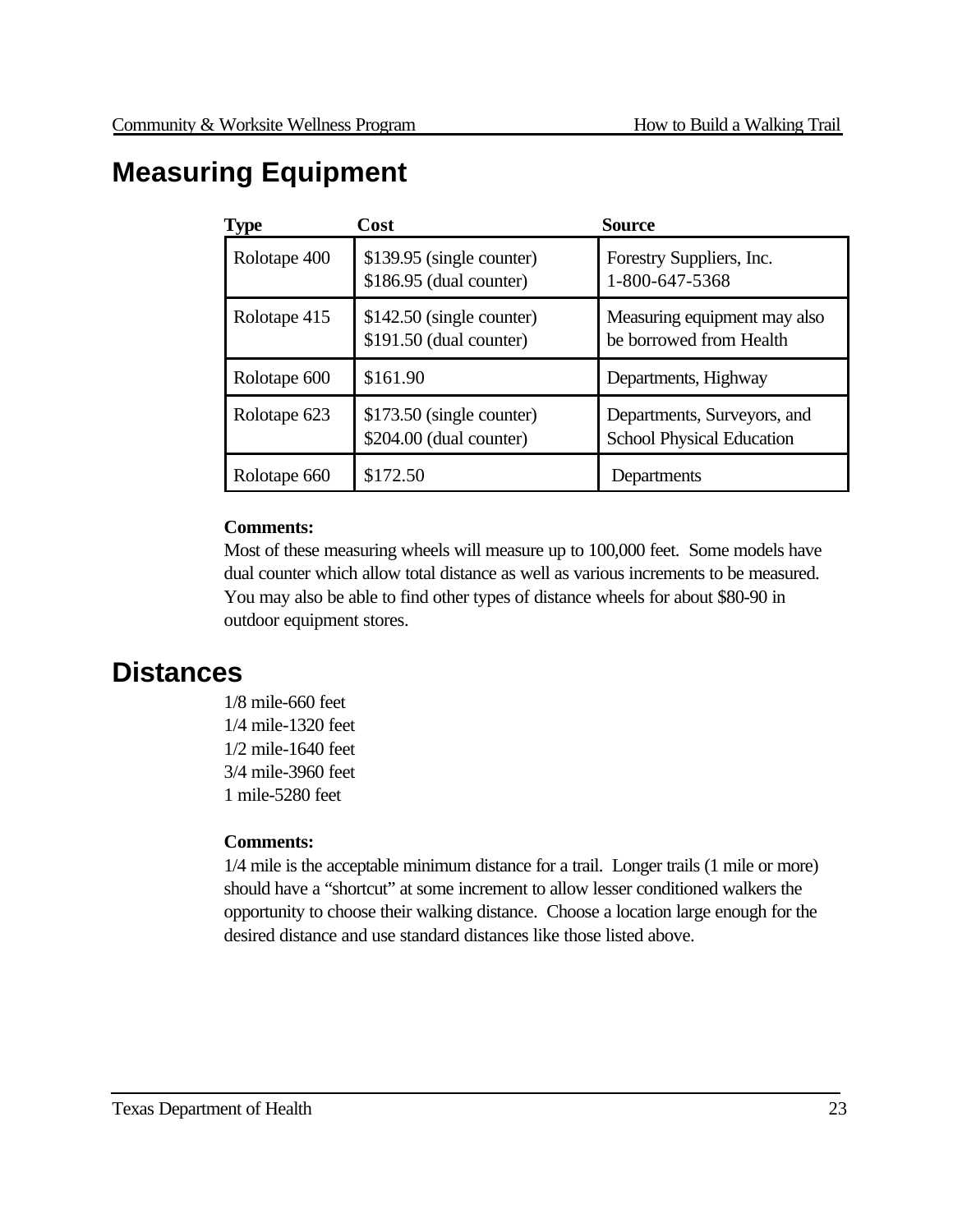# **Measuring Equipment**

| <b>Type</b>  | Cost                                                   | <b>Source</b>                                                   |
|--------------|--------------------------------------------------------|-----------------------------------------------------------------|
| Rolotape 400 | \$139.95 (single counter)<br>$$186.95$ (dual counter)  | Forestry Suppliers, Inc.<br>1-800-647-5368                      |
| Rolotape 415 | $$142.50$ (single counter)<br>$$191.50$ (dual counter) | Measuring equipment may also<br>be borrowed from Health         |
| Rolotape 600 | \$161.90                                               | Departments, Highway                                            |
| Rolotape 623 | $$173.50$ (single counter)<br>$$204.00$ (dual counter) | Departments, Surveyors, and<br><b>School Physical Education</b> |
| Rolotape 660 | \$172.50                                               | Departments                                                     |

### **Comments:**

Most of these measuring wheels will measure up to 100,000 feet. Some models have dual counter which allow total distance as well as various increments to be measured. You may also be able to find other types of distance wheels for about \$80-90 in outdoor equipment stores.

### **Distances**

1/8 mile-660 feet 1/4 mile-1320 feet 1/2 mile-1640 feet 3/4 mile-3960 feet 1 mile-5280 feet

### **Comments:**

1/4 mile is the acceptable minimum distance for a trail. Longer trails (1 mile or more) should have a "shortcut" at some increment to allow lesser conditioned walkers the opportunity to choose their walking distance. Choose a location large enough for the desired distance and use standard distances like those listed above.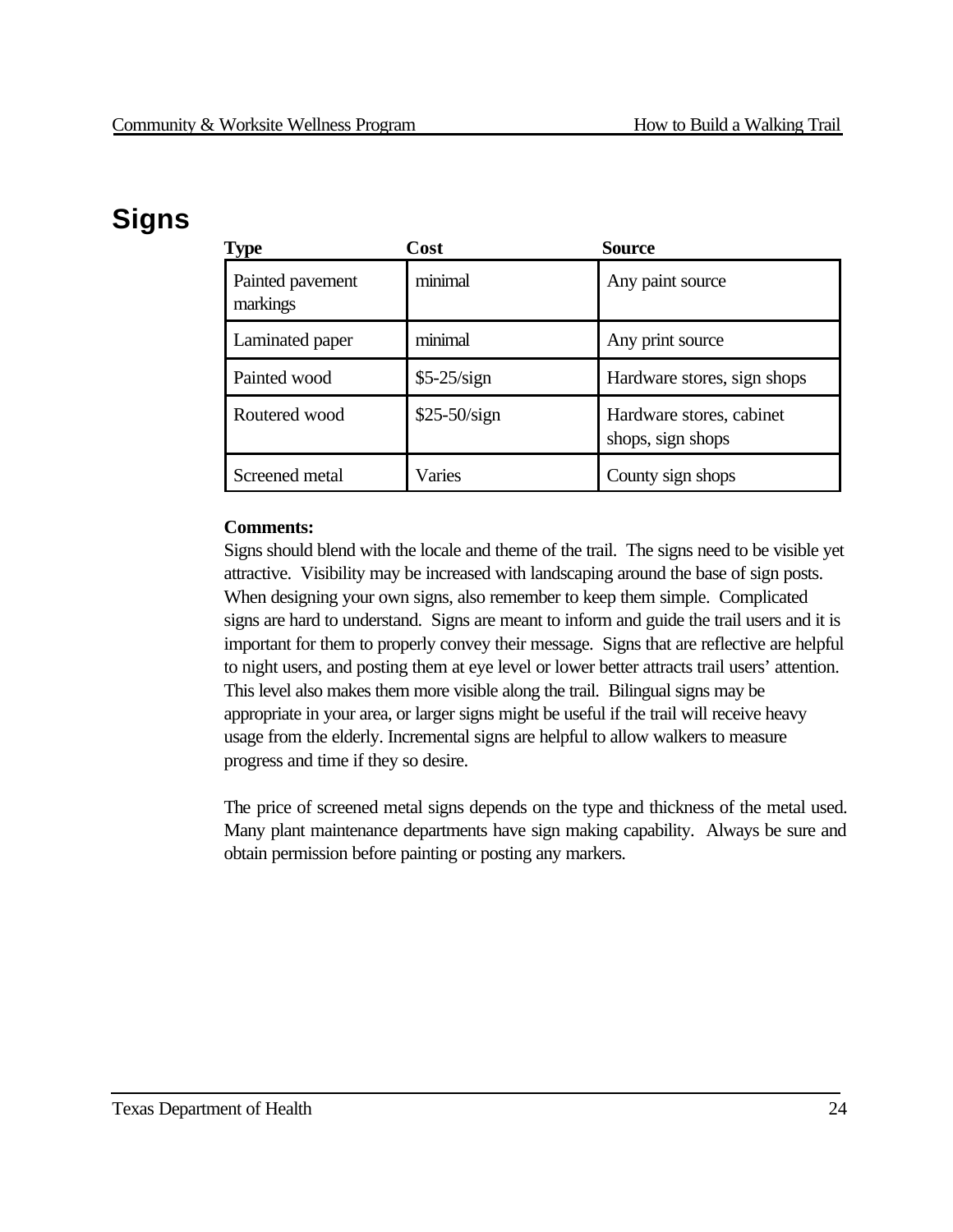# **Signs**

| <b>Type</b>                  | Cost          | <b>Source</b>                                 |
|------------------------------|---------------|-----------------------------------------------|
| Painted pavement<br>markings | minimal       | Any paint source                              |
| Laminated paper              | minimal       | Any print source                              |
| Painted wood                 | $$5-25/sign$  | Hardware stores, sign shops                   |
| Routered wood                | $$25-50/sign$ | Hardware stores, cabinet<br>shops, sign shops |
| Screened metal               | Varies        | County sign shops                             |

### **Comments:**

Signs should blend with the locale and theme of the trail. The signs need to be visible yet attractive. Visibility may be increased with landscaping around the base of sign posts. When designing your own signs, also remember to keep them simple. Complicated signs are hard to understand. Signs are meant to inform and guide the trail users and it is important for them to properly convey their message. Signs that are reflective are helpful to night users, and posting them at eye level or lower better attracts trail users' attention. This level also makes them more visible along the trail. Bilingual signs may be appropriate in your area, or larger signs might be useful if the trail will receive heavy usage from the elderly. Incremental signs are helpful to allow walkers to measure progress and time if they so desire.

The price of screened metal signs depends on the type and thickness of the metal used. Many plant maintenance departments have sign making capability. Always be sure and obtain permission before painting or posting any markers.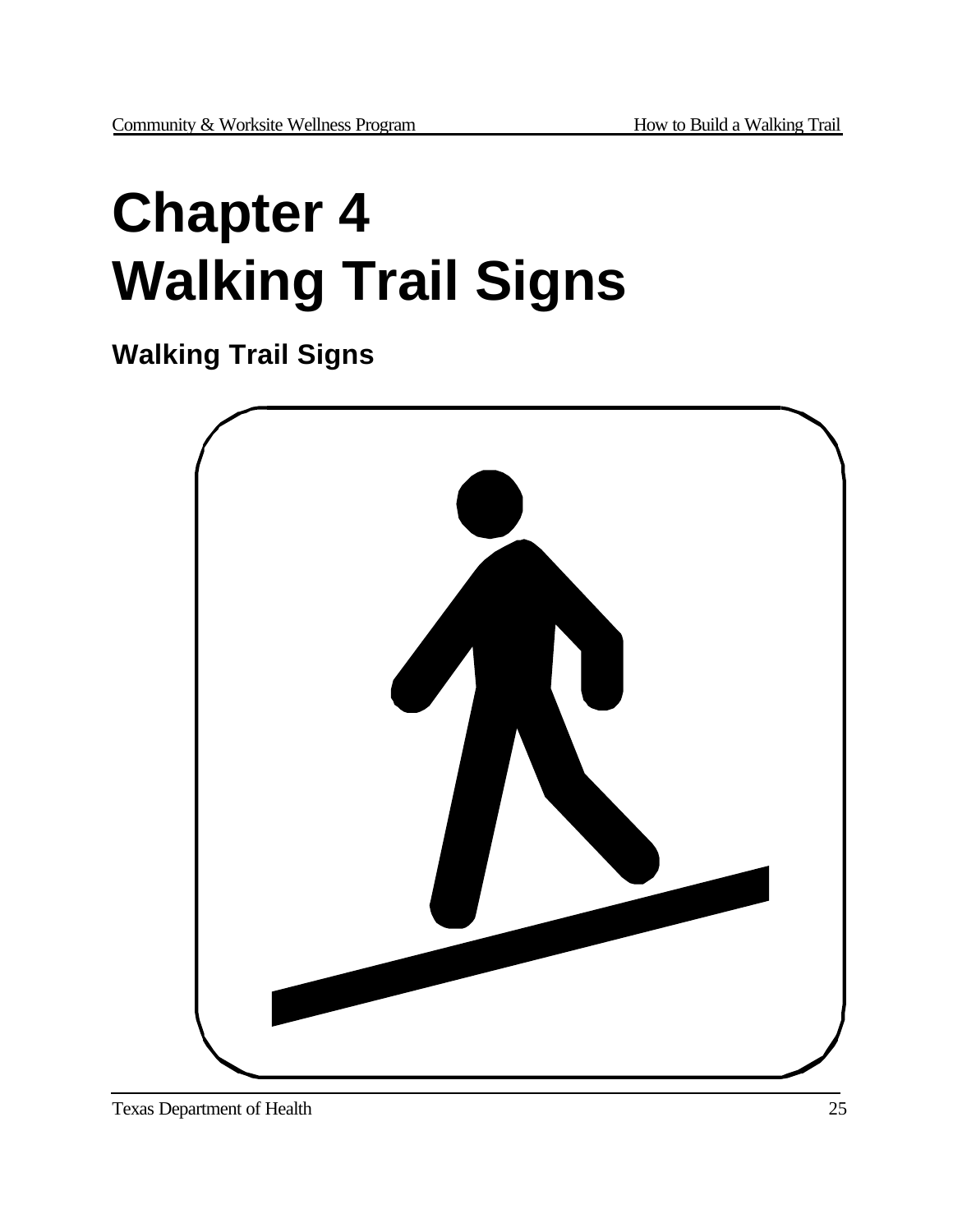# **Chapter 4 Walking Trail Signs**

**Walking Trail Signs**

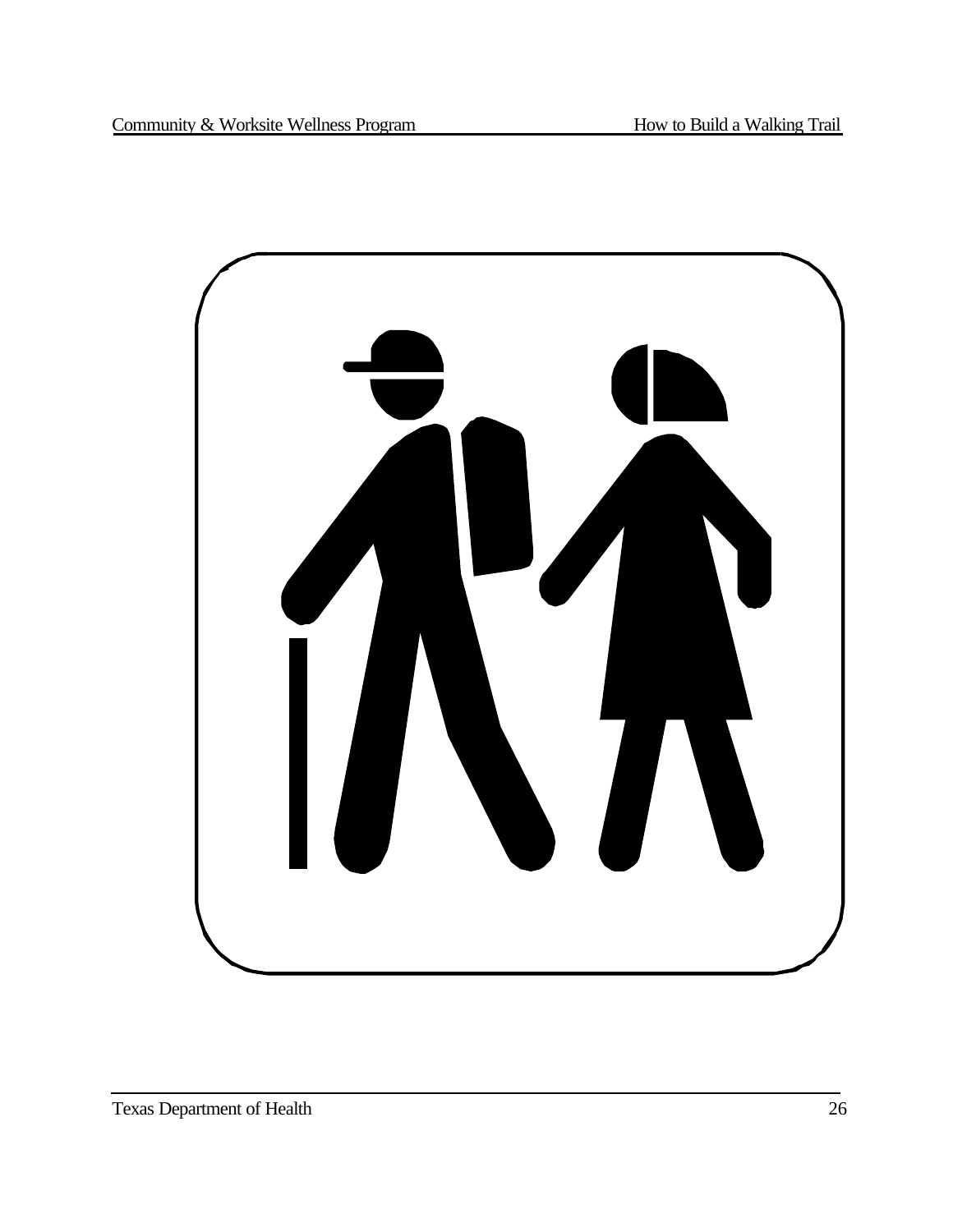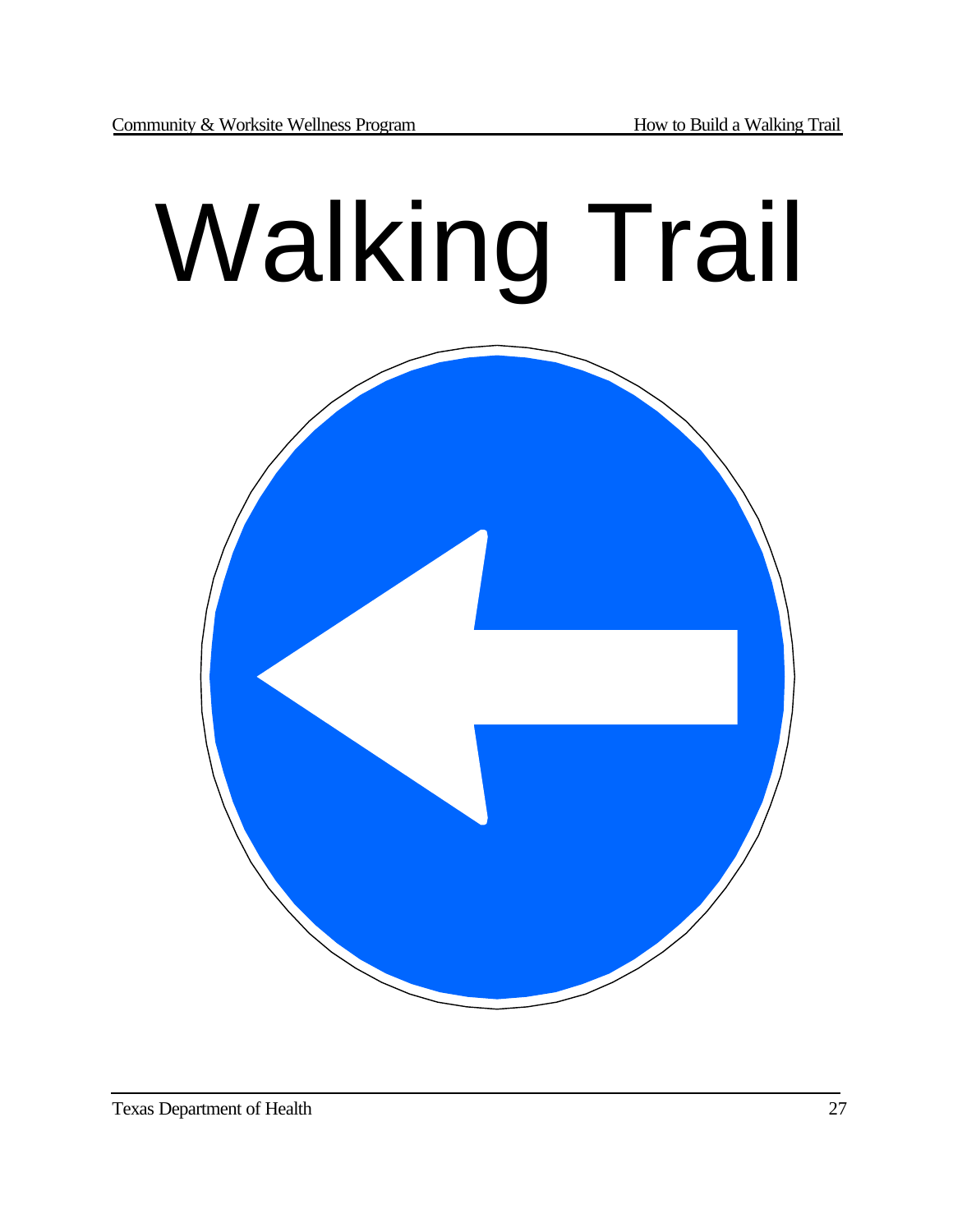# Walking Trail

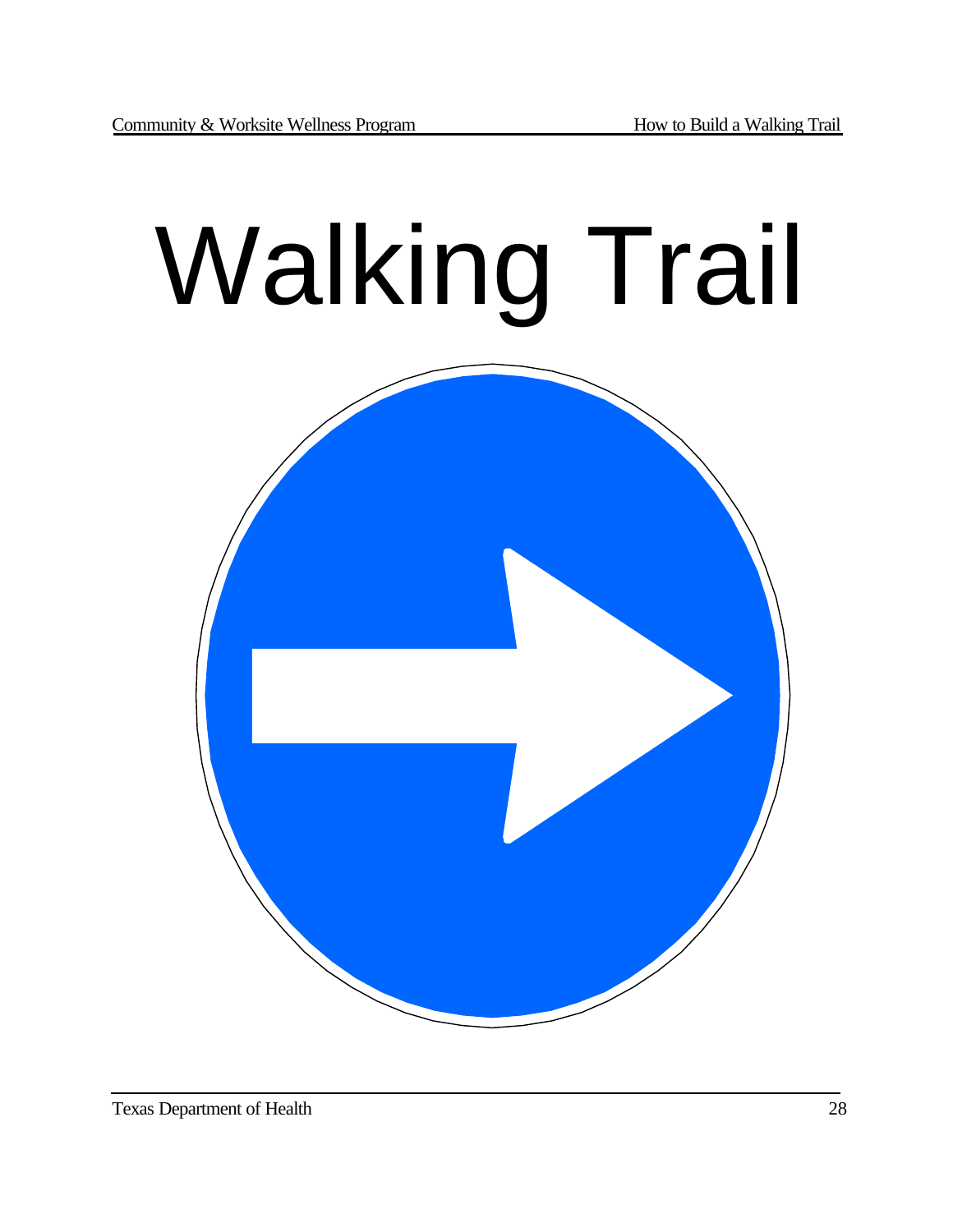# Walking Trail

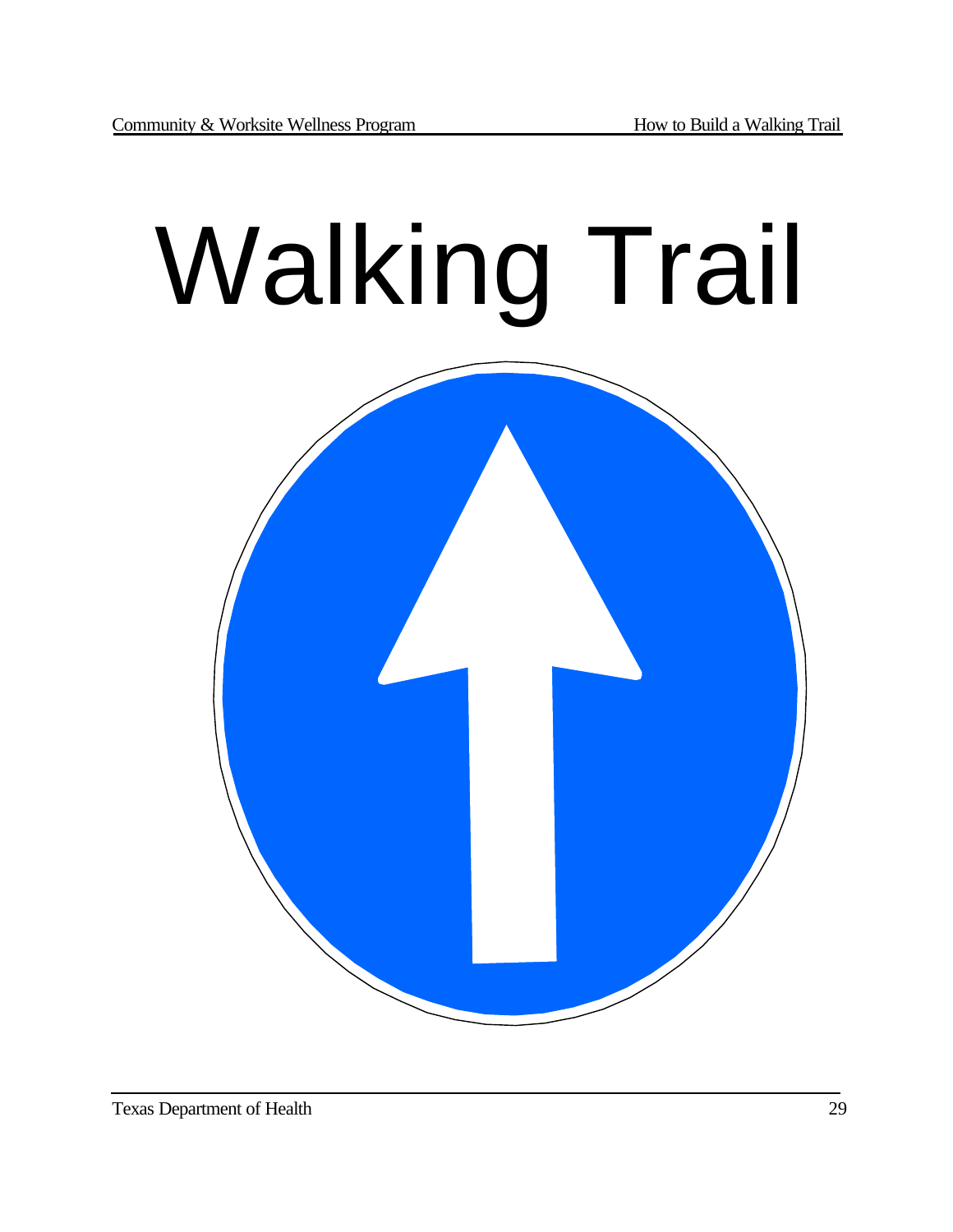# Walking Trail

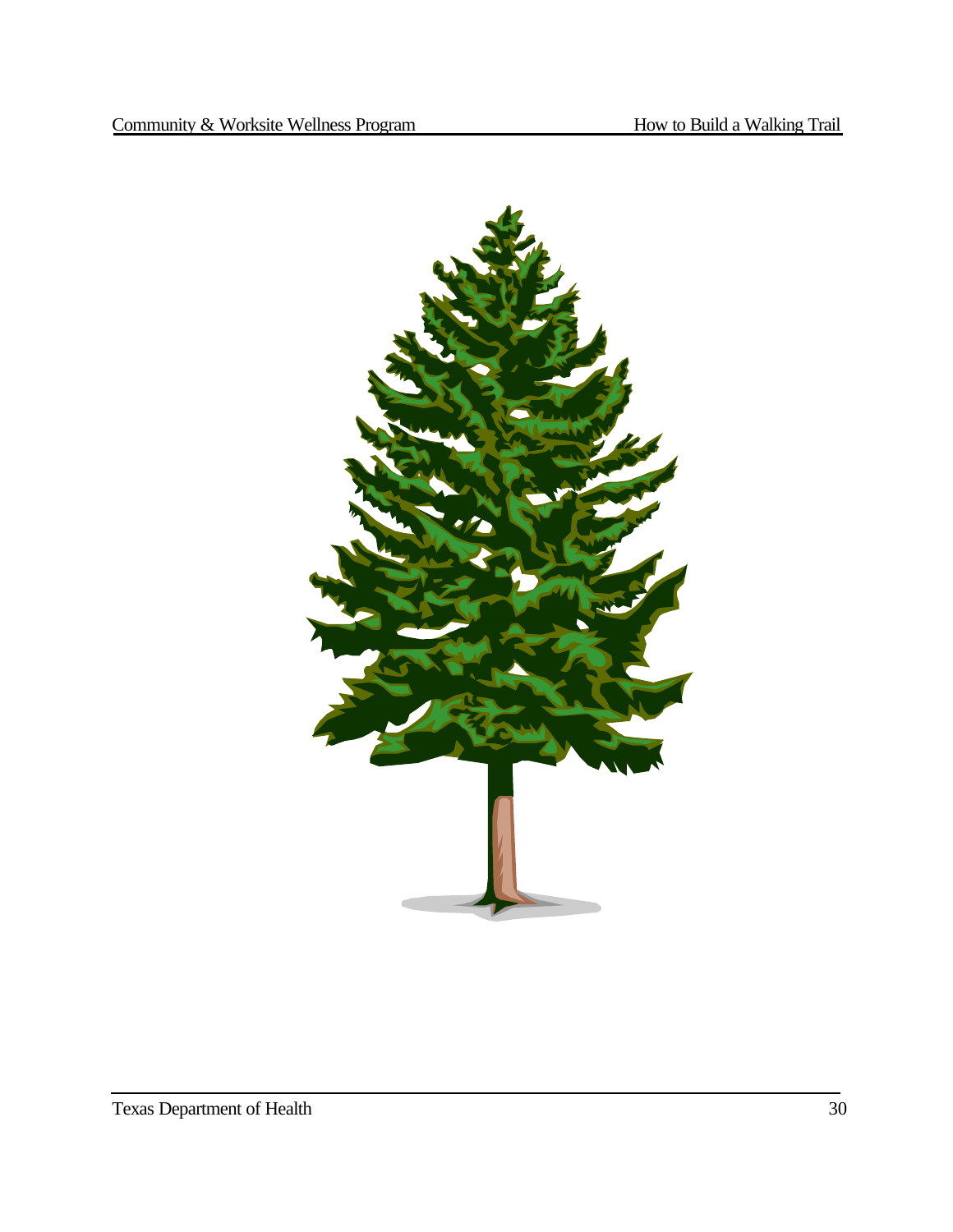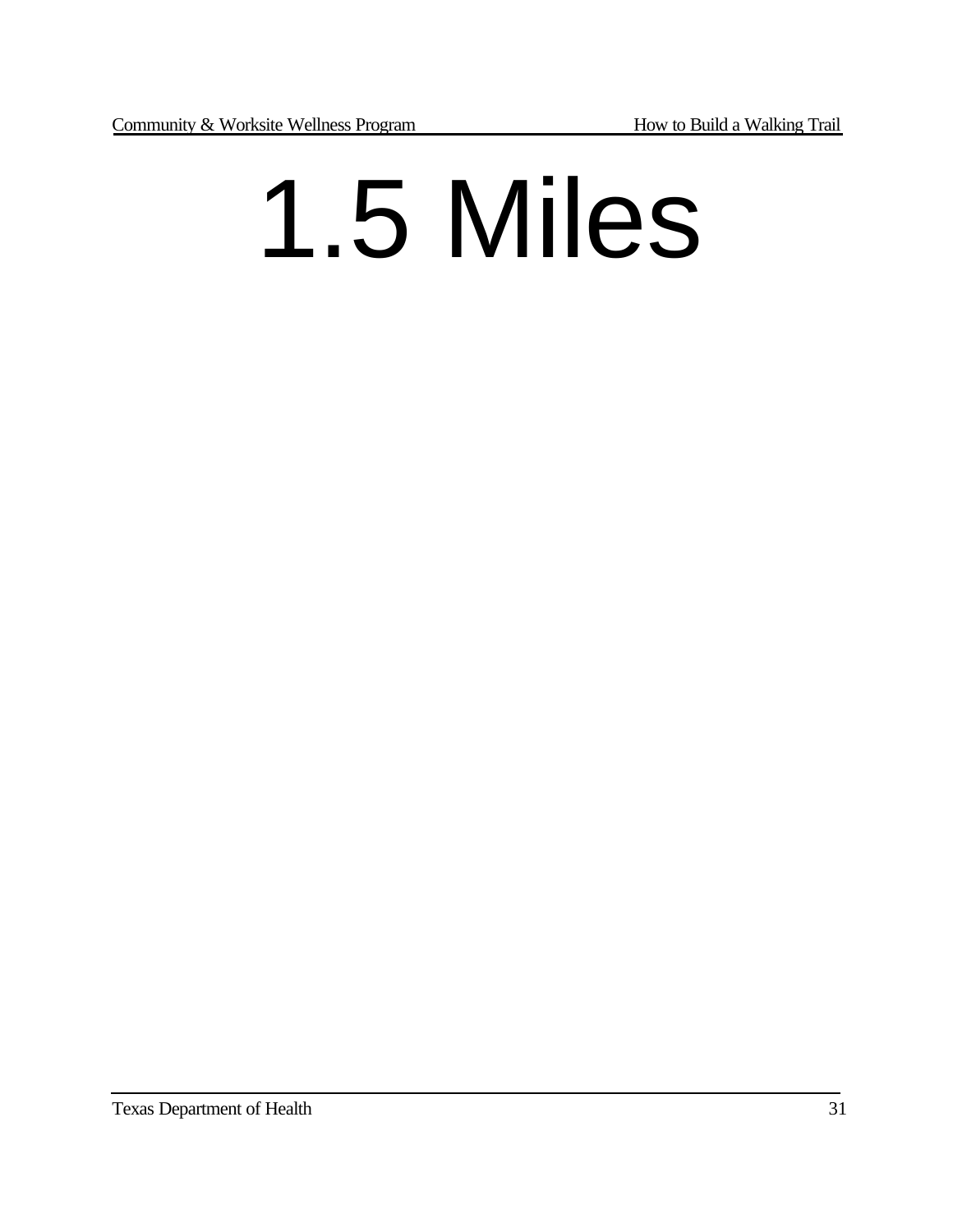# 1.5 Miles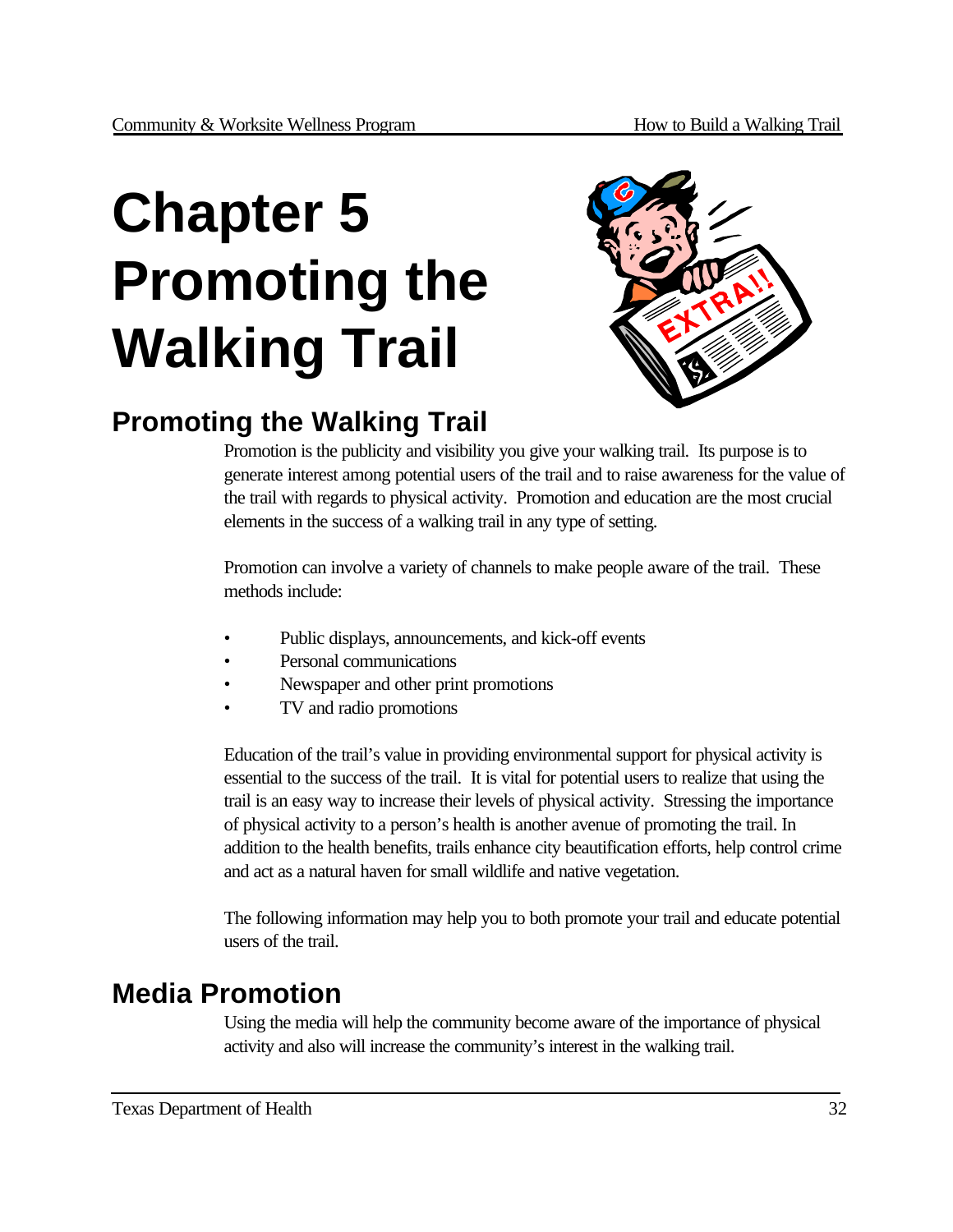# **Chapter 5 Promoting the Walking Trail**



# **Promoting the Walking Trail**

Promotion is the publicity and visibility you give your walking trail. Its purpose is to generate interest among potential users of the trail and to raise awareness for the value of the trail with regards to physical activity. Promotion and education are the most crucial elements in the success of a walking trail in any type of setting.

Promotion can involve a variety of channels to make people aware of the trail. These methods include:

- Public displays, announcements, and kick-off events
- Personal communications
- Newspaper and other print promotions
- TV and radio promotions

Education of the trail's value in providing environmental support for physical activity is essential to the success of the trail. It is vital for potential users to realize that using the trail is an easy way to increase their levels of physical activity. Stressing the importance of physical activity to a person's health is another avenue of promoting the trail. In addition to the health benefits, trails enhance city beautification efforts, help control crime and act as a natural haven for small wildlife and native vegetation.

The following information may help you to both promote your trail and educate potential users of the trail.

## **Media Promotion**

Using the media will help the community become aware of the importance of physical activity and also will increase the community's interest in the walking trail.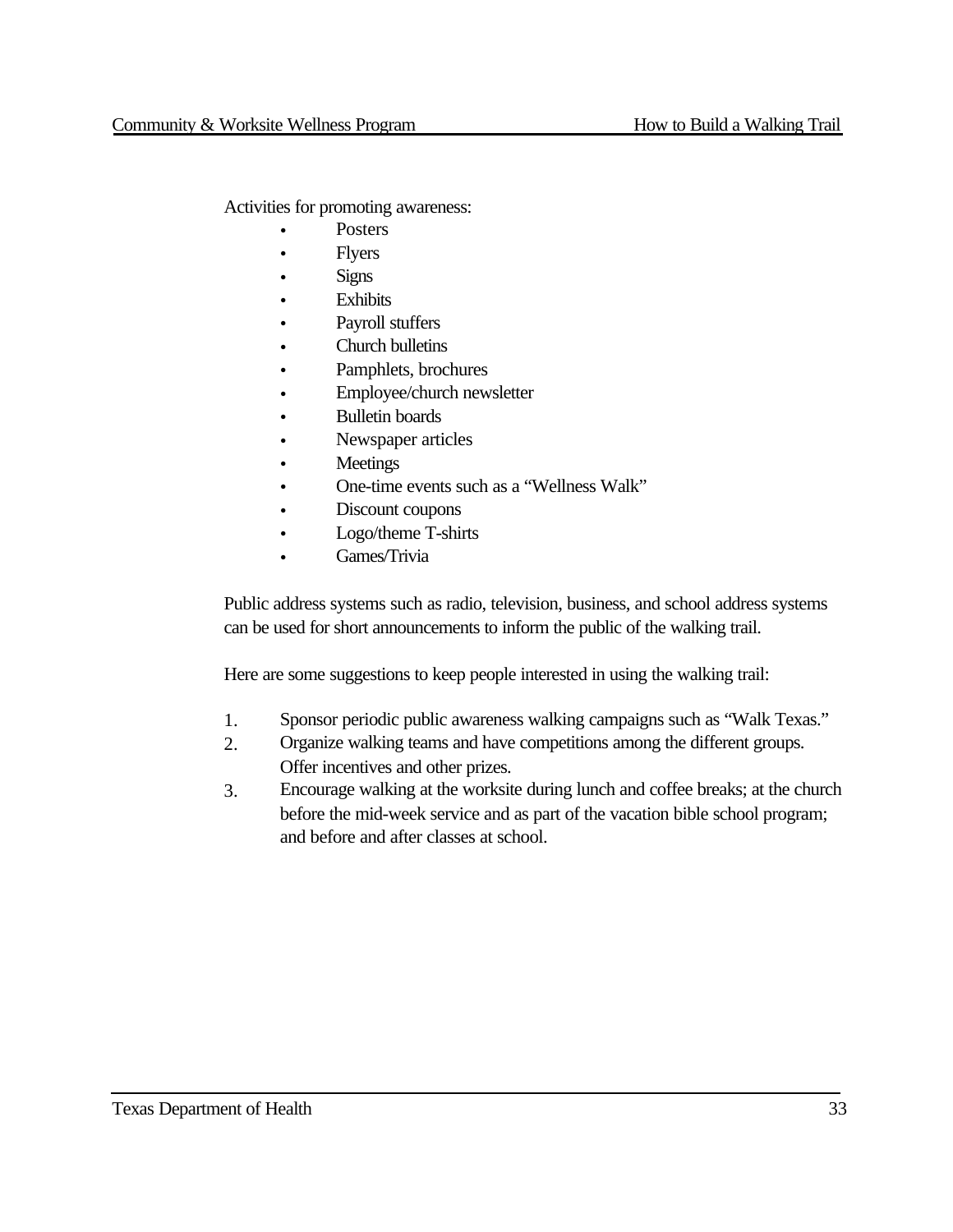Activities for promoting awareness:

- **Posters**
- Flyers
- Signs
- **Exhibits**
- Payroll stuffers
- Church bulletins
- Pamphlets, brochures
- Employee/church newsletter
- Bulletin boards
- Newspaper articles
- **Meetings**
- One-time events such as a "Wellness Walk"
- Discount coupons
- Logo/theme T-shirts
- Games/Trivia

Public address systems such as radio, television, business, and school address systems can be used for short announcements to inform the public of the walking trail.

Here are some suggestions to keep people interested in using the walking trail:

- 1. Sponsor periodic public awareness walking campaigns such as "Walk Texas."
- 2. Organize walking teams and have competitions among the different groups. Offer incentives and other prizes.
- 3. Encourage walking at the worksite during lunch and coffee breaks; at the church before the mid-week service and as part of the vacation bible school program; and before and after classes at school.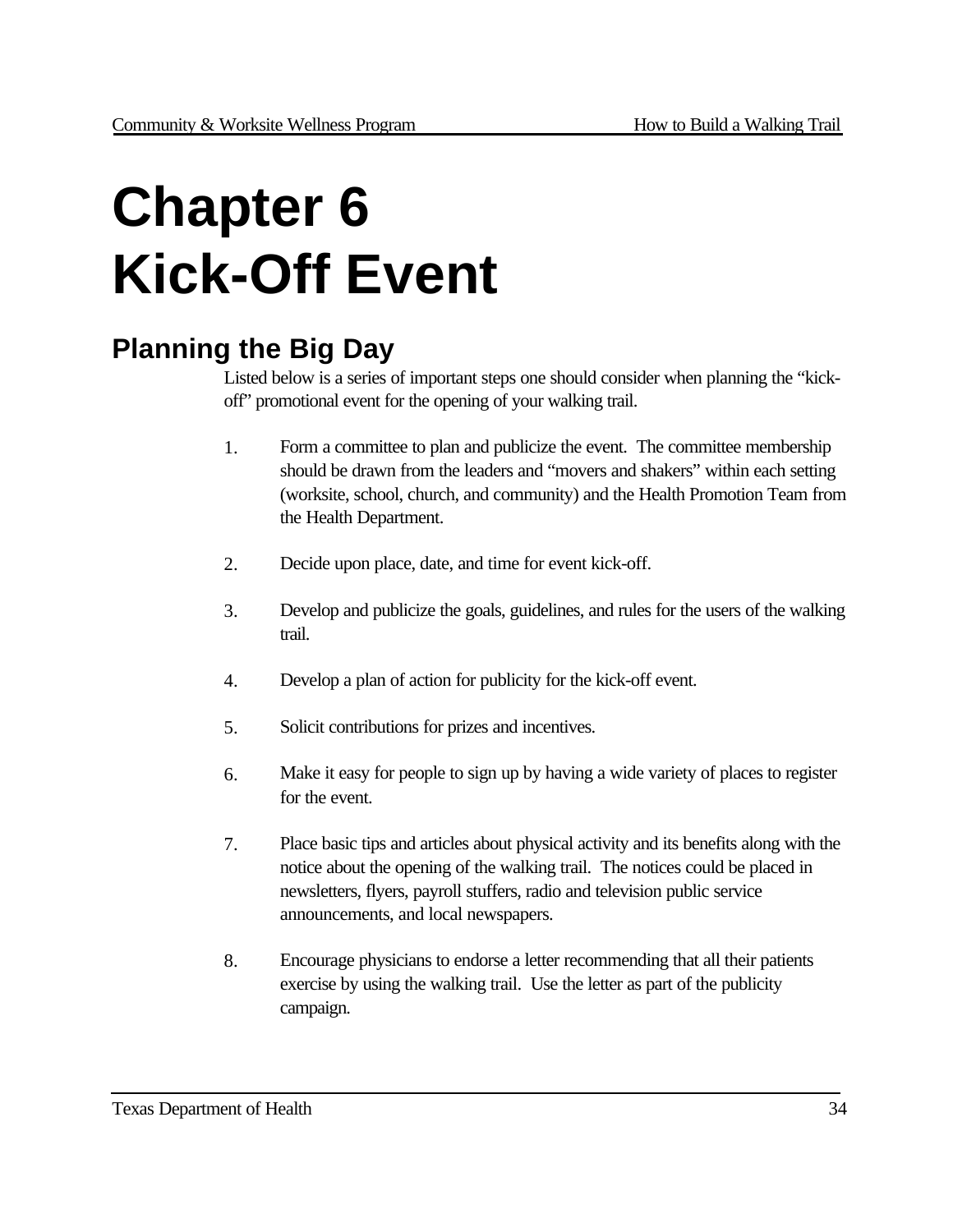# **Chapter 6 Kick-Off Event**

# **Planning the Big Day**

Listed below is a series of important steps one should consider when planning the "kickoff" promotional event for the opening of your walking trail.

- 1. Form a committee to plan and publicize the event. The committee membership should be drawn from the leaders and "movers and shakers" within each setting (worksite, school, church, and community) and the Health Promotion Team from the Health Department.
- 2. Decide upon place, date, and time for event kick-off.
- 3. Develop and publicize the goals, guidelines, and rules for the users of the walking trail.
- 4. Develop a plan of action for publicity for the kick-off event.
- 5. Solicit contributions for prizes and incentives.
- 6. Make it easy for people to sign up by having a wide variety of places to register for the event.
- 7. Place basic tips and articles about physical activity and its benefits along with the notice about the opening of the walking trail. The notices could be placed in newsletters, flyers, payroll stuffers, radio and television public service announcements, and local newspapers.
- 8. Encourage physicians to endorse a letter recommending that all their patients exercise by using the walking trail. Use the letter as part of the publicity campaign.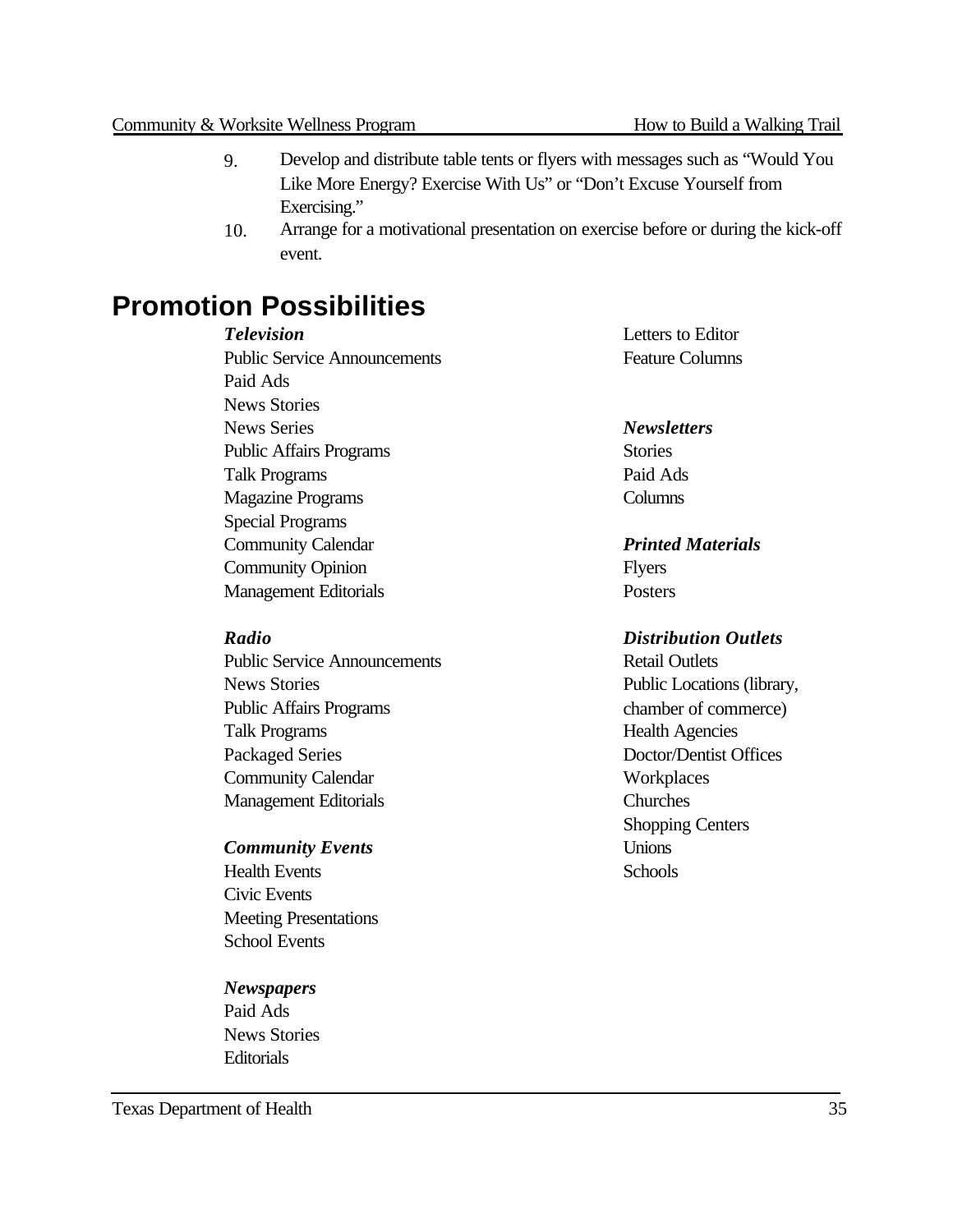- 9. Develop and distribute table tents or flyers with messages such as "Would You Like More Energy? Exercise With Us" or "Don't Excuse Yourself from Exercising."
- 10. Arrange for a motivational presentation on exercise before or during the kick-off event.

### **Promotion Possibilities**

### *Television*

Public Service Announcements Paid Ads News Stories News Series Public Affairs Programs Talk Programs Magazine Programs Special Programs Community Calendar Community Opinion Management Editorials

#### *Radio*

Public Service Announcements News Stories Public Affairs Programs Talk Programs Packaged Series Community Calendar Management Editorials

#### *Community Events*

Health Events Civic Events Meeting Presentations School Events

*Newspapers* Paid Ads News Stories Editorials

Letters to Editor Feature Columns

*Newsletters* **Stories** Paid Ads Columns

*Printed Materials* Flyers **Posters** 

### *Distribution Outlets*

Retail Outlets Public Locations (library, chamber of commerce) Health Agencies Doctor/Dentist Offices **Workplaces** Churches Shopping Centers Unions **Schools**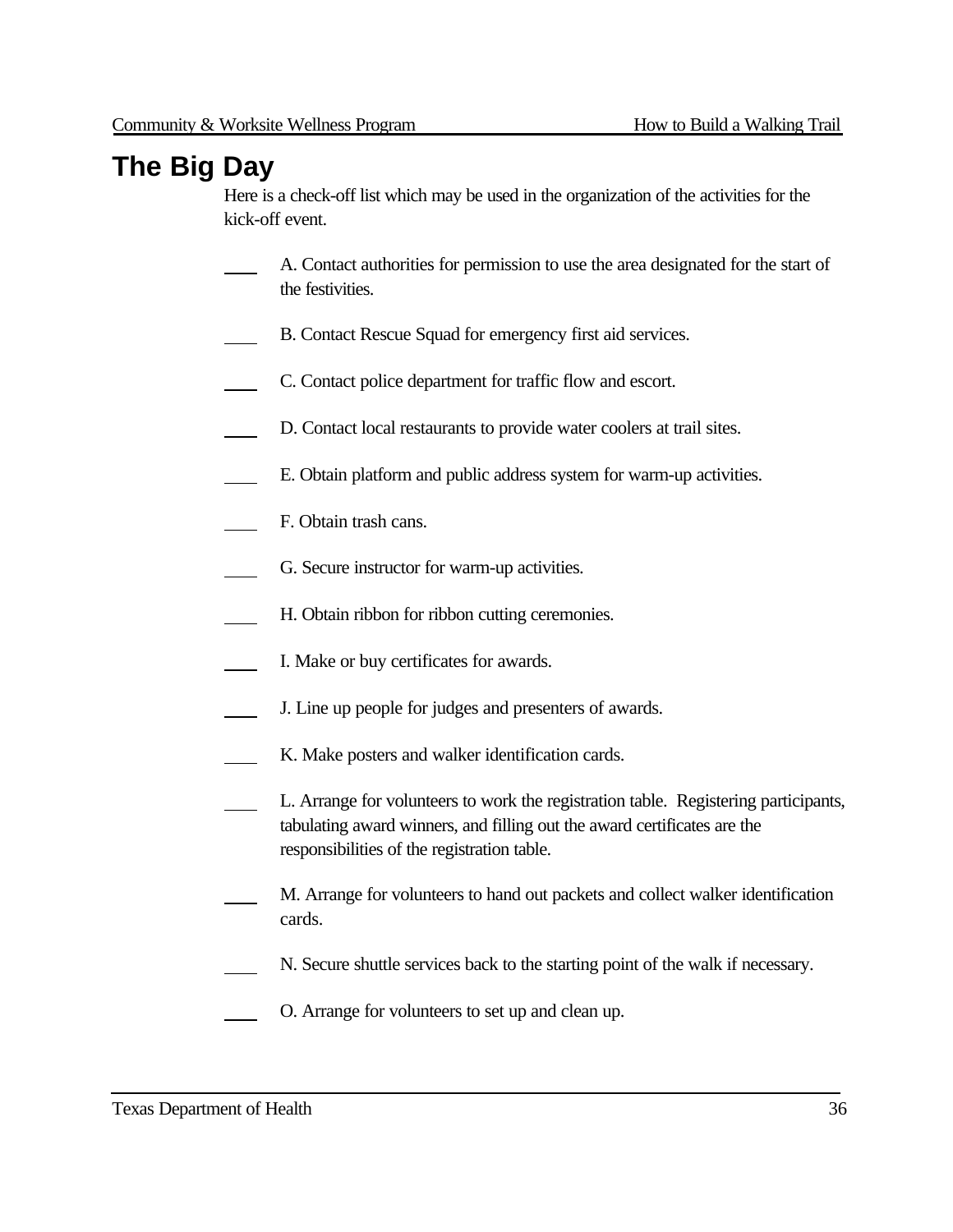# **The Big Day**

Here is a check-off list which may be used in the organization of the activities for the kick-off event.

- A. Contact authorities for permission to use the area designated for the start of the festivities.
- B. Contact Rescue Squad for emergency first aid services.
- C. Contact police department for traffic flow and escort.
- D. Contact local restaurants to provide water coolers at trail sites.
- E. Obtain platform and public address system for warm-up activities.
- F. Obtain trash cans.
- G. Secure instructor for warm-up activities.
- H. Obtain ribbon for ribbon cutting ceremonies.
- I. Make or buy certificates for awards.
- J. Line up people for judges and presenters of awards.
- K. Make posters and walker identification cards.
- L. Arrange for volunteers to work the registration table. Registering participants, tabulating award winners, and filling out the award certificates are the responsibilities of the registration table.
- M. Arrange for volunteers to hand out packets and collect walker identification cards.
- N. Secure shuttle services back to the starting point of the walk if necessary.
- O. Arrange for volunteers to set up and clean up.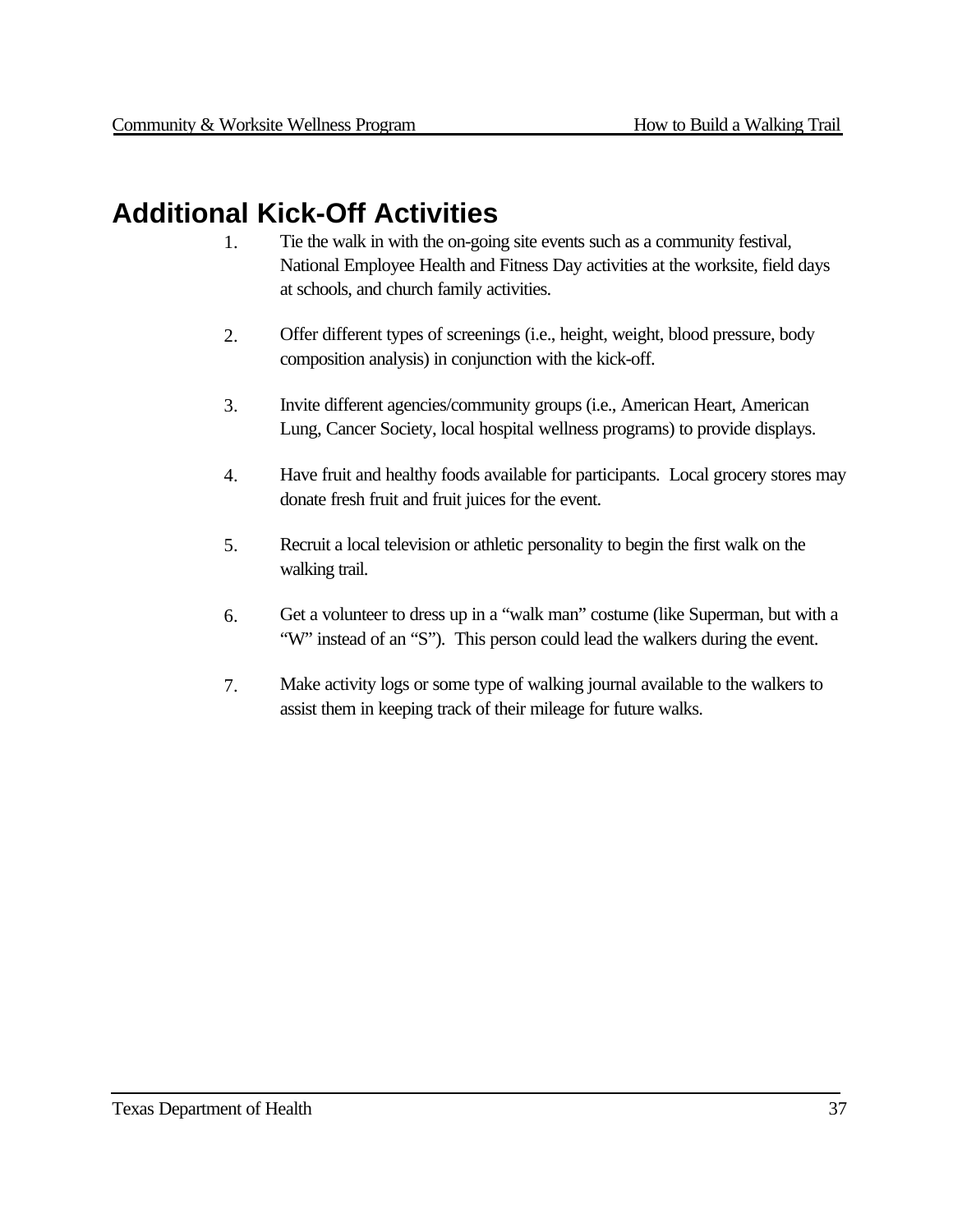# **Additional Kick-Off Activities**

- 1. Tie the walk in with the on-going site events such as a community festival, National Employee Health and Fitness Day activities at the worksite, field days at schools, and church family activities.
- 2. Offer different types of screenings (i.e., height, weight, blood pressure, body composition analysis) in conjunction with the kick-off.
- 3. Invite different agencies/community groups (i.e., American Heart, American Lung, Cancer Society, local hospital wellness programs) to provide displays.
- 4. Have fruit and healthy foods available for participants. Local grocery stores may donate fresh fruit and fruit juices for the event.
- 5. Recruit a local television or athletic personality to begin the first walk on the walking trail.
- 6. Get a volunteer to dress up in a "walk man" costume (like Superman, but with a "W" instead of an "S"). This person could lead the walkers during the event.
- 7. Make activity logs or some type of walking journal available to the walkers to assist them in keeping track of their mileage for future walks.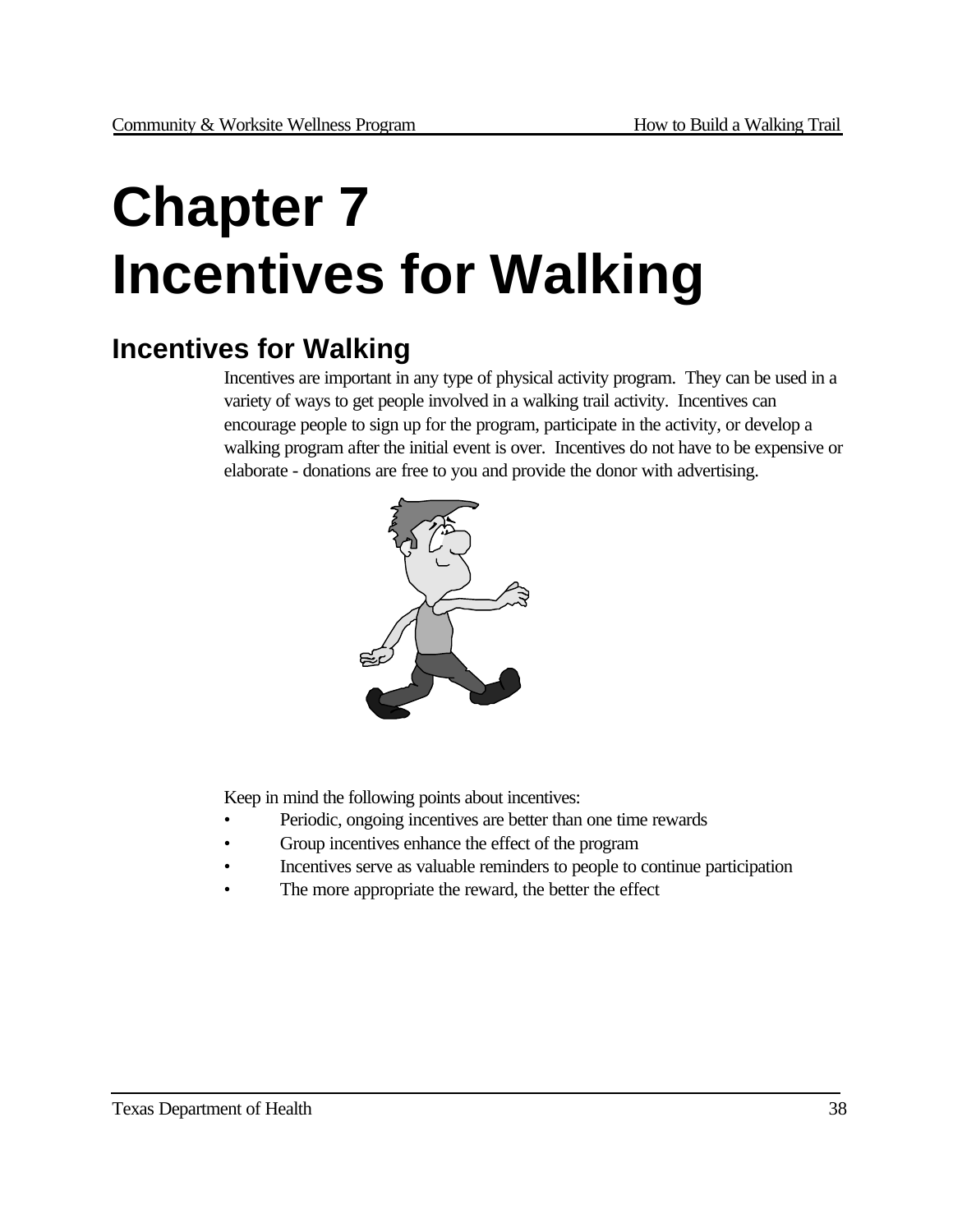# **Chapter 7 Incentives for Walking**

# **Incentives for Walking**

Incentives are important in any type of physical activity program. They can be used in a variety of ways to get people involved in a walking trail activity. Incentives can encourage people to sign up for the program, participate in the activity, or develop a walking program after the initial event is over. Incentives do not have to be expensive or elaborate - donations are free to you and provide the donor with advertising.



Keep in mind the following points about incentives:

- Periodic, ongoing incentives are better than one time rewards
- Group incentives enhance the effect of the program
- Incentives serve as valuable reminders to people to continue participation
- The more appropriate the reward, the better the effect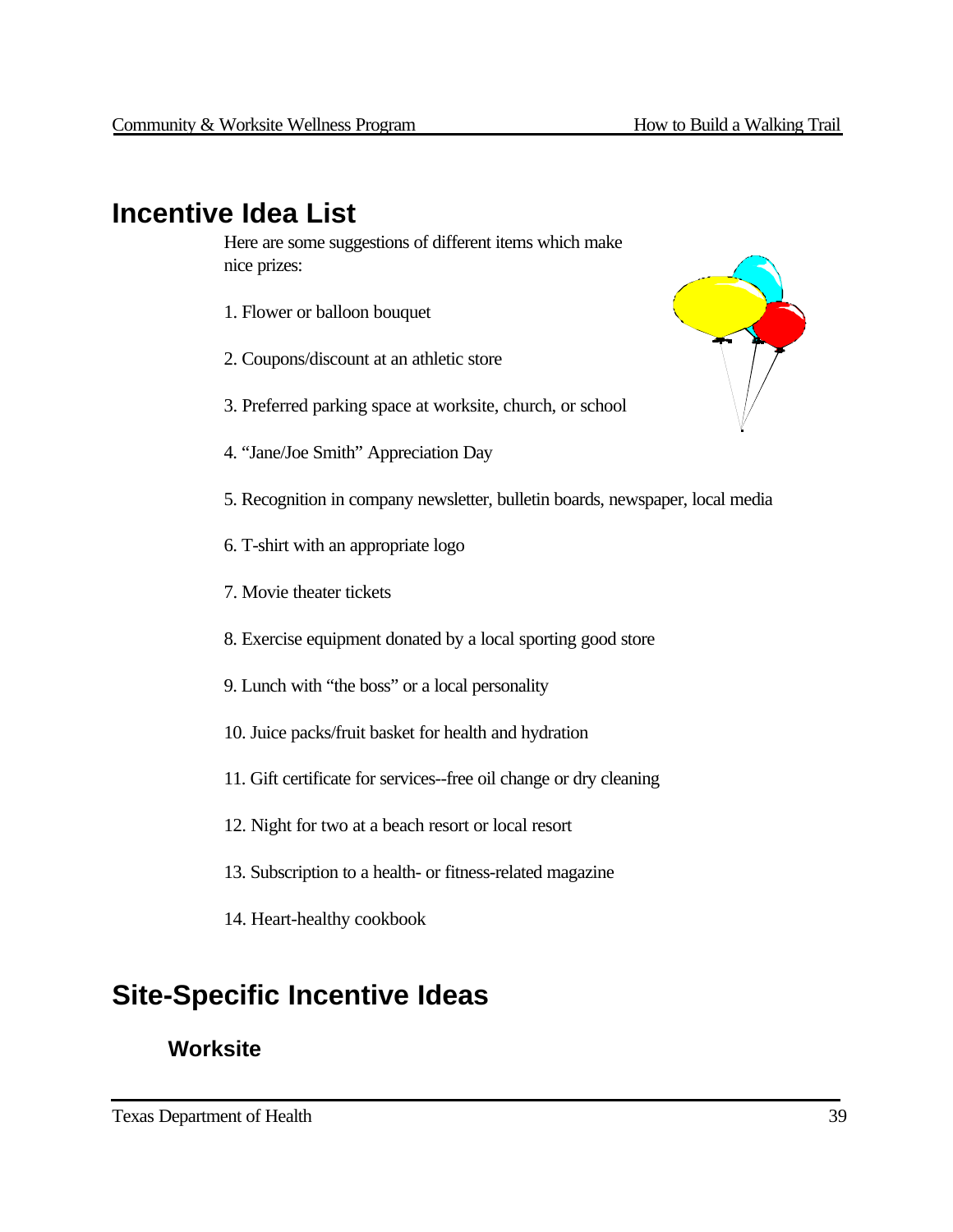# **Incentive Idea List**

Here are some suggestions of different items which make nice prizes:

- 1. Flower or balloon bouquet
- 2. Coupons/discount at an athletic store
- 3. Preferred parking space at worksite, church, or school
- 4. "Jane/Joe Smith" Appreciation Day
- 5. Recognition in company newsletter, bulletin boards, newspaper, local media
- 6. T-shirt with an appropriate logo
- 7. Movie theater tickets
- 8. Exercise equipment donated by a local sporting good store
- 9. Lunch with "the boss" or a local personality
- 10. Juice packs/fruit basket for health and hydration
- 11. Gift certificate for services--free oil change or dry cleaning
- 12. Night for two at a beach resort or local resort
- 13. Subscription to a health- or fitness-related magazine
- 14. Heart-healthy cookbook

# **Site-Specific Incentive Ideas**

### **Worksite**

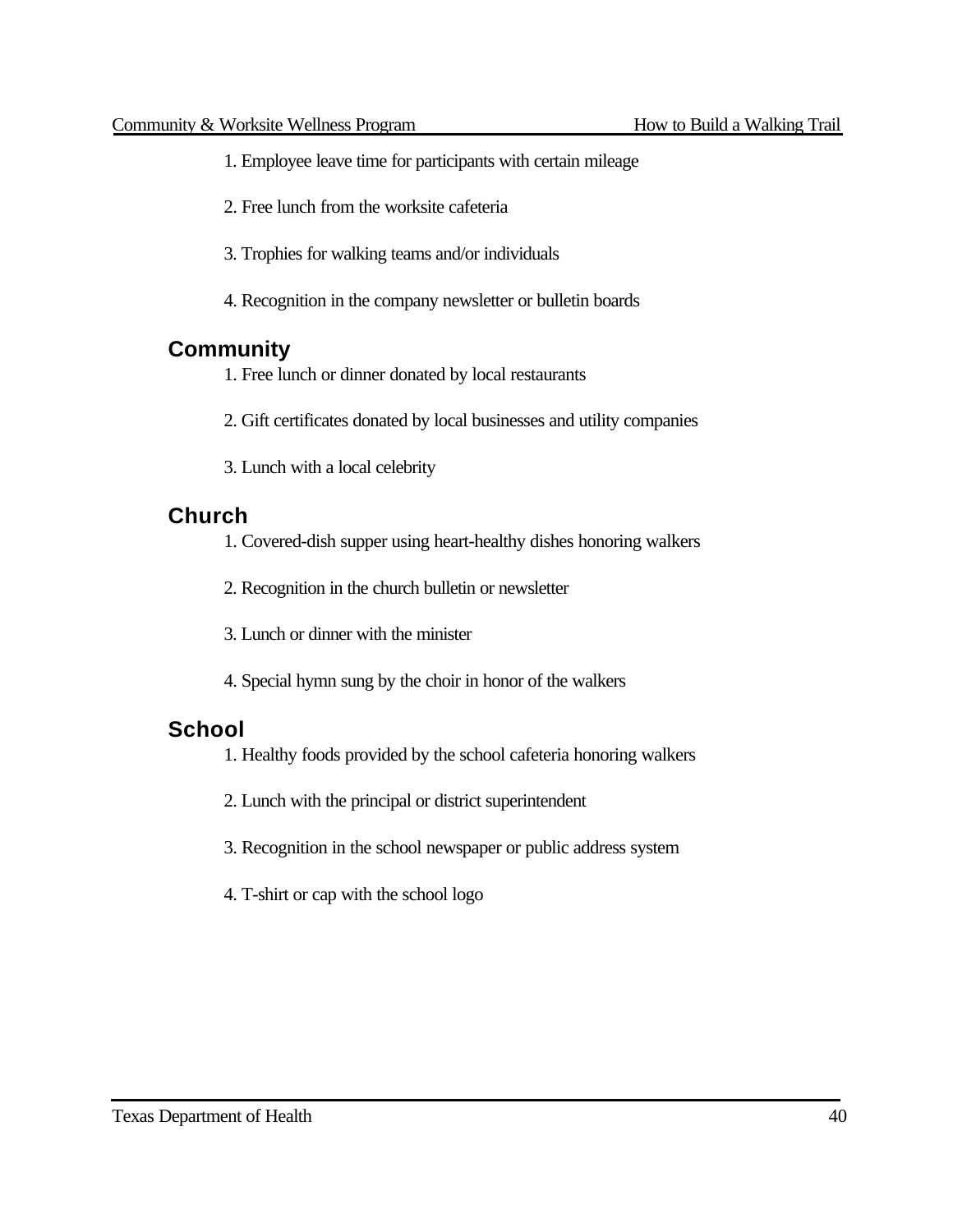- 1. Employee leave time for participants with certain mileage
- 2. Free lunch from the worksite cafeteria
- 3. Trophies for walking teams and/or individuals
- 4. Recognition in the company newsletter or bulletin boards

### **Community**

- 1. Free lunch or dinner donated by local restaurants
- 2. Gift certificates donated by local businesses and utility companies
- 3. Lunch with a local celebrity

### **Church**

- 1. Covered-dish supper using heart-healthy dishes honoring walkers
- 2. Recognition in the church bulletin or newsletter
- 3. Lunch or dinner with the minister
- 4. Special hymn sung by the choir in honor of the walkers

### **School**

- 1. Healthy foods provided by the school cafeteria honoring walkers
- 2. Lunch with the principal or district superintendent
- 3. Recognition in the school newspaper or public address system
- 4. T-shirt or cap with the school logo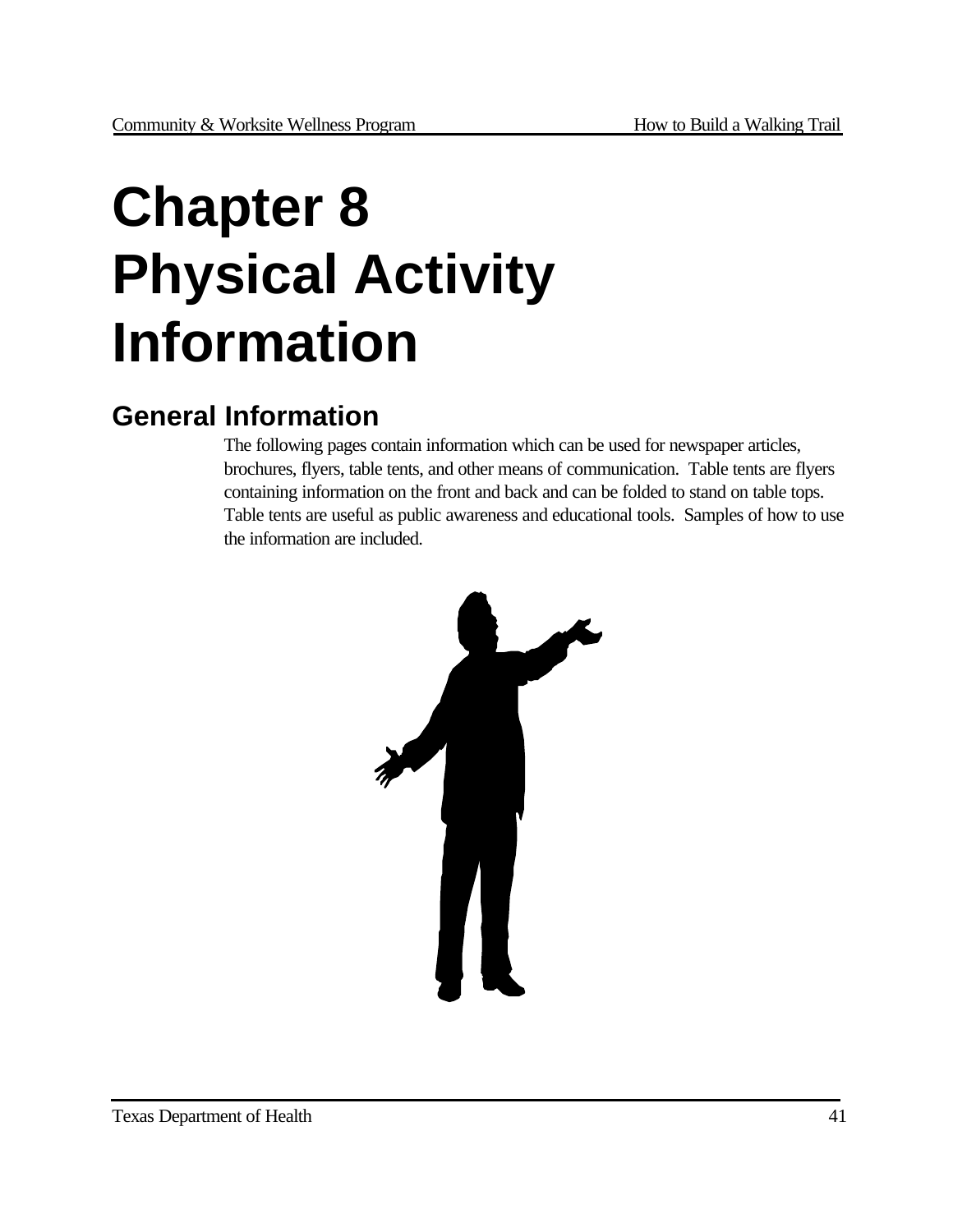# **Chapter 8 Physical Activity Information**

# **General Information**

The following pages contain information which can be used for newspaper articles, brochures, flyers, table tents, and other means of communication. Table tents are flyers containing information on the front and back and can be folded to stand on table tops. Table tents are useful as public awareness and educational tools. Samples of how to use the information are included.

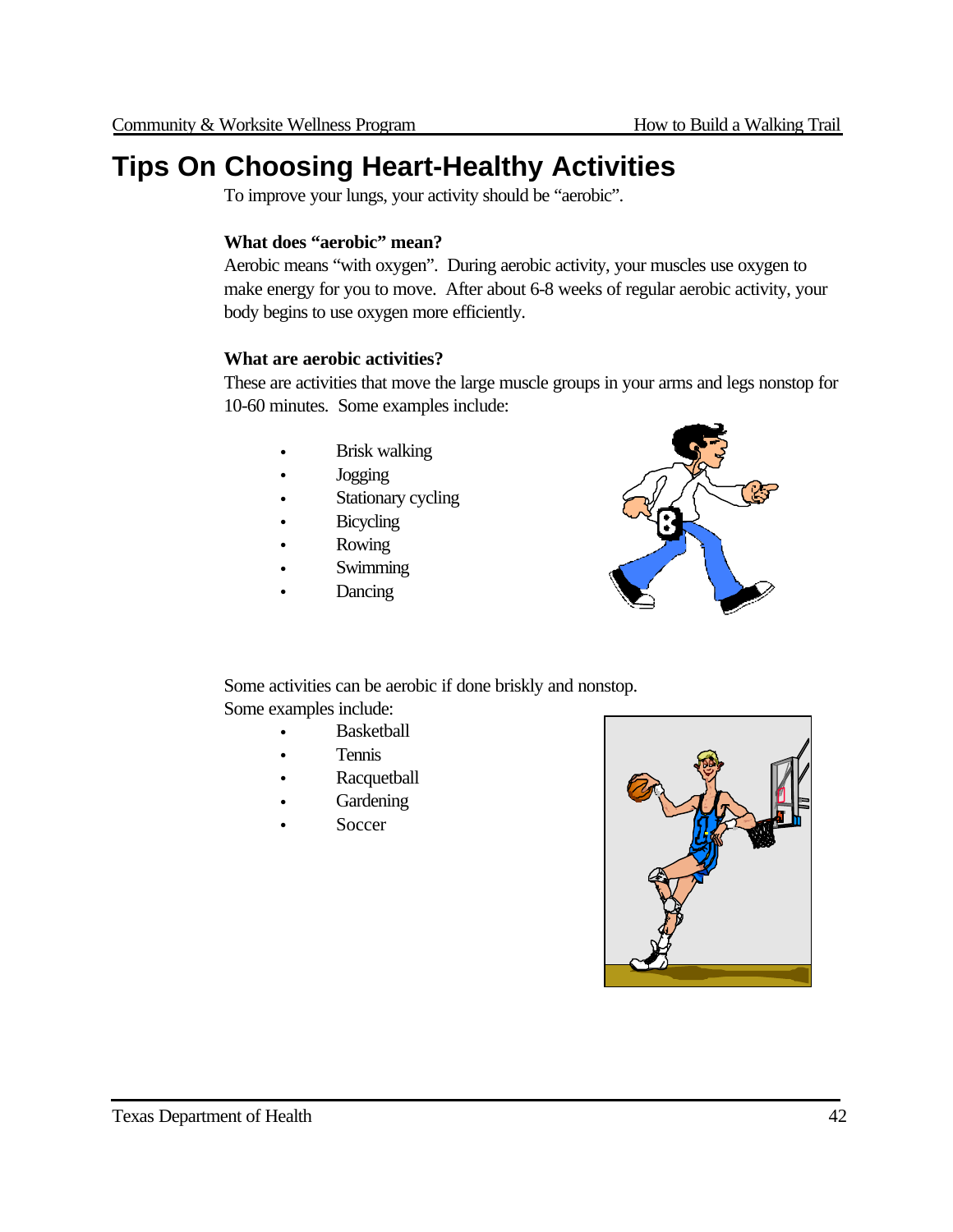# **Tips On Choosing Heart-Healthy Activities**

To improve your lungs, your activity should be "aerobic".

### **What does "aerobic" mean?**

Aerobic means "with oxygen". During aerobic activity, your muscles use oxygen to make energy for you to move. After about 6-8 weeks of regular aerobic activity, your body begins to use oxygen more efficiently.

### **What are aerobic activities?**

These are activities that move the large muscle groups in your arms and legs nonstop for 10-60 minutes. Some examples include:

- Brisk walking
- Jogging
- Stationary cycling
- **Bicycling**
- Rowing
- Swimming
- Dancing



Some activities can be aerobic if done briskly and nonstop. Some examples include:

- Basketball
- Tennis
- Racquetball
- Gardening
- **Soccer**

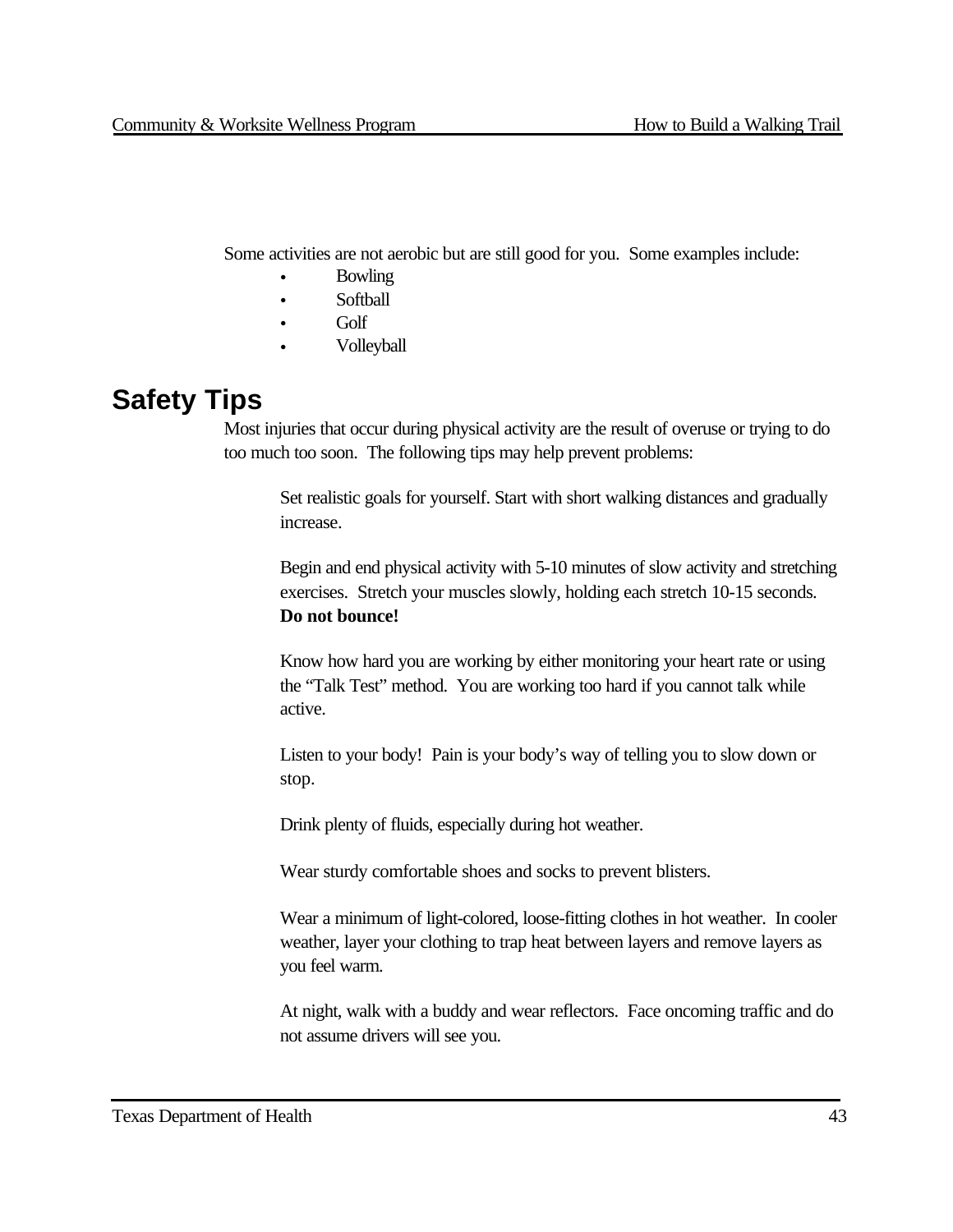Some activities are not aerobic but are still good for you. Some examples include:

- Bowling
- Softball
- Golf
- Volleyball

# **Safety Tips**

Most injuries that occur during physical activity are the result of overuse or trying to do too much too soon. The following tips may help prevent problems:

Set realistic goals for yourself. Start with short walking distances and gradually increase.

Begin and end physical activity with 5-10 minutes of slow activity and stretching exercises. Stretch your muscles slowly, holding each stretch 10-15 seconds. **Do not bounce!**

Know how hard you are working by either monitoring your heart rate or using the "Talk Test" method. You are working too hard if you cannot talk while active.

Listen to your body! Pain is your body's way of telling you to slow down or stop.

Drink plenty of fluids, especially during hot weather.

Wear sturdy comfortable shoes and socks to prevent blisters.

Wear a minimum of light-colored, loose-fitting clothes in hot weather. In cooler weather, layer your clothing to trap heat between layers and remove layers as you feel warm.

At night, walk with a buddy and wear reflectors. Face oncoming traffic and do not assume drivers will see you.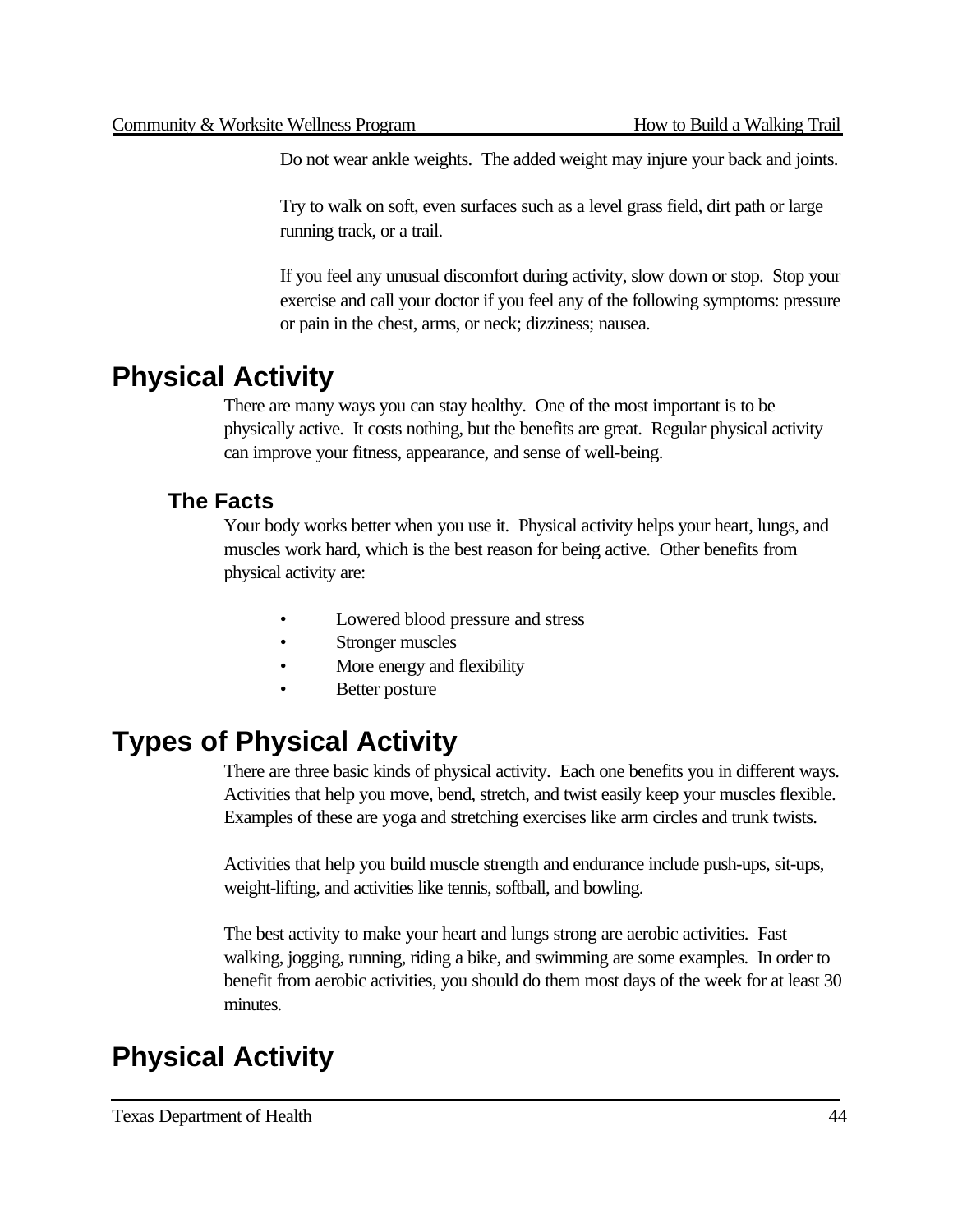Do not wear ankle weights. The added weight may injure your back and joints.

Try to walk on soft, even surfaces such as a level grass field, dirt path or large running track, or a trail.

If you feel any unusual discomfort during activity, slow down or stop. Stop your exercise and call your doctor if you feel any of the following symptoms: pressure or pain in the chest, arms, or neck; dizziness; nausea.

# **Physical Activity**

There are many ways you can stay healthy. One of the most important is to be physically active. It costs nothing, but the benefits are great. Regular physical activity can improve your fitness, appearance, and sense of well-being.

### **The Facts**

Your body works better when you use it. Physical activity helps your heart, lungs, and muscles work hard, which is the best reason for being active. Other benefits from physical activity are:

- Lowered blood pressure and stress
- Stronger muscles
- More energy and flexibility
- Better posture

# **Types of Physical Activity**

There are three basic kinds of physical activity. Each one benefits you in different ways. Activities that help you move, bend, stretch, and twist easily keep your muscles flexible. Examples of these are yoga and stretching exercises like arm circles and trunk twists.

Activities that help you build muscle strength and endurance include push-ups, sit-ups, weight-lifting, and activities like tennis, softball, and bowling.

The best activity to make your heart and lungs strong are aerobic activities. Fast walking, jogging, running, riding a bike, and swimming are some examples. In order to benefit from aerobic activities, you should do them most days of the week for at least 30 minutes.

# **Physical Activity**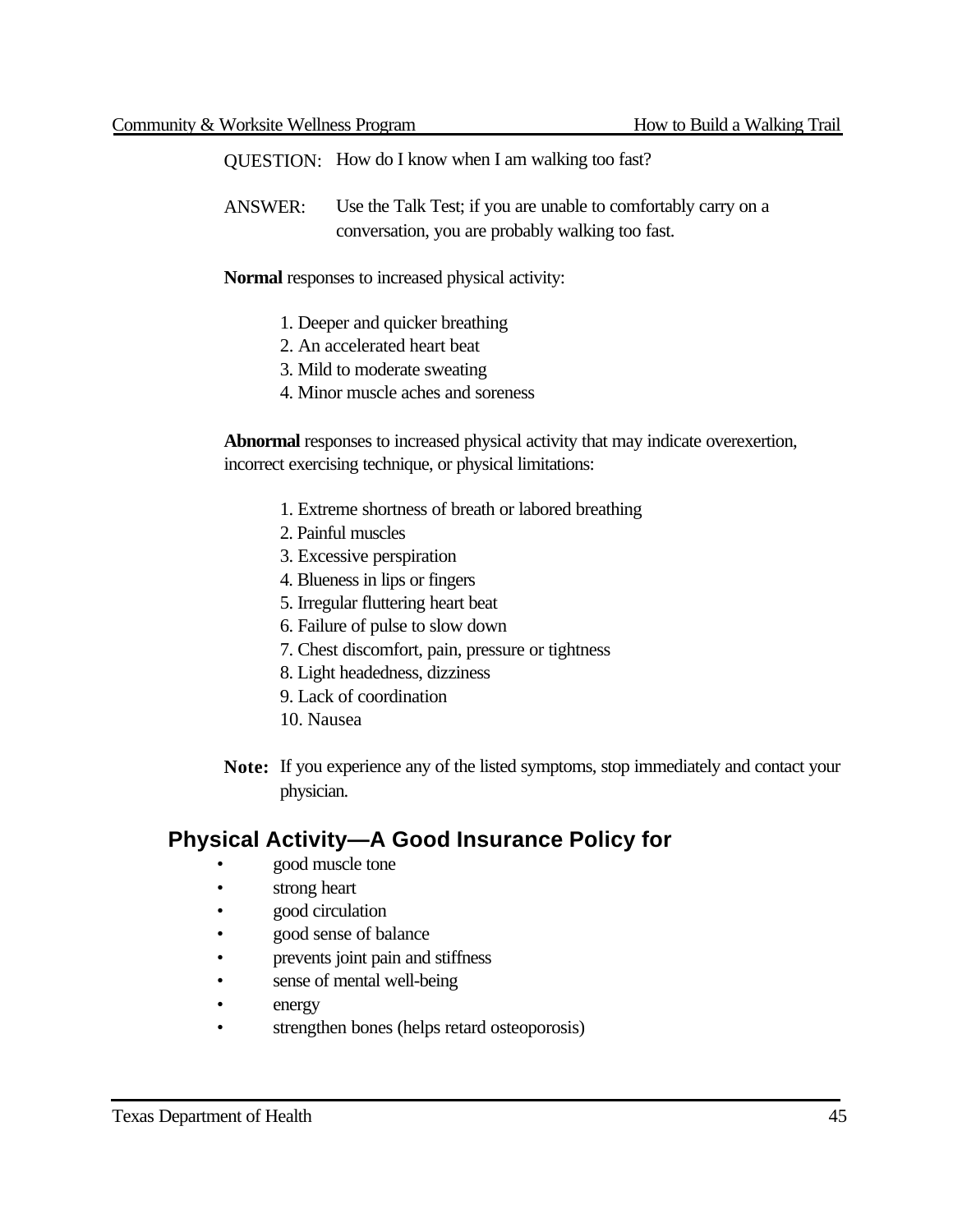|                | <b>OUESTION:</b> How do I know when I am walking too fast?                                                         |
|----------------|--------------------------------------------------------------------------------------------------------------------|
| <b>ANSWER:</b> | Use the Talk Test; if you are unable to comfortably carry on a<br>conversation, you are probably walking too fast. |
|                | <b>Normal</b> responses to increased physical activity:                                                            |

- 1. Deeper and quicker breathing
- 2. An accelerated heart beat
- 3. Mild to moderate sweating
- 4. Minor muscle aches and soreness

**Abnormal** responses to increased physical activity that may indicate overexertion, incorrect exercising technique, or physical limitations:

- 1. Extreme shortness of breath or labored breathing
- 2. Painful muscles
- 3. Excessive perspiration
- 4. Blueness in lips or fingers
- 5. Irregular fluttering heart beat
- 6. Failure of pulse to slow down
- 7. Chest discomfort, pain, pressure or tightness
- 8. Light headedness, dizziness
- 9. Lack of coordination
- 10. Nausea
- **Note:** If you experience any of the listed symptoms, stop immediately and contact your physician.

### **Physical Activity—A Good Insurance Policy for**

- good muscle tone
- strong heart
- good circulation
- good sense of balance
- prevents joint pain and stiffness
- sense of mental well-being
- energy
- strengthen bones (helps retard osteoporosis)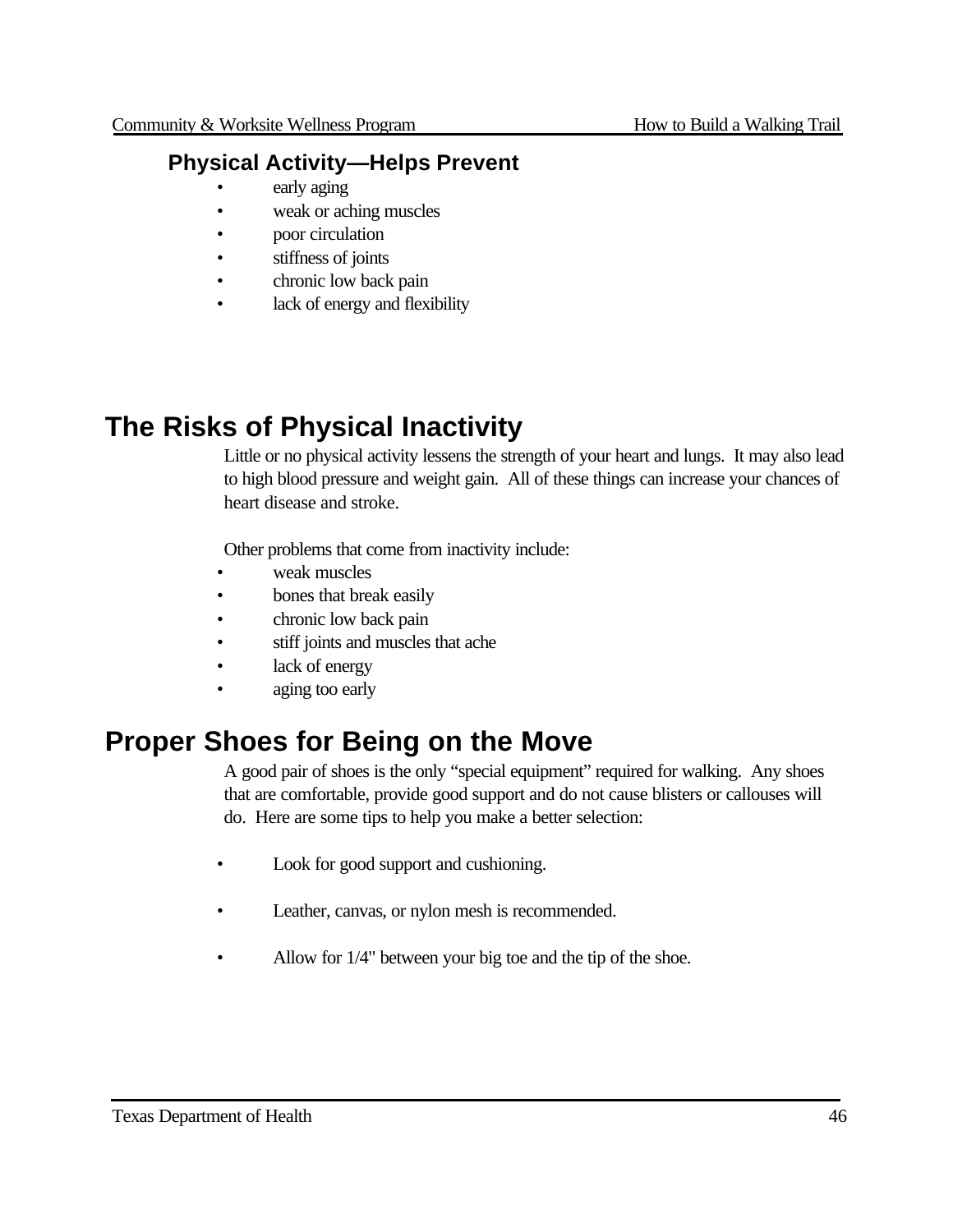### **Physical Activity—Helps Prevent**

- early aging
- weak or aching muscles
- poor circulation
- stiffness of joints
- chronic low back pain
- lack of energy and flexibility

# **The Risks of Physical Inactivity**

Little or no physical activity lessens the strength of your heart and lungs. It may also lead to high blood pressure and weight gain. All of these things can increase your chances of heart disease and stroke.

Other problems that come from inactivity include:

- weak muscles
- bones that break easily
- chronic low back pain
- stiff joints and muscles that ache
- lack of energy
- aging too early

# **Proper Shoes for Being on the Move**

A good pair of shoes is the only "special equipment" required for walking. Any shoes that are comfortable, provide good support and do not cause blisters or callouses will do. Here are some tips to help you make a better selection:

- Look for good support and cushioning.
- Leather, canvas, or nylon mesh is recommended.
- Allow for  $1/4$ " between your big toe and the tip of the shoe.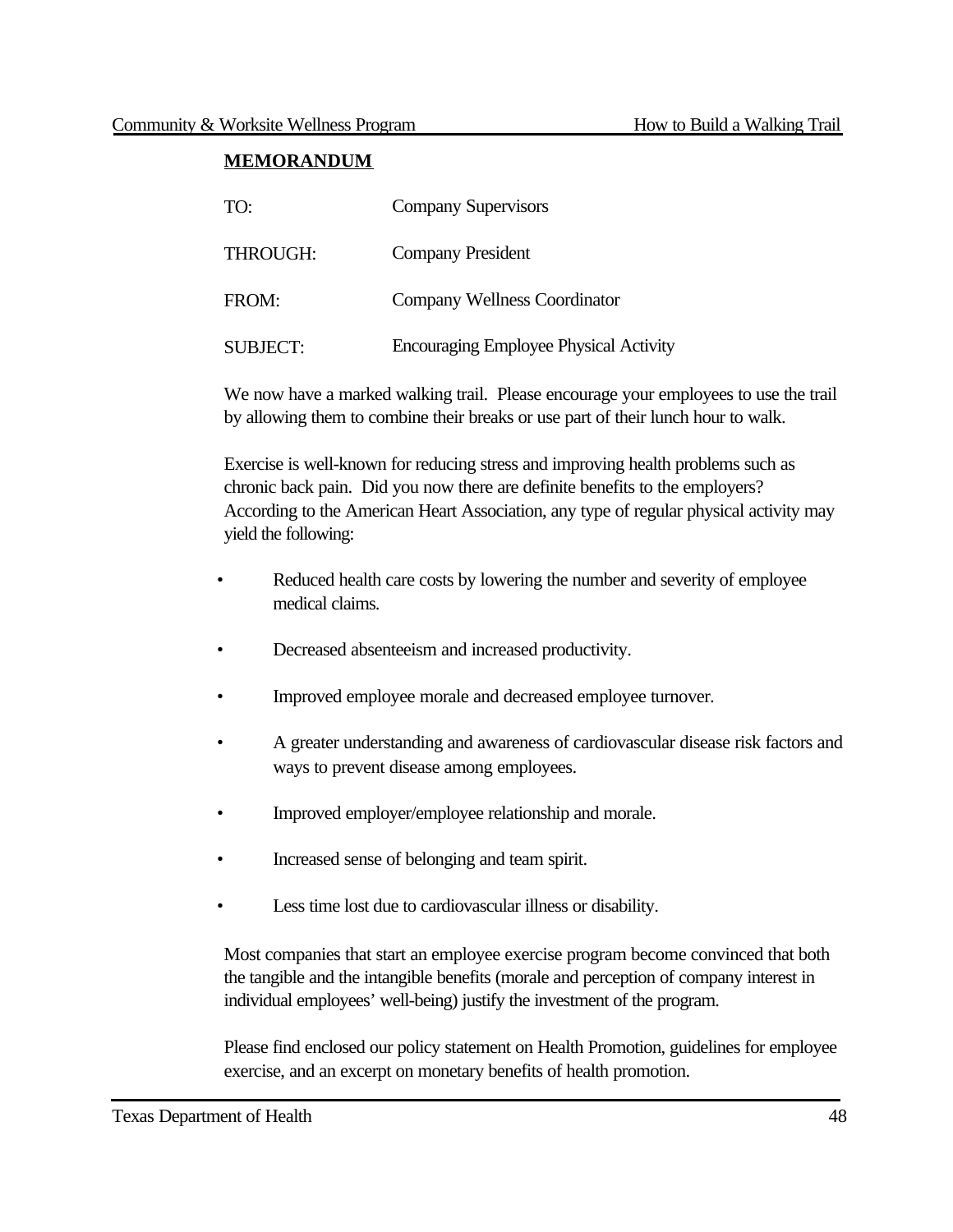#### **MEMORANDUM**

| TO:             | <b>Company Supervisors</b>                    |
|-----------------|-----------------------------------------------|
| <b>THROUGH:</b> | Company President                             |
| FROM:           | Company Wellness Coordinator                  |
| <b>SUBJECT:</b> | <b>Encouraging Employee Physical Activity</b> |

We now have a marked walking trail. Please encourage your employees to use the trail by allowing them to combine their breaks or use part of their lunch hour to walk.

Exercise is well-known for reducing stress and improving health problems such as chronic back pain. Did you now there are definite benefits to the employers? According to the American Heart Association, any type of regular physical activity may yield the following:

- Reduced health care costs by lowering the number and severity of employee medical claims.
- Decreased absenteeism and increased productivity.
- Improved employee morale and decreased employee turnover.
- A greater understanding and awareness of cardiovascular disease risk factors and ways to prevent disease among employees.
- Improved employer/employee relationship and morale.
- Increased sense of belonging and team spirit.
- Less time lost due to cardiovascular illness or disability.

Most companies that start an employee exercise program become convinced that both the tangible and the intangible benefits (morale and perception of company interest in individual employees' well-being) justify the investment of the program.

Please find enclosed our policy statement on Health Promotion, guidelines for employee exercise, and an excerpt on monetary benefits of health promotion.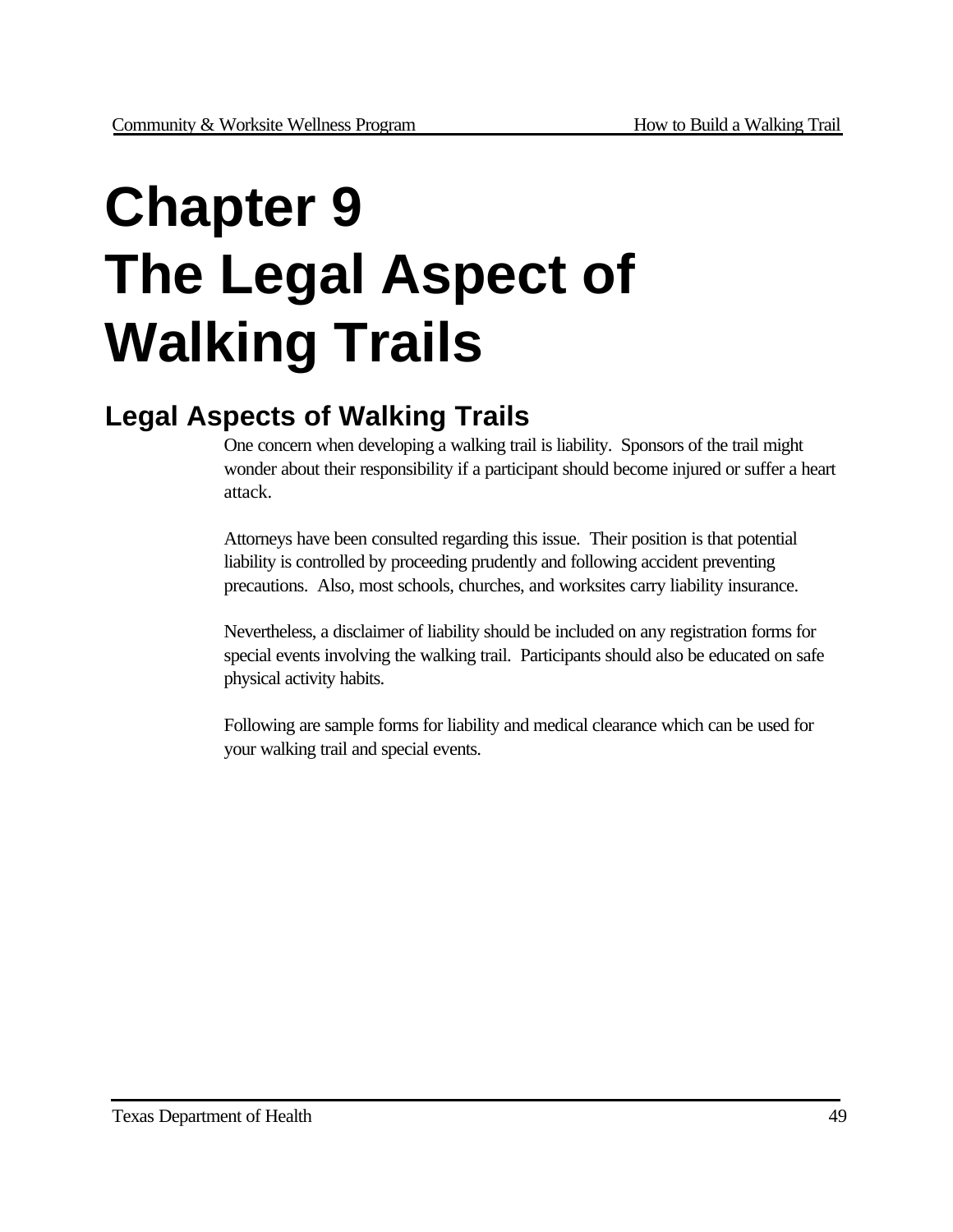# **Chapter 9 The Legal Aspect of Walking Trails**

# **Legal Aspects of Walking Trails**

One concern when developing a walking trail is liability. Sponsors of the trail might wonder about their responsibility if a participant should become injured or suffer a heart attack.

Attorneys have been consulted regarding this issue. Their position is that potential liability is controlled by proceeding prudently and following accident preventing precautions. Also, most schools, churches, and worksites carry liability insurance.

Nevertheless, a disclaimer of liability should be included on any registration forms for special events involving the walking trail. Participants should also be educated on safe physical activity habits.

Following are sample forms for liability and medical clearance which can be used for your walking trail and special events.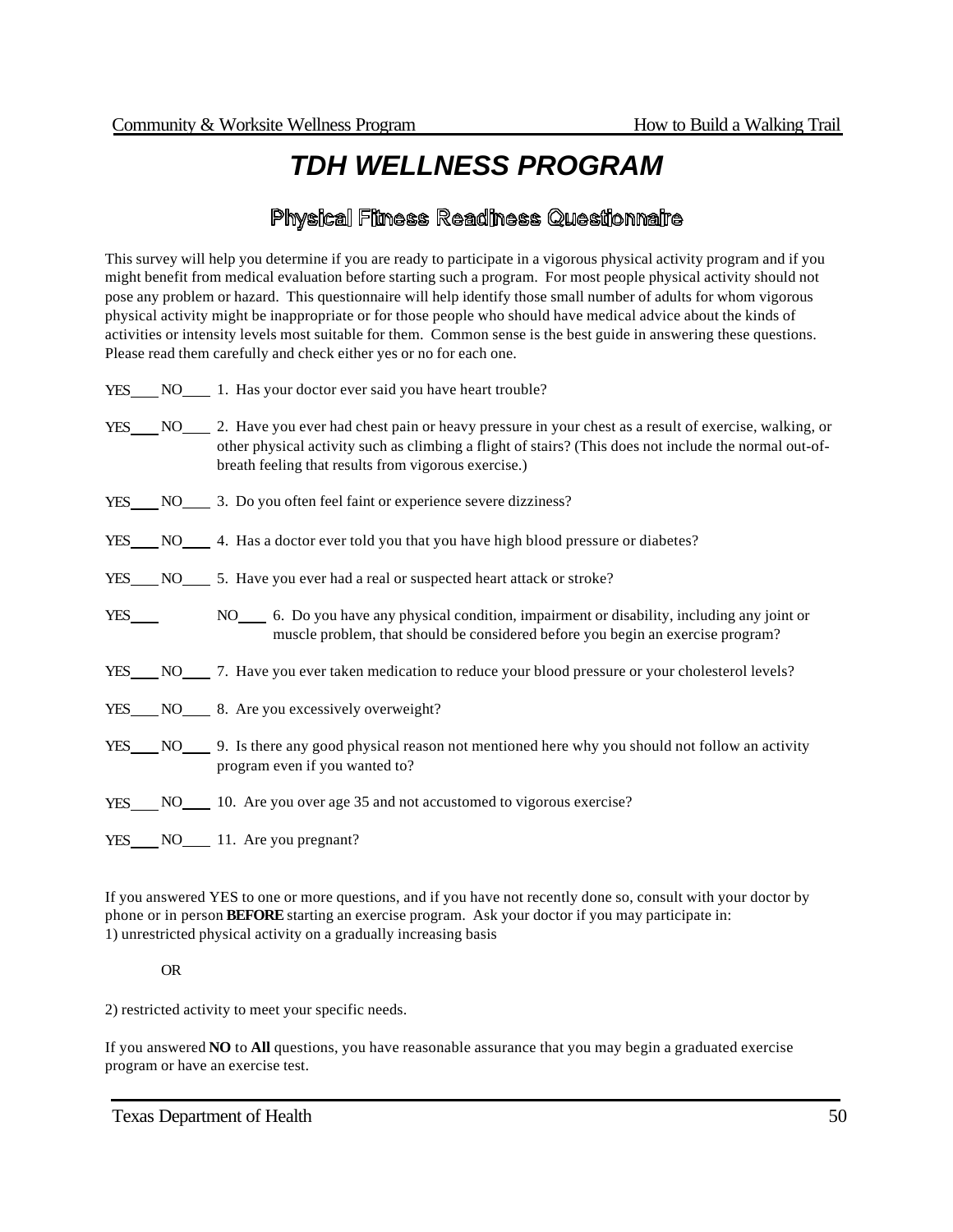# *TDH WELLNESS PROGRAM*

### Physical Fimess Readiness Questionnaire

This survey will help you determine if you are ready to participate in a vigorous physical activity program and if you might benefit from medical evaluation before starting such a program. For most people physical activity should not pose any problem or hazard. This questionnaire will help identify those small number of adults for whom vigorous physical activity might be inappropriate or for those people who should have medical advice about the kinds of activities or intensity levels most suitable for them. Common sense is the best guide in answering these questions. Please read them carefully and check either yes or no for each one.

- YES NO<sub>11</sub> 1. Has your doctor ever said you have heart trouble?
- YES NO<sub>\_\_</sub>\_\_\_\_\_ 2. Have you ever had chest pain or heavy pressure in your chest as a result of exercise, walking, or other physical activity such as climbing a flight of stairs? (This does not include the normal out-ofbreath feeling that results from vigorous exercise.)
- YES NO 3. Do you often feel faint or experience severe dizziness?
- YES\_\_\_NO\_\_\_ 4. Has a doctor ever told you that you have high blood pressure or diabetes?
- YES NO 5. Have you ever had a real or suspected heart attack or stroke?
- YES NO 6. Do you have any physical condition, impairment or disability, including any joint or muscle problem, that should be considered before you begin an exercise program?
- YES NO 7. Have you ever taken medication to reduce your blood pressure or your cholesterol levels?
- YES NO 8. Are you excessively overweight?
- YES NO 9. Is there any good physical reason not mentioned here why you should not follow an activity program even if you wanted to?
- YES NO 10. Are you over age 35 and not accustomed to vigorous exercise?
- YES NO<sub>11</sub>11. Are you pregnant?

If you answered YES to one or more questions, and if you have not recently done so, consult with your doctor by phone or in person **BEFORE** starting an exercise program. Ask your doctor if you may participate in: 1) unrestricted physical activity on a gradually increasing basis

#### OR

2) restricted activity to meet your specific needs.

If you answered **NO** to **All** questions, you have reasonable assurance that you may begin a graduated exercise program or have an exercise test.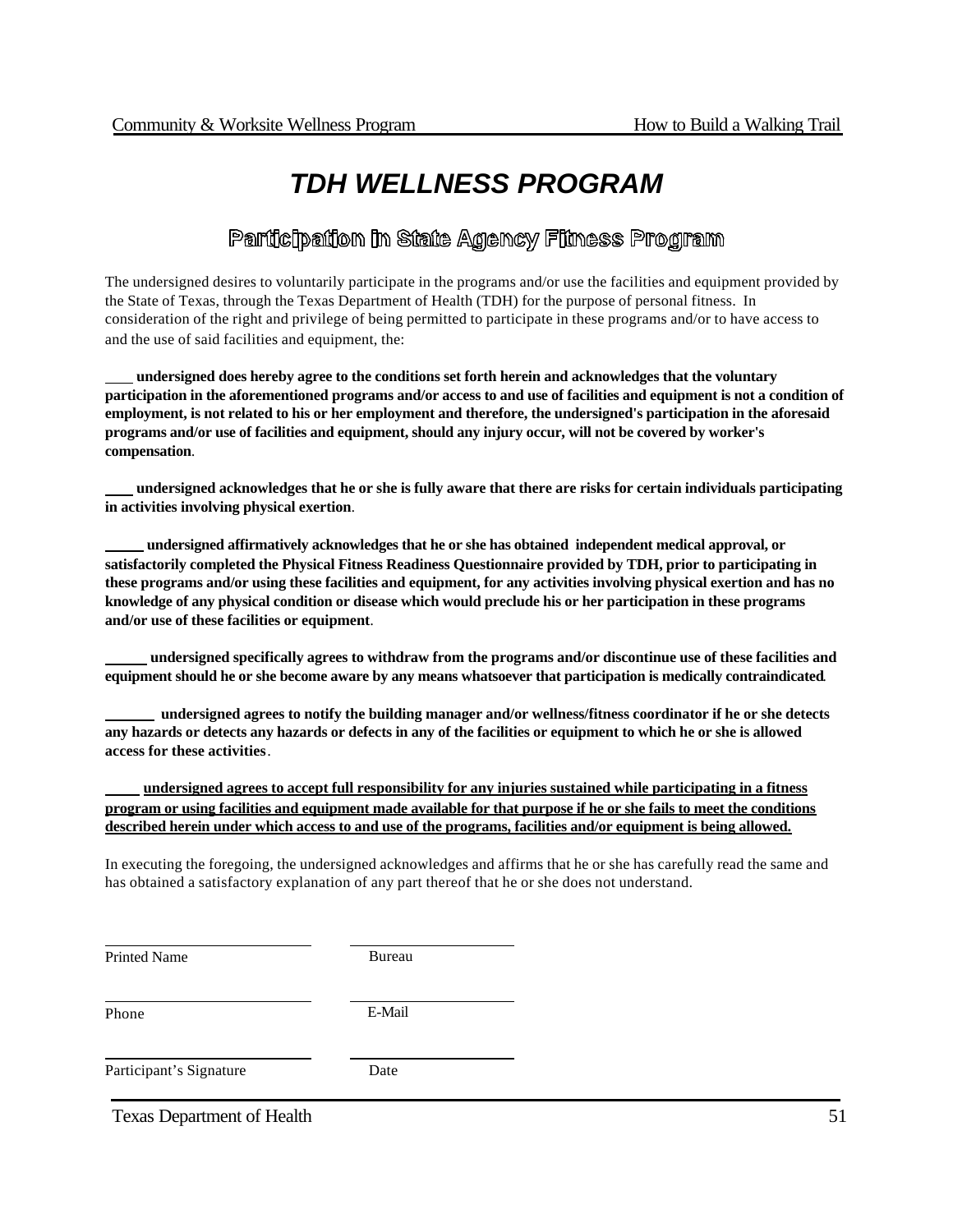# *TDH WELLNESS PROGRAM*

### Participation in State Agency Filmess Program

The undersigned desires to voluntarily participate in the programs and/or use the facilities and equipment provided by the State of Texas, through the Texas Department of Health (TDH) for the purpose of personal fitness. In consideration of the right and privilege of being permitted to participate in these programs and/or to have access to and the use of said facilities and equipment, the:

 **undersigned does hereby agree to the conditions set forth herein and acknowledges that the voluntary participation in the aforementioned programs and/or access to and use of facilities and equipment is not a condition of employment, is not related to his or her employment and therefore, the undersigned's participation in the aforesaid programs and/or use of facilities and equipment, should any injury occur, will not be covered by worker's compensation**.

 **undersigned acknowledges that he or she is fully aware that there are risks for certain individuals participating in activities involving physical exertion**.

 **undersigned affirmatively acknowledges that he or she has obtained independent medical approval, or satisfactorily completed the Physical Fitness Readiness Questionnaire provided by TDH, prior to participating in these programs and/or using these facilities and equipment, for any activities involving physical exertion and has no knowledge of any physical condition or disease which would preclude his or her participation in these programs and/or use of these facilities or equipment**.

 **undersigned specifically agrees to withdraw from the programs and/or discontinue use of these facilities and equipment should he or she become aware by any means whatsoever that participation is medically contraindicated**.

 **undersigned agrees to notify the building manager and/or wellness/fitness coordinator if he or she detects any hazards or detects any hazards or defects in any of the facilities or equipment to which he or she is allowed access for these activities**.

 **undersigned agrees to accept full responsibility for any injuries sustained while participating in a fitness program or using facilities and equipment made available for that purpose if he or she fails to meet the conditions described herein under which access to and use of the programs, facilities and/or equipment is being allowed.**

In executing the foregoing, the undersigned acknowledges and affirms that he or she has carefully read the same and has obtained a satisfactory explanation of any part thereof that he or she does not understand.

Printed Name Bureau

l

l

l

Phone E-Mail

Participant's Signature Date

Texas Department of Health 51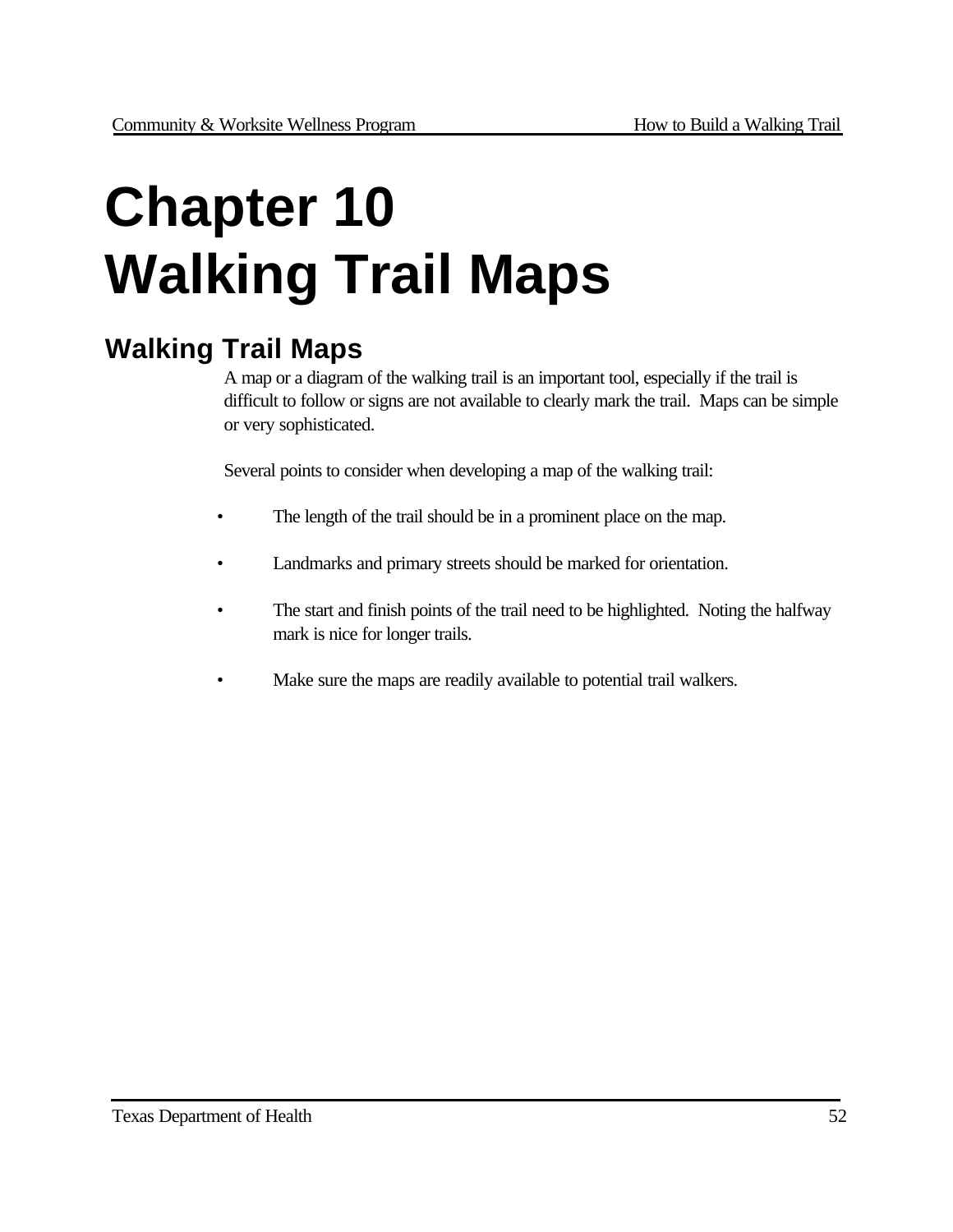# **Chapter 10 Walking Trail Maps**

# **Walking Trail Maps**

A map or a diagram of the walking trail is an important tool, especially if the trail is difficult to follow or signs are not available to clearly mark the trail. Maps can be simple or very sophisticated.

Several points to consider when developing a map of the walking trail:

- The length of the trail should be in a prominent place on the map.
- Landmarks and primary streets should be marked for orientation.
- The start and finish points of the trail need to be highlighted. Noting the halfway mark is nice for longer trails.
- Make sure the maps are readily available to potential trail walkers.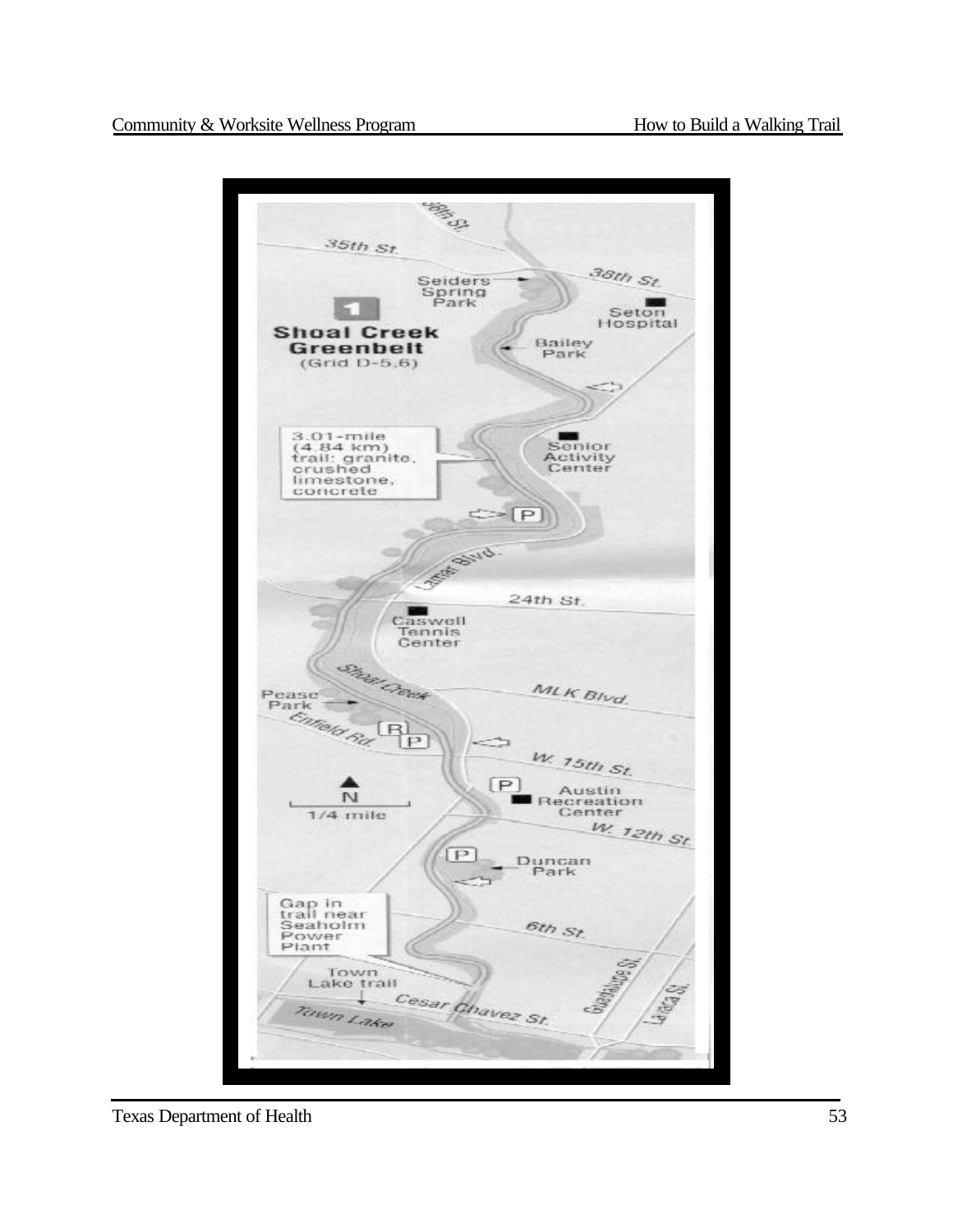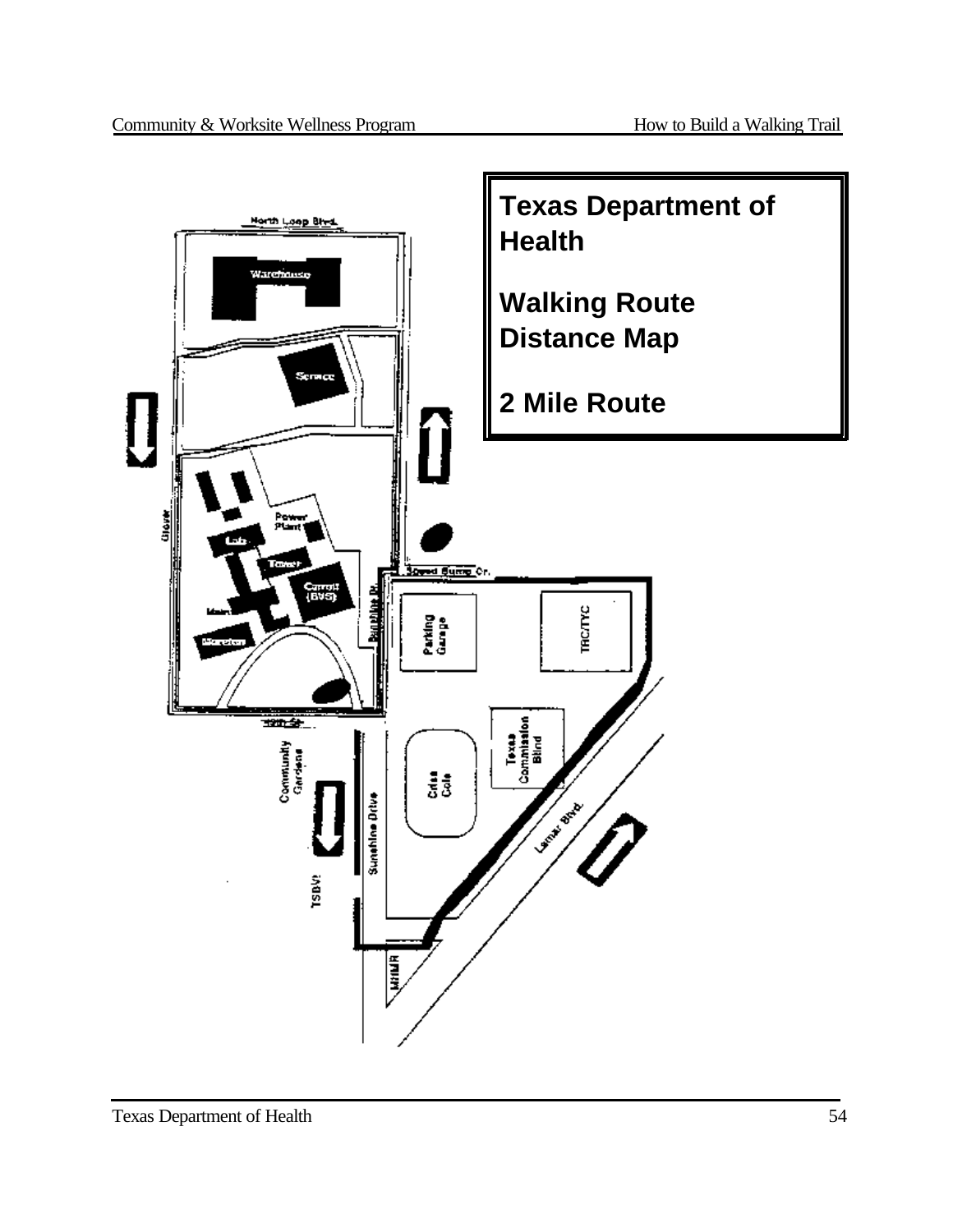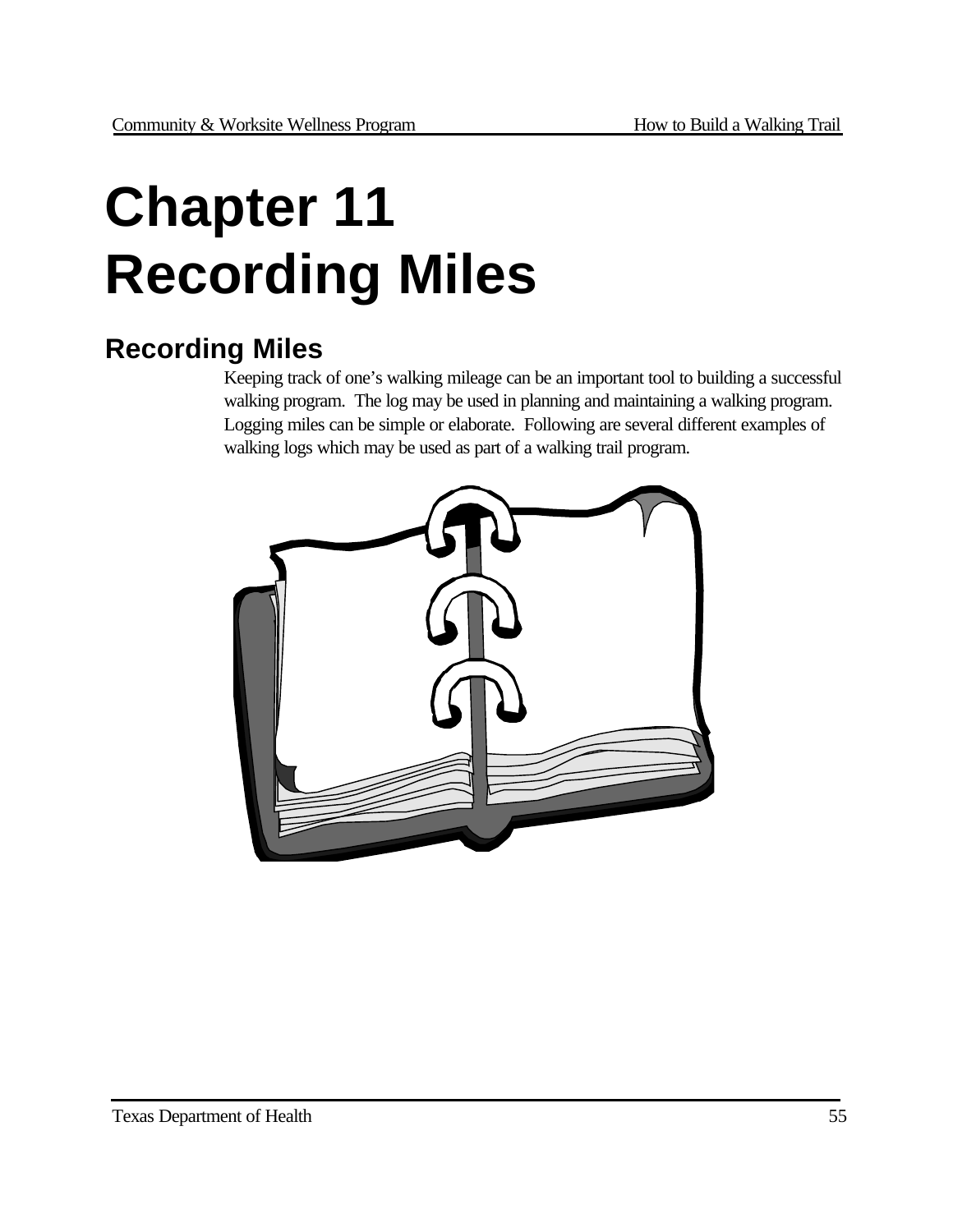# **Chapter 11 Recording Miles**

# **Recording Miles**

Keeping track of one's walking mileage can be an important tool to building a successful walking program. The log may be used in planning and maintaining a walking program. Logging miles can be simple or elaborate. Following are several different examples of walking logs which may be used as part of a walking trail program.

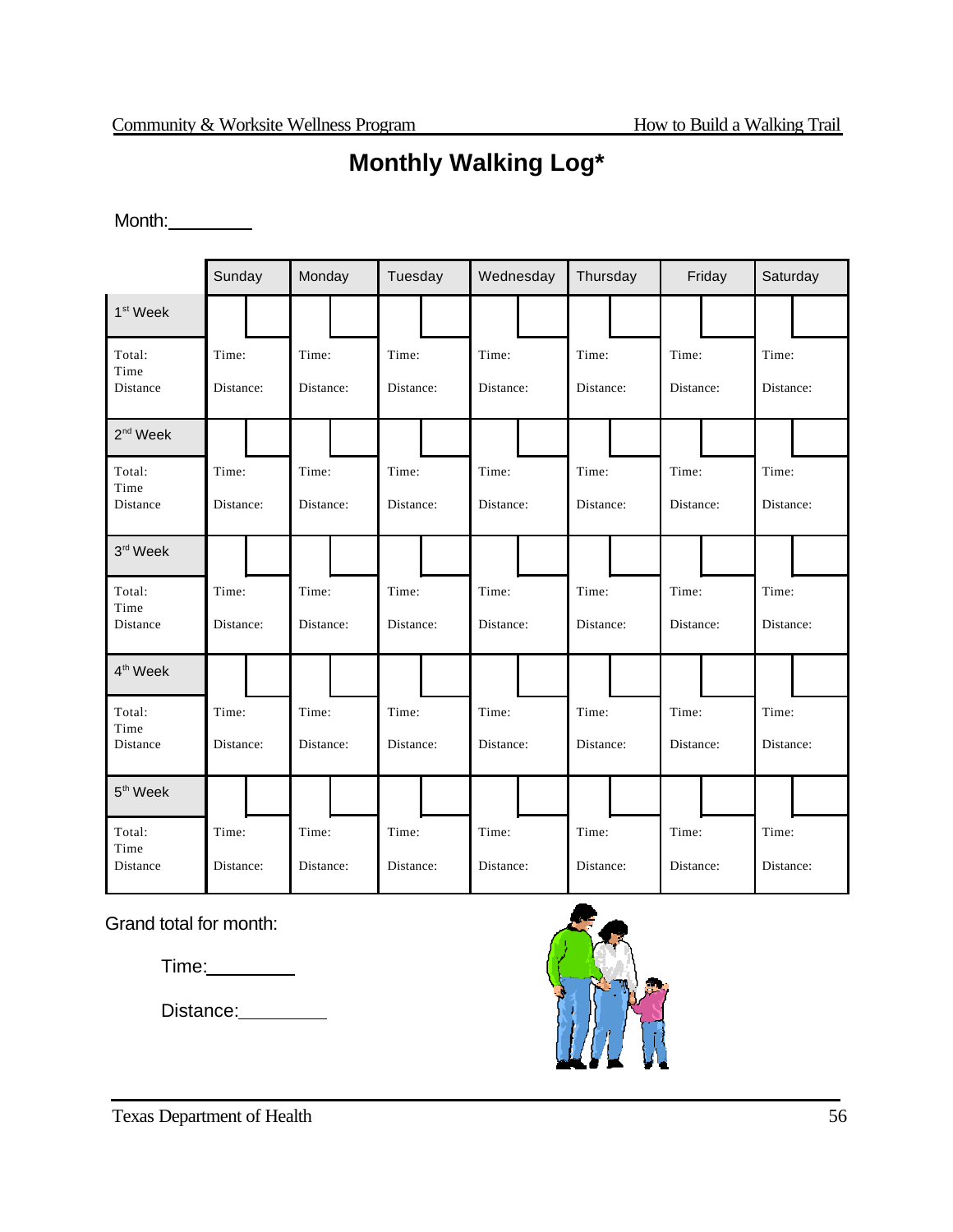### **Monthly Walking Log\***

Month:

|                            | Sunday             | Monday             | Tuesday            | Wednesday          | Thursday           | Friday             | Saturday           |
|----------------------------|--------------------|--------------------|--------------------|--------------------|--------------------|--------------------|--------------------|
| 1 <sup>st</sup> Week       |                    |                    |                    |                    |                    |                    |                    |
| Total:<br>Time<br>Distance | Time:<br>Distance: | Time:<br>Distance: | Time:<br>Distance: | Time:<br>Distance: | Time:<br>Distance: | Time:<br>Distance: | Time:<br>Distance: |
| $2nd$ Week                 |                    |                    |                    |                    |                    |                    |                    |
| Total:<br>Time<br>Distance | Time:<br>Distance: | Time:<br>Distance: | Time:<br>Distance: | Time:<br>Distance: | Time:<br>Distance: | Time:<br>Distance: | Time:<br>Distance: |
| 3rd Week                   |                    |                    |                    |                    |                    |                    |                    |
| Total:<br>Time<br>Distance | Time:<br>Distance: | Time:<br>Distance: | Time:<br>Distance: | Time:<br>Distance: | Time:<br>Distance: | Time:<br>Distance: | Time:<br>Distance: |
| 4 <sup>th</sup> Week       |                    |                    |                    |                    |                    |                    |                    |
| Total:<br>Time<br>Distance | Time:<br>Distance: | Time:<br>Distance: | Time:<br>Distance: | Time:<br>Distance: | Time:<br>Distance: | Time:<br>Distance: | Time:<br>Distance: |
| 5 <sup>th</sup> Week       |                    |                    |                    |                    |                    |                    |                    |
| Total:<br>Time<br>Distance | Time:<br>Distance: | Time:<br>Distance: | Time:<br>Distance: | Time:<br>Distance: | Time:<br>Distance: | Time:<br>Distance: | Time:<br>Distance: |

### Grand total for month:

Time: 1

Distance:

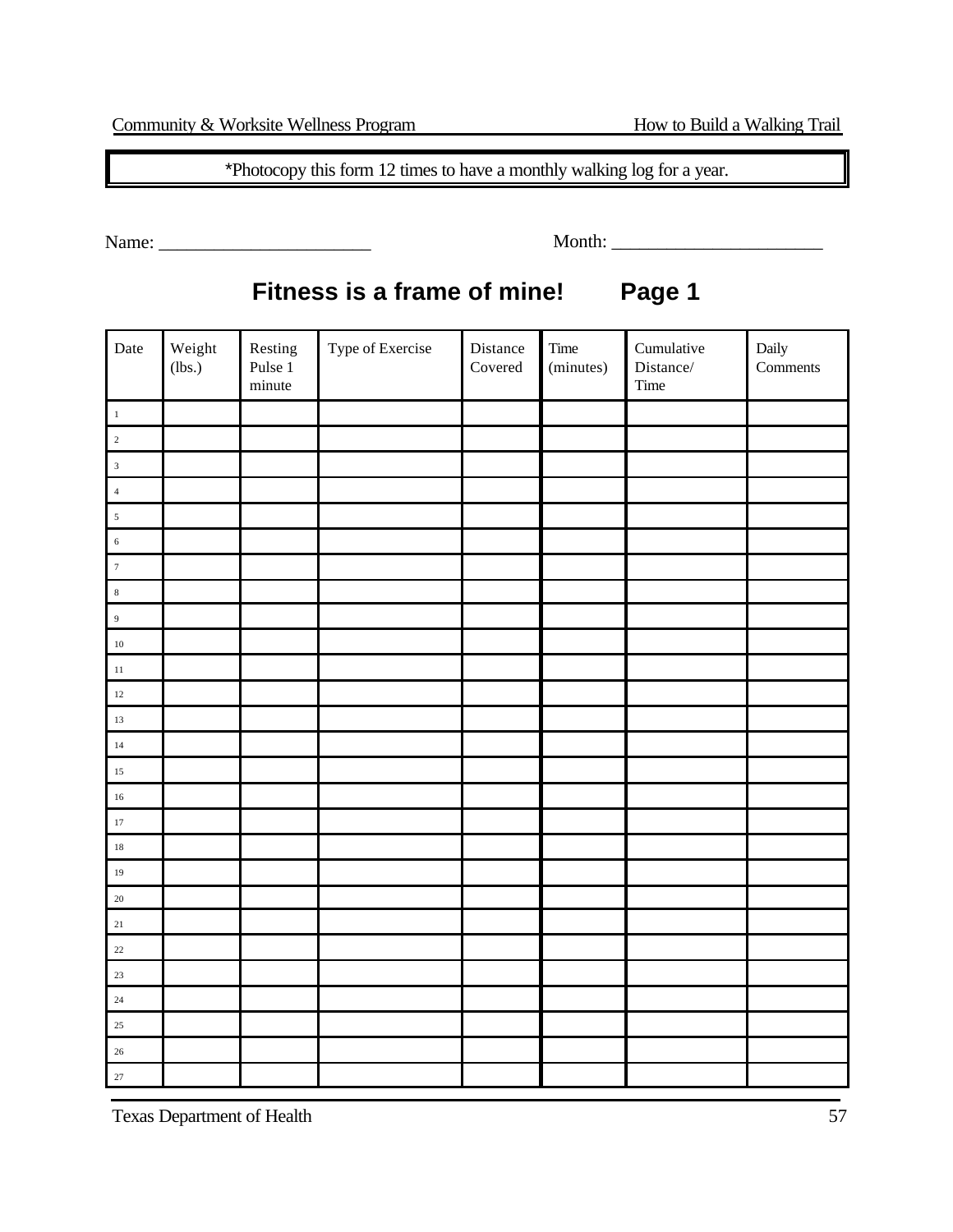\*Photocopy this form 12 times to have a monthly walking log for a year.

Name: \_\_\_\_\_\_\_\_\_\_\_\_\_\_\_\_\_\_\_\_\_\_\_ Month: \_\_\_\_\_\_\_\_\_\_\_\_\_\_\_\_\_\_\_\_\_\_\_

### **Fitness is a frame of mine! Page 1**

| Date           | Weight<br>(lbs.) | Resting<br>Pulse 1<br>minute | Type of Exercise | Distance<br>Covered | Time<br>(minutes) | Cumulative<br>Distance/<br>Time | Daily<br>Comments |
|----------------|------------------|------------------------------|------------------|---------------------|-------------------|---------------------------------|-------------------|
| $\bar{1}$      |                  |                              |                  |                     |                   |                                 |                   |
| $\overline{a}$ |                  |                              |                  |                     |                   |                                 |                   |
| $\overline{3}$ |                  |                              |                  |                     |                   |                                 |                   |
| $\sqrt{4}$     |                  |                              |                  |                     |                   |                                 |                   |
| $\sqrt{5}$     |                  |                              |                  |                     |                   |                                 |                   |
| $\sqrt{6}$     |                  |                              |                  |                     |                   |                                 |                   |
| $\tau$         |                  |                              |                  |                     |                   |                                 |                   |
| $\,$ 8 $\,$    |                  |                              |                  |                     |                   |                                 |                   |
| $\overline{9}$ |                  |                              |                  |                     |                   |                                 |                   |
| $10\,$         |                  |                              |                  |                     |                   |                                 |                   |
| $11\,$         |                  |                              |                  |                     |                   |                                 |                   |
| $12\,$         |                  |                              |                  |                     |                   |                                 |                   |
| $13\,$         |                  |                              |                  |                     |                   |                                 |                   |
| 14             |                  |                              |                  |                     |                   |                                 |                   |
| $15\,$         |                  |                              |                  |                     |                   |                                 |                   |
| $16\,$         |                  |                              |                  |                     |                   |                                 |                   |
| $17\,$         |                  |                              |                  |                     |                   |                                 |                   |
| $18\,$         |                  |                              |                  |                     |                   |                                 |                   |
| $19\,$         |                  |                              |                  |                     |                   |                                 |                   |
| $20\,$         |                  |                              |                  |                     |                   |                                 |                   |
| $21\,$         |                  |                              |                  |                     |                   |                                 |                   |
| $22\,$         |                  |                              |                  |                     |                   |                                 |                   |
| $23\,$         |                  |                              |                  |                     |                   |                                 |                   |
| $\sqrt{24}$    |                  |                              |                  |                     |                   |                                 |                   |
| $25\,$         |                  |                              |                  |                     |                   |                                 |                   |
| $26\,$         |                  |                              |                  |                     |                   |                                 |                   |
| $27\,$         |                  |                              |                  |                     |                   |                                 |                   |

Texas Department of Health 57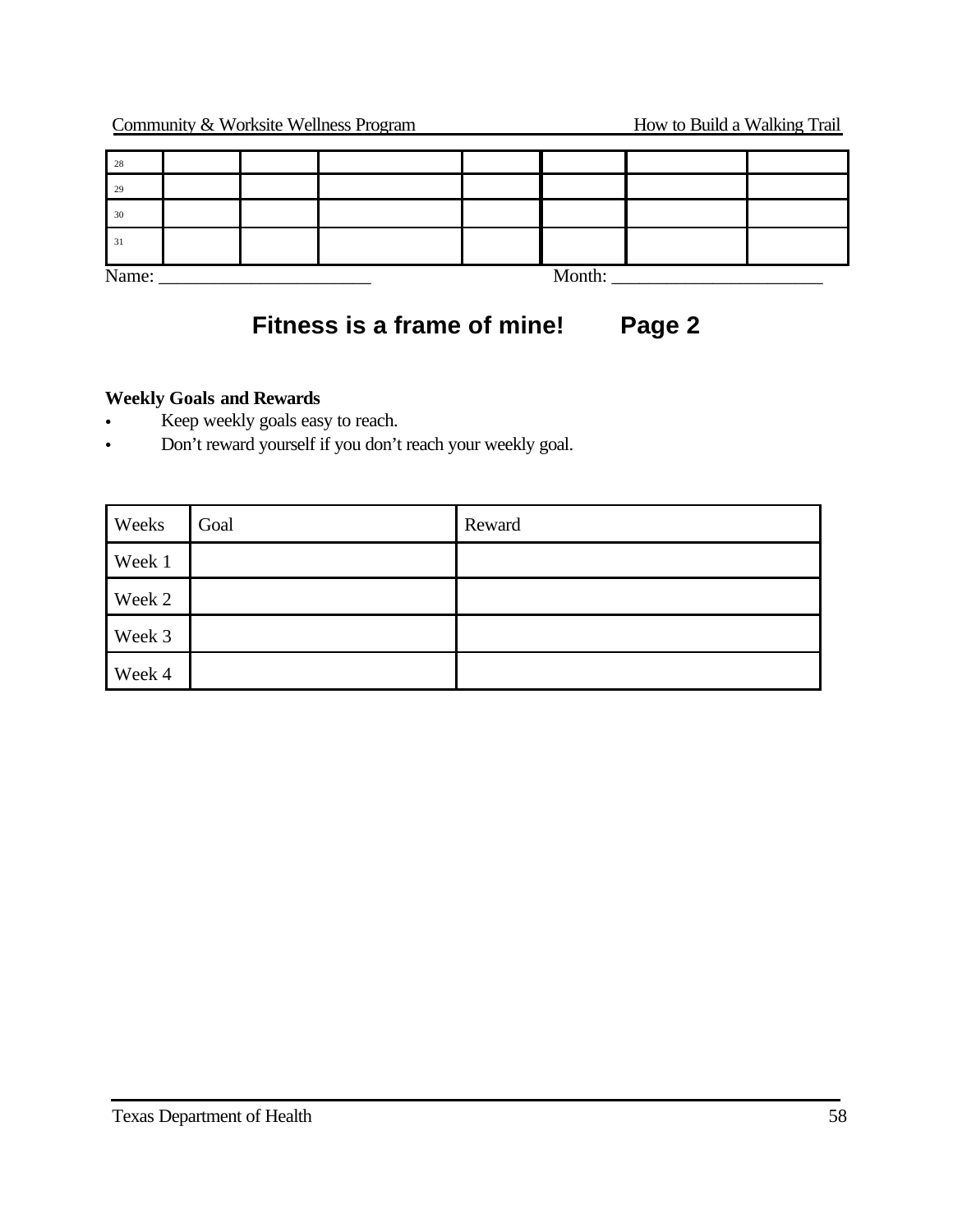| 28              |  |  |  |  |  |  |
|-----------------|--|--|--|--|--|--|
| 29              |  |  |  |  |  |  |
| 30              |  |  |  |  |  |  |
| 31              |  |  |  |  |  |  |
| Month:<br>Name: |  |  |  |  |  |  |

### **Fitness is a frame of mine! Page 2**

### **Weekly Goals and Rewards**

- Keep weekly goals easy to reach.
- Don't reward yourself if you don't reach your weekly goal.

| Weeks  | Goal | Reward |
|--------|------|--------|
| Week 1 |      |        |
| Week 2 |      |        |
| Week 3 |      |        |
| Week 4 |      |        |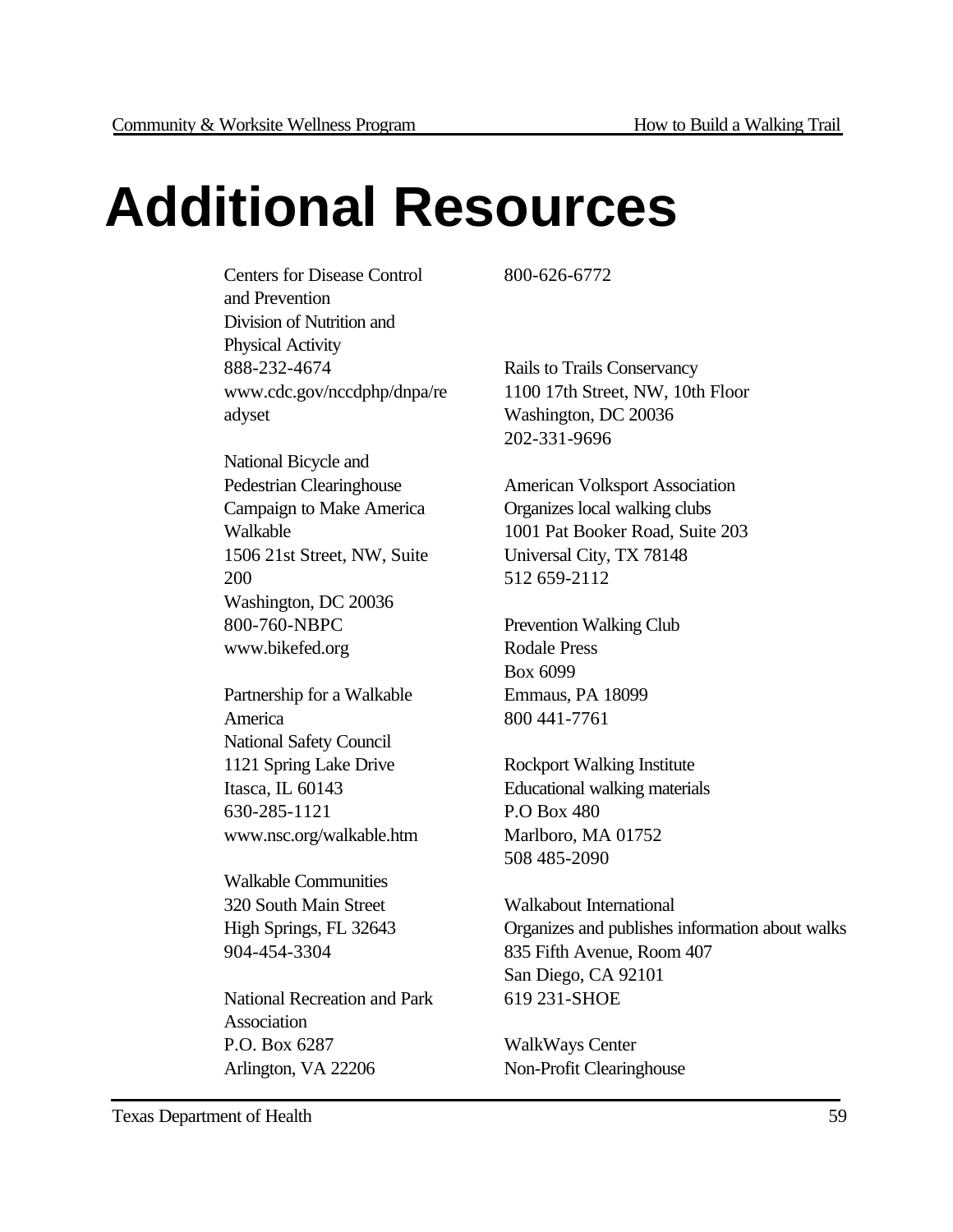# **Additional Resources**

Centers for Disease Control and Prevention Division of Nutrition and Physical Activity 888-232-4674 www.cdc.gov/nccdphp/dnpa/re adyset

National Bicycle and Pedestrian Clearinghouse Campaign to Make America Walkable 1506 21st Street, NW, Suite 200 Washington, DC 20036 800-760-NBPC www.bikefed.org

Partnership for a Walkable America National Safety Council 1121 Spring Lake Drive Itasca, IL 60143 630-285-1121 www.nsc.org/walkable.htm

Walkable Communities 320 South Main Street High Springs, FL 32643 904-454-3304

National Recreation and Park Association P.O. Box 6287 Arlington, VA 22206

800-626-6772

Rails to Trails Conservancy 1100 17th Street, NW, 10th Floor Washington, DC 20036 202-331-9696

American Volksport Association Organizes local walking clubs 1001 Pat Booker Road, Suite 203 Universal City, TX 78148 512 659-2112

Prevention Walking Club Rodale Press Box 6099 Emmaus, PA 18099 800 441-7761

Rockport Walking Institute Educational walking materials P.O Box 480 Marlboro, MA 01752 508 485-2090

Walkabout International Organizes and publishes information about walks 835 Fifth Avenue, Room 407 San Diego, CA 92101 619 231-SHOE

WalkWays Center Non-Profit Clearinghouse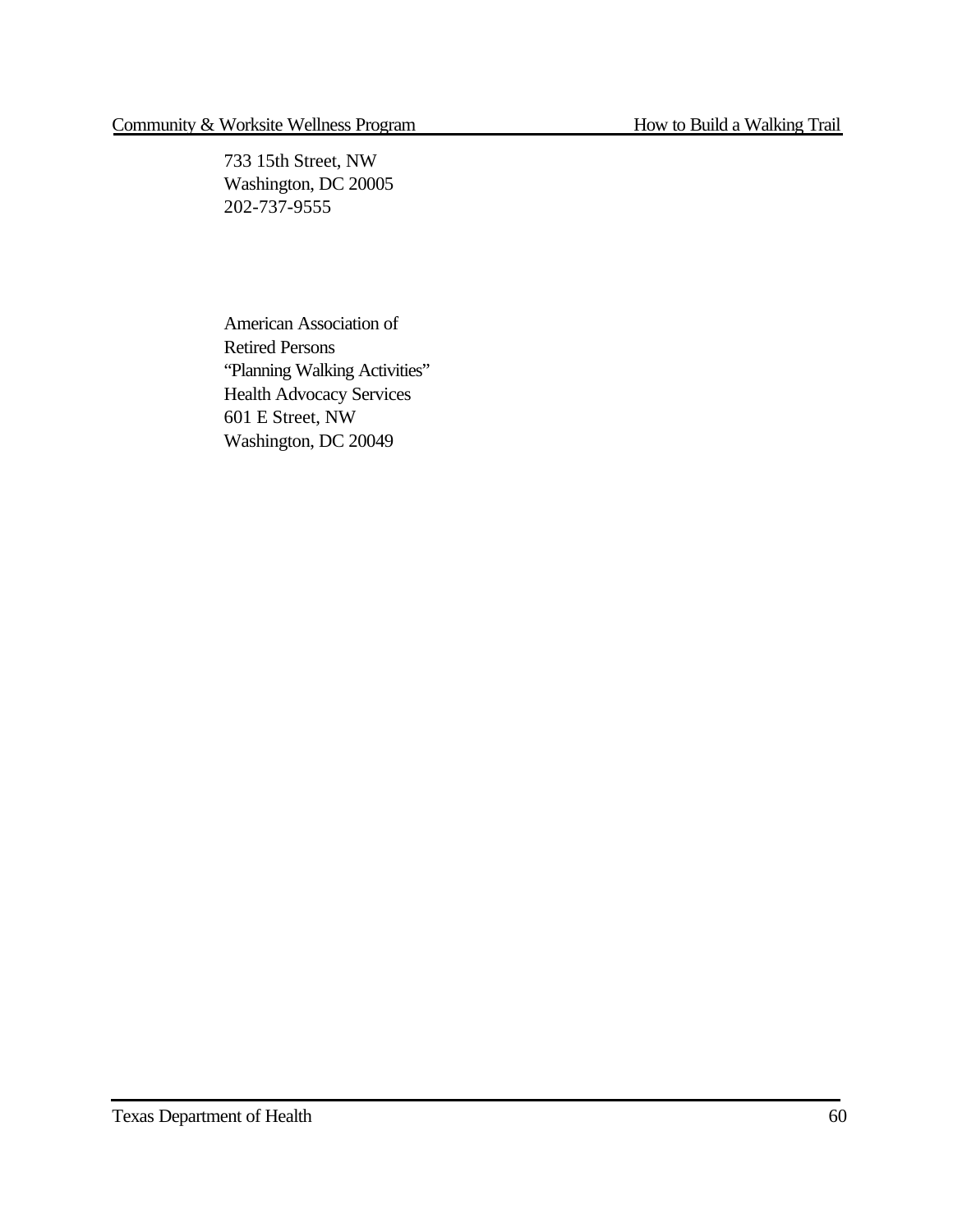733 15th Street, NW Washington, DC 20005 202-737-9555

American Association of Retired Persons "Planning Walking Activities" Health Advocacy Services 601 E Street, NW Washington, DC 20049